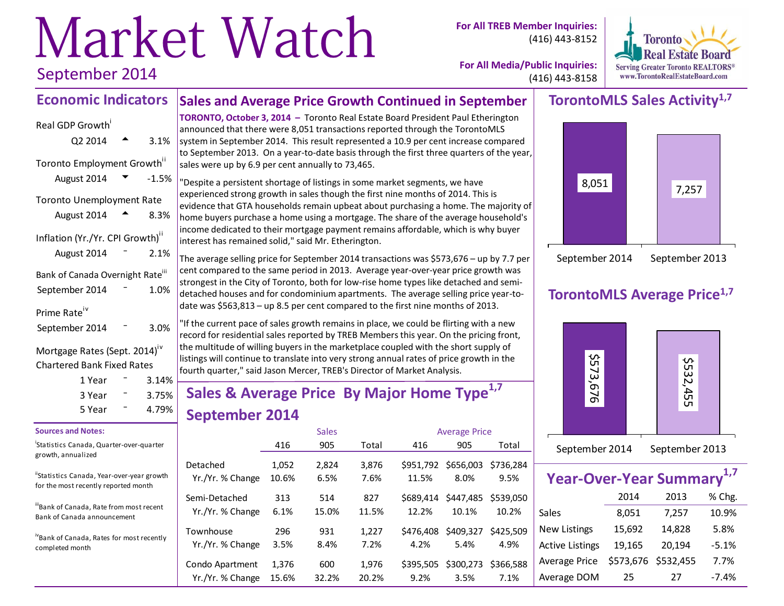# Market Watch

**For All TREB Member Inquiries:** (416) 443-8152



**For All Media/Public Inquiries:** (416) 443-8158

# **TorontoMLS Sales Activity1,7**



# **TorontoMLS Average Price1,7**



| September 2014 | September 2013 |
|----------------|----------------|
|                |                |

| Year-Over-Year Summary <sup>1,7</sup> |        |                     |         |
|---------------------------------------|--------|---------------------|---------|
|                                       | 2014   | 2013                | % Chg.  |
| Sales                                 | 8,051  | 7,257               | 10.9%   |
| <b>New Listings</b>                   | 15,692 | 14,828              | 5.8%    |
| <b>Active Listings</b>                | 19,165 | 20,194              | $-5.1%$ |
| Average Price                         |        | \$573,676 \$532,455 | 7.7%    |
| Average DOM                           | 25     | 27                  | $-7.4%$ |

# September 2014

#### **Sales and Average Price Growth Continued in September Economic Indicators**

Real GDP Growth  $Q2\,2014$   $\rightarrow$  3.1% Toronto Employment Growth<sup>ii</sup> August 2014  $\bullet$  -1.5% Toronto Unemployment Rate August  $2014 \rightarrow 8.3\%$ Inflation (Yr./Yr. CPI Growth)<sup>ii</sup> August  $2014 - 2.1%$ Bank of Canada Overnight Rate<sup>iii</sup> September 2014 <sup>-</sup> 1.0% Prime Rate<sup>iv</sup> September 2014 <sup>-</sup> 3.0% Mortgage Rates (Sept. 2014)<sup>iv</sup> Chartered Bank Fixed Rates

### $1$  Year  $\qquad 3.14\%$  $3$  Year  $\sim$  3.75%  $5$  Year  $-$  4.79%

#### **Sources and Notes:**

i Statistics Canada, Quarter-over-quarter growth, annualized

"Statistics Canada, Year-over-year growth for the most recently reported month

iiiBank of Canada, Rate from most recent Bank of Canada announcement

ivBank of Canada, Rates for most recently completed month

**TORONTO, October 3, 2014 –** Toronto Real Estate Board President Paul Etherington announced that there were 8,051 transactions reported through the TorontoMLS system in September 2014. This result represented a 10.9 per cent increase compared to September 2013. On a year-to-date basis through the first three quarters of the year, sales were up by 6.9 per cent annually to 73,465.

"Despite a persistent shortage of listings in some market segments, we have experienced strong growth in sales though the first nine months of 2014. This is evidence that GTA households remain upbeat about purchasing a home. The majority of home buyers purchase a home using a mortgage. The share of the average household's income dedicated to their mortgage payment remains affordable, which is why buyer interest has remained solid," said Mr. Etherington.

The average selling price for September 2014 transactions was \$573,676 – up by 7.7 per cent compared to the same period in 2013. Average year-over-year price growth was strongest in the City of Toronto, both for low-rise home types like detached and semidetached houses and for condominium apartments. The average selling price year-todate was \$563,813 – up 8.5 per cent compared to the first nine months of 2013.

"If the current pace of sales growth remains in place, we could be flirting with a new record for residential sales reported by TREB Members this year. On the pricing front, the multitude of willing buyers in the marketplace coupled with the short supply of listings will continue to translate into very strong annual rates of price growth in the fourth quarter," said Jason Mercer, TREB's Director of Market Analysis.

# **Sales & Average Price By Major Home Type1,7 September 2014**

|                  |       | <b>Sales</b> |       |           | <b>Average Price</b> |           |
|------------------|-------|--------------|-------|-----------|----------------------|-----------|
|                  | 416   | 905          | Total | 416       | 905                  | Total     |
| Detached         | 1,052 | 2,824        | 3,876 | \$951.792 | \$656,003            | \$736.284 |
| Yr./Yr. % Change | 10.6% | 6.5%         | 7.6%  | 11.5%     | 8.0%                 | 9.5%      |
| Semi-Detached    | 313   | 514          | 827   | \$689.414 | \$447.485            | \$539.050 |
| Yr./Yr. % Change | 6.1%  | 15.0%        | 11.5% | 12.2%     | 10.1%                | 10.2%     |
| Townhouse        | 296   | 931          | 1,227 | \$476,408 | \$409,327            | \$425.509 |
| Yr./Yr. % Change | 3.5%  | 8.4%         | 7.2%  | 4.2%      | 5.4%                 | 4.9%      |
| Condo Apartment  | 1,376 | 600          | 1,976 | \$395.505 | \$300,273            | \$366.588 |
| Yr./Yr. % Change | 15.6% | 32.2%        | 20.2% | 9.2%      | 3.5%                 | 7.1%      |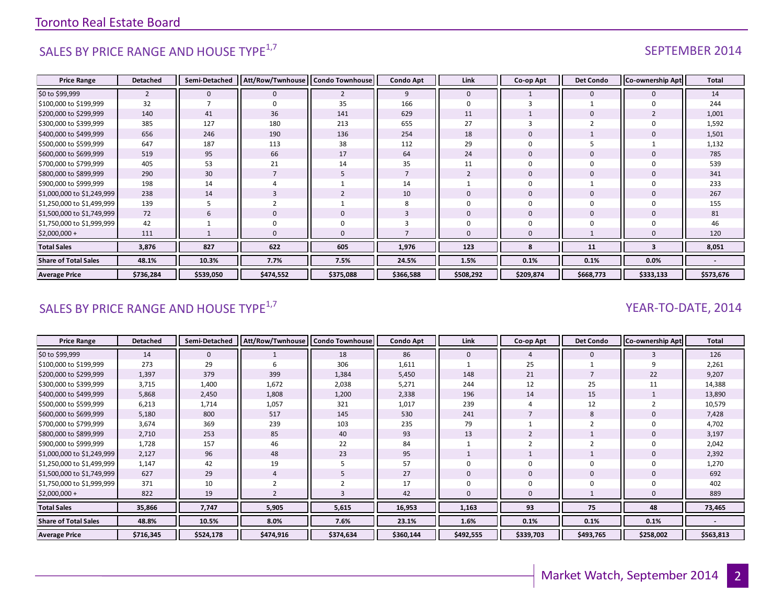# SALES BY PRICE RANGE AND HOUSE TYPE $^{1,7}$  SEPTEMBER 2014

| <b>Price Range</b>          | <b>Detached</b> | Semi-Detached | Att/Row/Twnhouse | <b>Condo Townhouse</b> | <b>Condo Apt</b> | Link           | Co-op Apt      | <b>Det Condo</b> | Co-ownership Apt | <b>Total</b> |
|-----------------------------|-----------------|---------------|------------------|------------------------|------------------|----------------|----------------|------------------|------------------|--------------|
| \$0 to \$99,999             | $\overline{2}$  | $\mathbf 0$   | $\Omega$         | $\overline{2}$         | 9                | $\Omega$       |                | $\Omega$         |                  | 14           |
| \$100,000 to \$199,999      | 32              |               |                  | 35                     | 166              | $\Omega$       |                |                  |                  | 244          |
| \$200,000 to \$299,999      | 140             | 41            | 36               | 141                    | 629              | 11             |                | $\Omega$         |                  | 1,001        |
| \$300,000 to \$399,999      | 385             | 127           | 180              | 213                    | 655              | 27             |                |                  |                  | 1,592        |
| \$400,000 to \$499,999      | 656             | 246           | 190              | 136                    | 254              | 18             | $\overline{0}$ |                  |                  | 1,501        |
| \$500,000 to \$599,999      | 647             | 187           | 113              | 38                     | 112              | 29             | $\Omega$       |                  |                  | 1,132        |
| \$600,000 to \$699,999      | 519             | 95            | 66               | 17                     | 64               | 24             | $\mathbf{0}$   | $\mathbf 0$      |                  | 785          |
| \$700,000 to \$799,999      | 405             | 53            | 21               | 14                     | 35               | 11             | $\Omega$       |                  |                  | 539          |
| \$800,000 to \$899,999      | 290             | 30            |                  | 5                      |                  | $\overline{2}$ | $\overline{0}$ | $\mathbf 0$      |                  | 341          |
| \$900,000 to \$999,999      | 198             | 14            |                  |                        | 14               |                | $\Omega$       |                  |                  | 233          |
| \$1,000,000 to \$1,249,999  | 238             | 14            |                  | $\overline{2}$         | 10               | $\Omega$       | $\overline{0}$ | $\Omega$         |                  | 267          |
| \$1,250,000 to \$1,499,999  | 139             | 5             |                  |                        | 8                |                | $\Omega$       | $\Omega$         |                  | 155          |
| \$1,500,000 to \$1,749,999  | 72              | 6             | $\mathbf 0$      | 0                      | 3                | $\mathbf{0}$   | $\Omega$       | $\mathbf{0}$     |                  | 81           |
| \$1,750,000 to \$1,999,999  | 42              |               |                  | 0                      |                  |                | $\Omega$       |                  |                  | 46           |
| $$2,000,000 +$              | 111             |               |                  | 0                      |                  |                | $\mathbf{0}$   |                  |                  | 120          |
| <b>Total Sales</b>          | 3,876           | 827           | 622              | 605                    | 1,976            | 123            | 8              | 11               | 3                | 8,051        |
| <b>Share of Total Sales</b> | 48.1%           | 10.3%         | 7.7%             | 7.5%                   | 24.5%            | 1.5%           | 0.1%           | 0.1%             | 0.0%             |              |
| <b>Average Price</b>        | \$736,284       | \$539,050     | \$474,552        | \$375,088              | \$366,588        | \$508,292      | \$209,874      | \$668,773        | \$333,133        | \$573,676    |

# SALES BY PRICE RANGE AND HOUSE TYPE $^{1,7}$   $\blacksquare$

| <b>Price Range</b>          | <b>Detached</b> | Semi-Detached | Att/Row/Twnhouse   Condo Townhouse |           | <b>Condo Apt</b> | Link         | Co-op Apt    | <b>Det Condo</b> | <b>Co-ownership Apt</b> | <b>Total</b> |
|-----------------------------|-----------------|---------------|------------------------------------|-----------|------------------|--------------|--------------|------------------|-------------------------|--------------|
| \$0 to \$99,999             | 14              | $\mathbf{0}$  |                                    | 18        | 86               | $\mathbf{0}$ |              | $\mathbf{0}$     |                         | 126          |
| \$100,000 to \$199,999      | 273             | 29            | b                                  | 306       | 1,611            |              | 25           |                  |                         | 2,261        |
| \$200,000 to \$299,999      | 1,397           | 379           | 399                                | 1,384     | 5,450            | 148          | 21           |                  | 22                      | 9,207        |
| \$300,000 to \$399,999      | 3,715           | 1,400         | 1,672                              | 2,038     | 5,271            | 244          | 12           | 25               | 11                      | 14,388       |
| \$400,000 to \$499,999      | 5,868           | 2,450         | 1,808                              | 1,200     | 2,338            | 196          | 14           | 15               |                         | 13,890       |
| \$500,000 to \$599,999      | 6,213           | 1,714         | 1,057                              | 321       | 1,017            | 239          |              | 12               |                         | 10,579       |
| \$600,000 to \$699,999      | 5,180           | 800           | 517                                | 145       | 530              | 241          |              | 8                |                         | 7,428        |
| \$700,000 to \$799,999      | 3,674           | 369           | 239                                | 103       | 235              | 79           |              |                  |                         | 4,702        |
| \$800,000 to \$899,999      | 2,710           | 253           | 85                                 | 40        | 93               | 13           |              |                  |                         | 3,197        |
| \$900,000 to \$999,999      | 1,728           | 157           | 46                                 | 22        | 84               |              |              |                  |                         | 2,042        |
| \$1,000,000 to \$1,249,999  | 2,127           | 96            | 48                                 | 23        | 95               |              |              |                  |                         | 2,392        |
| \$1,250,000 to \$1,499,999  | 1,147           | 42            | 19                                 | 5         | 57               | <sup>0</sup> | <sup>0</sup> | 0                |                         | 1,270        |
| \$1,500,000 to \$1,749,999  | 627             | 29            | $\overline{4}$                     | 5         | 27               | $\mathbf{0}$ | $\mathbf{0}$ | $\mathbf 0$      |                         | 692          |
| \$1,750,000 to \$1,999,999  | 371             | 10            |                                    |           | 17               | $\Omega$     | 0            | 0                |                         | 402          |
| \$2,000,000 +               | 822             | 19            |                                    |           | 42               | $\Omega$     | $\mathbf{0}$ |                  |                         | 889          |
| <b>Total Sales</b>          | 35,866          | 7,747         | 5,905                              | 5,615     | 16,953           | 1,163        | 93           | 75               | 48                      | 73,465       |
| <b>Share of Total Sales</b> | 48.8%           | 10.5%         | 8.0%                               | 7.6%      | 23.1%            | 1.6%         | 0.1%         | 0.1%             | 0.1%                    |              |
| <b>Average Price</b>        | \$716,345       | \$524,178     | \$474,916                          | \$374,634 | \$360,144        | \$492,555    | \$339,703    | \$493,765        | \$258,002               | \$563,813    |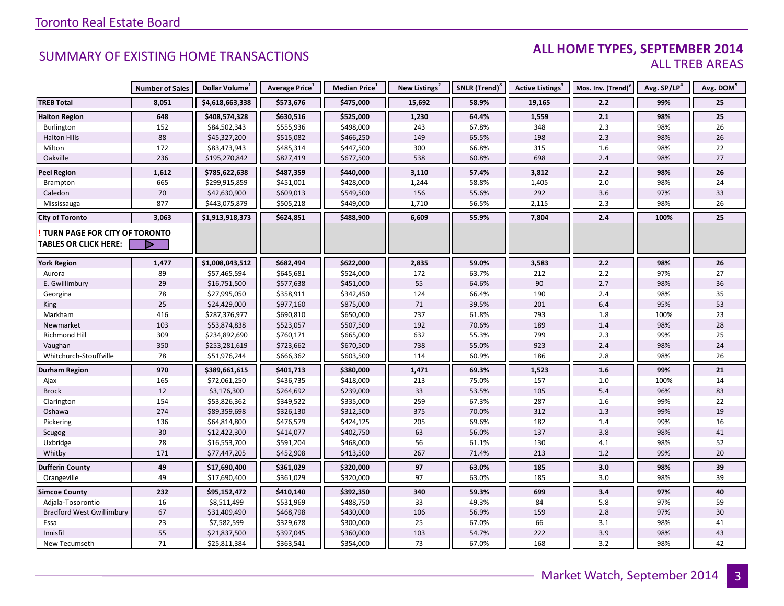### **ALL HOME TYPES, SEPTEMBER 2014** ALL TREB AREAS

|                                  | <b>Number of Sales</b> | Dollar Volume <sup>1</sup> | Average Price <sup>1</sup> | Median Price <sup>1</sup> | New Listings <sup>2</sup> | SNLR (Trend) <sup>8</sup> | Active Listings <sup>3</sup> | Mos. Inv. (Trend) <sup>9</sup> | Avg. SP/LP <sup>4</sup> | Avg. DOM <sup>5</sup> |
|----------------------------------|------------------------|----------------------------|----------------------------|---------------------------|---------------------------|---------------------------|------------------------------|--------------------------------|-------------------------|-----------------------|
| <b>TREB Total</b>                | 8,051                  | \$4,618,663,338            | \$573,676                  | \$475,000                 | 15,692                    | 58.9%                     | 19,165                       | 2.2                            | 99%                     | 25                    |
| <b>Halton Region</b>             | 648                    | \$408,574,328              | \$630,516                  | \$525,000                 | 1,230                     | 64.4%                     | 1,559                        | 2.1                            | 98%                     | 25                    |
| Burlington                       | 152                    | \$84,502,343               | \$555,936                  | \$498,000                 | 243                       | 67.8%                     | 348                          | 2.3                            | 98%                     | 26                    |
| <b>Halton Hills</b>              | 88                     | \$45,327,200               | \$515,082                  | \$466,250                 | 149                       | 65.5%                     | 198                          | 2.3                            | 98%                     | 26                    |
| Milton                           | 172                    | \$83,473,943               | \$485,314                  | \$447,500                 | 300                       | 66.8%                     | 315                          | $1.6\,$                        | 98%                     | 22                    |
| Oakville                         | 236                    | \$195,270,842              | \$827,419                  | \$677,500                 | 538                       | 60.8%                     | 698                          | 2.4                            | 98%                     | 27                    |
| <b>Peel Region</b>               | 1,612                  | \$785,622,638              | \$487,359                  | \$440,000                 | 3,110                     | 57.4%                     | 3,812                        | 2.2                            | 98%                     | 26                    |
| Brampton                         | 665                    | \$299,915,859              | \$451,001                  | \$428,000                 | 1,244                     | 58.8%                     | 1,405                        | 2.0                            | 98%                     | 24                    |
| Caledon                          | $70\,$                 | \$42,630,900               | \$609,013                  | \$549,500                 | 156                       | 55.6%                     | 292                          | 3.6                            | 97%                     | 33                    |
| Mississauga                      | 877                    | \$443,075,879              | \$505,218                  | \$449,000                 | 1,710                     | 56.5%                     | 2,115                        | 2.3                            | 98%                     | 26                    |
| <b>City of Toronto</b>           | 3,063                  | \$1,913,918,373            | \$624,851                  | \$488,900                 | 6,609                     | 55.9%                     | 7,804                        | 2.4                            | 100%                    | 25                    |
| TURN PAGE FOR CITY OF TORONTO    |                        |                            |                            |                           |                           |                           |                              |                                |                         |                       |
| <b>TABLES OR CLICK HERE:</b>     |                        |                            |                            |                           |                           |                           |                              |                                |                         |                       |
|                                  |                        |                            |                            |                           |                           |                           |                              |                                |                         |                       |
| <b>York Region</b>               | 1,477                  | \$1,008,043,512            | \$682,494                  | \$622,000                 | 2,835                     | 59.0%                     | 3,583                        | 2.2                            | 98%                     | 26                    |
| Aurora                           | 89                     | \$57,465,594               | \$645,681                  | \$524,000                 | 172                       | 63.7%                     | 212                          | 2.2                            | 97%                     | 27                    |
| E. Gwillimbury                   | 29                     | \$16,751,500               | \$577,638                  | \$451,000                 | 55                        | 64.6%                     | 90                           | 2.7                            | 98%                     | 36                    |
| Georgina                         | 78                     | \$27,995,050               | \$358,911                  | \$342,450                 | 124                       | 66.4%                     | 190                          | 2.4                            | 98%                     | 35                    |
| King                             | 25                     | \$24,429,000               | \$977,160                  | \$875,000                 | 71                        | 39.5%                     | 201                          | 6.4                            | 95%                     | 53                    |
| Markham                          | 416                    | \$287,376,977              | \$690,810                  | \$650,000                 | 737                       | 61.8%                     | 793                          | 1.8                            | 100%                    | 23                    |
| Newmarket                        | 103                    | \$53,874,838               | \$523,057                  | \$507,500                 | 192                       | 70.6%                     | 189                          | 1.4                            | 98%                     | 28                    |
| <b>Richmond Hill</b>             | 309                    | \$234,892,690              | \$760,171                  | \$665,000                 | 632                       | 55.3%                     | 799                          | 2.3                            | 99%                     | 25                    |
| Vaughan                          | 350                    | \$253,281,619              | \$723,662                  | \$670,500                 | 738                       | 55.0%                     | 923                          | $2.4$                          | 98%                     | 24                    |
| Whitchurch-Stouffville           | 78                     | \$51,976,244               | \$666,362                  | \$603,500                 | 114                       | 60.9%                     | 186                          | 2.8                            | 98%                     | 26                    |
| <b>Durham Region</b>             | 970                    | \$389,661,615              | \$401,713                  | \$380,000                 | 1,471                     | 69.3%                     | 1,523                        | 1.6                            | 99%                     | 21                    |
| Ajax                             | 165                    | \$72,061,250               | \$436,735                  | \$418,000                 | 213                       | 75.0%                     | 157                          | 1.0                            | 100%                    | 14                    |
| <b>Brock</b>                     | 12                     | \$3,176,300                | \$264,692                  | \$239,000                 | 33                        | 53.5%                     | 105                          | 5.4                            | 96%                     | 83                    |
| Clarington                       | 154                    | \$53,826,362               | \$349,522                  | \$335,000                 | 259                       | 67.3%                     | 287                          | 1.6                            | 99%                     | 22                    |
| Oshawa                           | 274                    | \$89,359,698               | \$326,130                  | \$312,500                 | 375                       | 70.0%                     | 312                          | 1.3                            | 99%                     | 19                    |
| Pickering                        | 136                    | \$64,814,800               | \$476,579                  | \$424,125                 | 205                       | 69.6%                     | 182                          | 1.4                            | 99%                     | 16                    |
| Scugog                           | 30                     | \$12,422,300               | \$414,077                  | \$402,750                 | 63                        | 56.0%                     | 137                          | 3.8                            | 98%                     | 41                    |
| Uxbridge                         | 28                     | \$16,553,700               | \$591,204                  | \$468,000                 | 56                        | 61.1%                     | 130                          | 4.1                            | 98%                     | 52                    |
| Whitby                           | 171                    | \$77,447,205               | \$452,908                  | \$413,500                 | 267                       | 71.4%                     | 213                          | $1.2$                          | 99%                     | 20                    |
| <b>Dufferin County</b>           | 49                     | \$17,690,400               | \$361,029                  | \$320,000                 | 97                        | 63.0%                     | 185                          | 3.0                            | 98%                     | 39                    |
| Orangeville                      | 49                     | \$17,690,400               | \$361,029                  | \$320,000                 | 97                        | 63.0%                     | 185                          | 3.0                            | 98%                     | 39                    |
| <b>Simcoe County</b>             | 232                    | \$95,152,472               | \$410,140                  | \$392,350                 | 340                       | 59.3%                     | 699                          | 3.4                            | 97%                     | 40                    |
| Adjala-Tosorontio                | 16                     | \$8,511,499                | \$531,969                  | \$488,750                 | 33                        | 49.3%                     | 84                           | 5.8                            | 97%                     | 59                    |
| <b>Bradford West Gwillimbury</b> | 67                     | \$31,409,490               | \$468,798                  | \$430,000                 | 106                       | 56.9%                     | 159                          | 2.8                            | 97%                     | 30                    |
| Essa                             | 23                     | \$7,582,599                | \$329,678                  | \$300,000                 | 25                        | 67.0%                     | 66                           | 3.1                            | 98%                     | 41                    |
| Innisfil                         | 55                     | \$21,837,500               | \$397,045                  | \$360,000                 | 103                       | 54.7%                     | 222                          | 3.9                            | 98%                     | 43                    |
| New Tecumseth                    | 71                     | \$25,811,384               | \$363,541                  | \$354,000                 | 73                        | 67.0%                     | 168                          | 3.2                            | 98%                     | 42                    |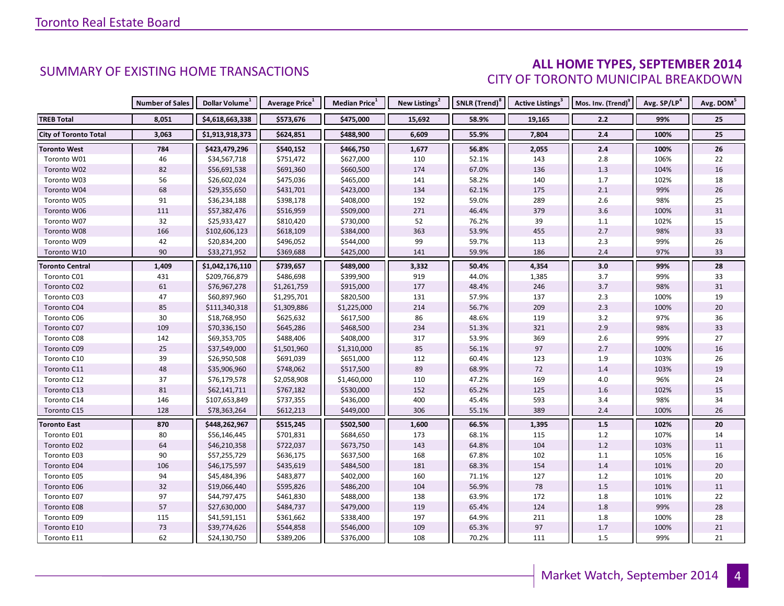### **ALL HOME TYPES, SEPTEMBER 2014** CITY OF TORONTO MUNICIPAL BREAKDOWN

|                              | <b>Number of Sales</b> | Dollar Volume <sup>1</sup> | <b>Average Price</b> <sup>1</sup> | <b>Median Price</b> <sup>1</sup> | New Listings <sup>2</sup> | SNLR (Trend) <sup>8</sup> | Active Listings <sup>3</sup> | Mos. Inv. (Trend) <sup>9</sup> | Avg. SP/LP <sup>4</sup> | Avg. DOM <sup>5</sup> |
|------------------------------|------------------------|----------------------------|-----------------------------------|----------------------------------|---------------------------|---------------------------|------------------------------|--------------------------------|-------------------------|-----------------------|
| <b>TREB Total</b>            | 8,051                  | \$4,618,663,338            | \$573,676                         | \$475,000                        | 15,692                    | 58.9%                     | 19,165                       | 2.2                            | 99%                     | 25                    |
| <b>City of Toronto Total</b> | 3,063                  | \$1,913,918,373            | \$624,851                         | \$488,900                        | 6,609                     | 55.9%                     | 7,804                        | $2.4\,$                        | 100%                    | 25                    |
| <b>Toronto West</b>          | 784                    | \$423,479,296              | \$540,152                         | \$466,750                        | 1,677                     | 56.8%                     | 2,055                        | 2.4                            | 100%                    | 26                    |
| Toronto W01                  | 46                     | \$34,567,718               | \$751,472                         | \$627,000                        | 110                       | 52.1%                     | 143                          | 2.8                            | 106%                    | 22                    |
| Toronto W02                  | 82                     | \$56,691,538               | \$691,360                         | \$660,500                        | 174                       | 67.0%                     | 136                          | $1.3$                          | 104%                    | 16                    |
| Toronto W03                  | 56                     | \$26,602,024               | \$475,036                         | \$465,000                        | 141                       | 58.2%                     | 140                          | 1.7                            | 102%                    | $18\,$                |
| Toronto W04                  | 68                     | \$29,355,650               | \$431,701                         | \$423,000                        | 134                       | 62.1%                     | 175                          | $2.1\,$                        | 99%                     | 26                    |
| Toronto W05                  | 91                     | \$36,234,188               | \$398,178                         | \$408,000                        | 192                       | 59.0%                     | 289                          | $2.6\,$                        | 98%                     | 25                    |
| Toronto W06                  | 111                    | \$57,382,476               | \$516,959                         | \$509,000                        | 271                       | 46.4%                     | 379                          | 3.6                            | 100%                    | 31                    |
| Toronto W07                  | 32                     | \$25,933,427               | \$810,420                         | \$730,000                        | 52                        | 76.2%                     | 39                           | $1.1\,$                        | 102%                    | 15                    |
| Toronto W08                  | 166                    | \$102,606,123              | \$618,109                         | \$384,000                        | 363                       | 53.9%                     | 455                          | 2.7                            | 98%                     | 33                    |
| Toronto W09                  | 42                     | \$20,834,200               | \$496,052                         | \$544,000                        | 99                        | 59.7%                     | 113                          | $2.3$                          | 99%                     | 26                    |
| Toronto W10                  | 90                     | \$33,271,952               | \$369,688                         | \$425,000                        | 141                       | 59.9%                     | 186                          | $2.4$                          | 97%                     | 33                    |
| <b>Toronto Central</b>       | 1,409                  | \$1,042,176,110            | \$739,657                         | \$489,000                        | 3,332                     | 50.4%                     | 4,354                        | 3.0                            | 99%                     | 28                    |
| Toronto C01                  | 431                    | \$209,766,879              | \$486,698                         | \$399,900                        | 919                       | 44.0%                     | 1,385                        | 3.7                            | 99%                     | 33                    |
| Toronto C02                  | 61                     | \$76,967,278               | \$1,261,759                       | \$915,000                        | 177                       | 48.4%                     | 246                          | $3.7$                          | 98%                     | 31                    |
| Toronto C03                  | 47                     | \$60,897,960               | \$1,295,701                       | \$820,500                        | 131                       | 57.9%                     | 137                          | $2.3$                          | 100%                    | 19                    |
| Toronto C04                  | 85                     | \$111,340,318              | \$1,309,886                       | \$1,225,000                      | 214                       | 56.7%                     | 209                          | $2.3$                          | 100%                    | 20                    |
| Toronto C06                  | $30\,$                 | \$18,768,950               | \$625,632                         | \$617,500                        | 86                        | 48.6%                     | 119                          | $3.2\,$                        | 97%                     | $36\,$                |
| Toronto C07                  | 109                    | \$70,336,150               | \$645,286                         | \$468,500                        | 234                       | 51.3%                     | 321                          | 2.9                            | 98%                     | 33                    |
| Toronto C08                  | 142                    | \$69,353,705               | \$488,406                         | \$408,000                        | 317                       | 53.9%                     | 369                          | $2.6\,$                        | 99%                     | 27                    |
| Toronto C09                  | 25                     | \$37,549,000               | \$1,501,960                       | \$1,310,000                      | 85                        | 56.1%                     | 97                           | 2.7                            | 100%                    | 16                    |
| Toronto C10                  | 39                     | \$26,950,508               | \$691,039                         | \$651,000                        | 112                       | 60.4%                     | 123                          | 1.9                            | 103%                    | 26                    |
| Toronto C11                  | 48                     | \$35,906,960               | \$748,062                         | \$517,500                        | 89                        | 68.9%                     | 72                           | 1.4                            | 103%                    | 19                    |
| Toronto C12                  | 37                     | \$76,179,578               | \$2,058,908                       | \$1,460,000                      | 110                       | 47.2%                     | 169                          | 4.0                            | 96%                     | 24                    |
| Toronto C13                  | 81                     | \$62,141,711               | \$767,182                         | \$530,000                        | 152                       | 65.2%                     | 125                          | $1.6\,$                        | 102%                    | 15                    |
| Toronto C14                  | 146                    | \$107,653,849              | \$737,355                         | \$436,000                        | 400                       | 45.4%                     | 593                          | 3.4                            | 98%                     | 34                    |
| Toronto C15                  | 128                    | \$78,363,264               | \$612,213                         | \$449,000                        | 306                       | 55.1%                     | 389                          | 2.4                            | 100%                    | 26                    |
| <b>Toronto East</b>          | 870                    | \$448,262,967              | \$515,245                         | \$502,500                        | 1,600                     | 66.5%                     | 1,395                        | 1.5                            | 102%                    | 20                    |
| Toronto E01                  | 80                     | \$56,146,445               | \$701,831                         | \$684,650                        | 173                       | 68.1%                     | 115                          | $1.2\,$                        | 107%                    | 14                    |
| Toronto E02                  | 64                     | \$46,210,358               | \$722,037                         | \$673,750                        | 143                       | 64.8%                     | 104                          | $1.2\,$                        | 103%                    | 11                    |
| Toronto E03                  | 90                     | \$57,255,729               | \$636,175                         | \$637,500                        | 168                       | 67.8%                     | 102                          | $1.1\,$                        | 105%                    | 16                    |
| Toronto E04                  | 106                    | \$46,175,597               | \$435,619                         | \$484,500                        | 181                       | 68.3%                     | 154                          | 1.4                            | 101%                    | 20                    |
| Toronto E05                  | 94                     | \$45,484,396               | \$483,877                         | \$402,000                        | 160                       | 71.1%                     | 127                          | $1.2\,$                        | 101%                    | 20                    |
| Toronto E06                  | 32                     | \$19,066,440               | \$595,826                         | \$486,200                        | 104                       | 56.9%                     | 78                           | $1.5\,$                        | 101%                    | 11                    |
| Toronto E07                  | 97                     | \$44,797,475               | \$461,830                         | \$488,000                        | 138                       | 63.9%                     | 172                          | 1.8                            | 101%                    | 22                    |
| Toronto E08                  | 57                     | \$27,630,000               | \$484,737                         | \$479,000                        | 119                       | 65.4%                     | 124                          | 1.8                            | 99%                     | 28                    |
| Toronto E09                  | 115                    | \$41,591,151               | \$361,662                         | \$338,400                        | 197                       | 64.9%                     | 211                          | 1.8                            | 100%                    | 28                    |
| Toronto E10                  | 73                     | \$39,774,626               | \$544,858                         | \$546,000                        | 109                       | 65.3%                     | 97                           | $1.7$                          | 100%                    | 21                    |
| Toronto E11                  | 62                     | \$24,130,750               | \$389,206                         | \$376,000                        | 108                       | 70.2%                     | 111                          | 1.5                            | 99%                     | 21                    |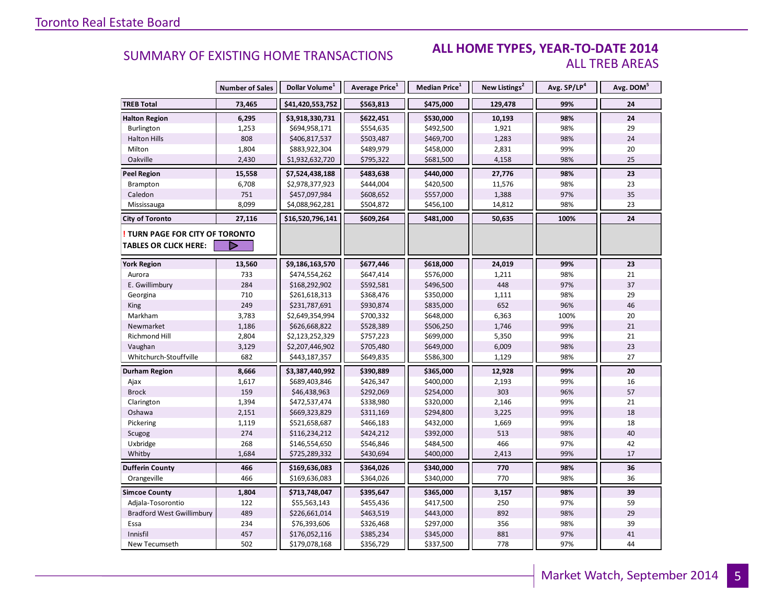#### **ALL HOME TYPES, YEAR-TO-DATE 2014** ALL TREB AREAS

|                                  | <b>Number of Sales</b> | Dollar Volume <sup>1</sup> | Average Price <sup>1</sup> | Median Price <sup>1</sup> | New Listings <sup>2</sup> | Avg. SP/LP <sup>4</sup> | Avg. DOM <sup>5</sup> |
|----------------------------------|------------------------|----------------------------|----------------------------|---------------------------|---------------------------|-------------------------|-----------------------|
| <b>TREB Total</b>                | 73,465                 | \$41,420,553,752           | \$563,813                  | \$475,000                 | 129,478                   | 99%                     | 24                    |
| <b>Halton Region</b>             | 6,295                  | \$3,918,330,731            | \$622,451                  | \$530,000                 | 10,193                    | 98%                     | 24                    |
| Burlington                       | 1,253                  | \$694,958,171              | \$554,635                  | \$492,500                 | 1,921                     | 98%                     | 29                    |
| <b>Halton Hills</b>              | 808                    | \$406,817,537              | \$503,487                  | \$469,700                 | 1,283                     | 98%                     | 24                    |
| Milton                           | 1,804                  | \$883,922,304              | \$489,979                  | \$458,000                 | 2,831                     | 99%                     | 20                    |
| Oakville                         | 2,430                  | \$1,932,632,720            | \$795,322                  | \$681,500                 | 4,158                     | 98%                     | 25                    |
| <b>Peel Region</b>               | 15,558                 | \$7,524,438,188            | \$483,638                  | \$440,000                 | 27,776                    | 98%                     | 23                    |
| Brampton                         | 6,708                  | \$2,978,377,923            | \$444,004                  | \$420,500                 | 11,576                    | 98%                     | 23                    |
| Caledon                          | 751                    | \$457,097,984              | \$608,652                  | \$557,000                 | 1,388                     | 97%                     | 35                    |
| Mississauga                      | 8,099                  | \$4,088,962,281            | \$504,872                  | \$456,100                 | 14,812                    | 98%                     | 23                    |
| <b>City of Toronto</b>           | 27,116                 | \$16,520,796,141           | \$609,264                  | \$481,000                 | 50,635                    | 100%                    | 24                    |
| TURN PAGE FOR CITY OF TORONTO    |                        |                            |                            |                           |                           |                         |                       |
| <b>TABLES OR CLICK HERE:</b>     |                        |                            |                            |                           |                           |                         |                       |
| <b>York Region</b>               | 13,560                 | \$9,186,163,570            | \$677,446                  | \$618,000                 | 24,019                    | 99%                     | 23                    |
| Aurora                           | 733                    | \$474,554,262              | \$647,414                  | \$576,000                 | 1,211                     | 98%                     | 21                    |
| E. Gwillimbury                   | 284                    | \$168,292,902              | \$592,581                  | \$496,500                 | 448                       | 97%                     | 37                    |
| Georgina                         | 710                    | \$261,618,313              | \$368,476                  | \$350,000                 | 1,111                     | 98%                     | 29                    |
| King                             | 249                    | \$231,787,691              | \$930,874                  | \$835,000                 | 652                       | 96%                     | 46                    |
| Markham                          | 3,783                  | \$2,649,354,994            | \$700,332                  | \$648,000                 | 6,363                     | 100%                    | 20                    |
| Newmarket                        | 1,186                  | \$626,668,822              | \$528,389                  | \$506,250                 | 1,746                     | 99%                     | 21                    |
| Richmond Hill                    | 2,804                  | \$2,123,252,329            | \$757,223                  | \$699,000                 | 5,350                     | 99%                     | 21                    |
| Vaughan                          | 3,129                  | \$2,207,446,902            | \$705,480                  | \$649,000                 | 6,009                     | 98%                     | 23                    |
| Whitchurch-Stouffville           | 682                    | \$443,187,357              | \$649,835                  | \$586,300                 | 1,129                     | 98%                     | 27                    |
| Durham Region                    | 8,666                  | \$3,387,440,992            | \$390,889                  | \$365,000                 | 12,928                    | 99%                     | 20                    |
| Ajax                             | 1,617                  | \$689,403,846              | \$426,347                  | \$400,000                 | 2,193                     | 99%                     | 16                    |
| <b>Brock</b>                     | 159                    | \$46,438,963               | \$292,069                  | \$254,000                 | 303                       | 96%                     | 57                    |
| Clarington                       | 1,394                  | \$472,537,474              | \$338,980                  | \$320,000                 | 2,146                     | 99%                     | 21                    |
| Oshawa                           | 2,151                  | \$669,323,829              | \$311,169                  | \$294,800                 | 3,225                     | 99%                     | 18                    |
| Pickering                        | 1,119                  | \$521,658,687              | \$466,183                  | \$432,000                 | 1,669                     | 99%                     | 18                    |
| Scugog                           | 274                    | \$116,234,212              | \$424,212                  | \$392,000                 | 513                       | 98%                     | 40                    |
| Uxbridge                         | 268                    | \$146,554,650              | \$546,846                  | \$484,500                 | 466                       | 97%                     | 42                    |
| Whitby                           | 1,684                  | \$725,289,332              | \$430,694                  | \$400,000                 | 2,413                     | 99%                     | 17                    |
| <b>Dufferin County</b>           | 466                    | \$169,636,083              | \$364,026                  | \$340,000                 | 770                       | 98%                     | 36                    |
| Orangeville                      | 466                    | \$169,636,083              | \$364,026                  | \$340,000                 | 770                       | 98%                     | 36                    |
| <b>Simcoe County</b>             | 1,804                  | \$713,748,047              | \$395,647                  | \$365,000                 | 3,157                     | 98%                     | 39                    |
| Adjala-Tosorontio                | 122                    | \$55,563,143               | \$455,436                  | \$417,500                 | 250                       | 97%                     | 59                    |
| <b>Bradford West Gwillimbury</b> | 489                    | \$226,661,014              | \$463,519                  | \$443,000                 | 892                       | 98%                     | 29                    |
| Essa                             | 234                    | \$76,393,606               | \$326,468                  | \$297,000                 | 356                       | 98%                     | 39                    |
| Innisfil                         | 457                    | \$176,052,116              | \$385,234                  | \$345,000                 | 881                       | 97%                     | 41                    |
| New Tecumseth                    | 502                    | \$179,078,168              | \$356,729                  | \$337,500                 | 778                       | 97%                     | 44                    |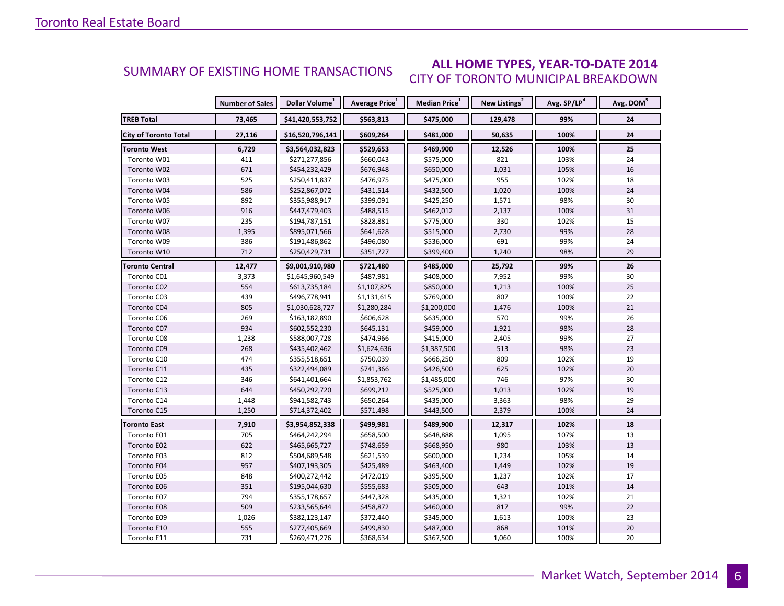#### **ALL HOME TYPES, YEAR-TO-DATE 2014** CITY OF TORONTO MUNICIPAL BREAKDOWN SUMMARY OF EXISTING HOME TRANSACTIONS

|                              | <b>Number of Sales</b> | Dollar Volume <sup>1</sup> | Average Price <sup>1</sup> | Median Price <sup>1</sup> | New Listings <sup>2</sup> | Avg. SP/LP <sup>4</sup> | Avg. DOM <sup>5</sup> |
|------------------------------|------------------------|----------------------------|----------------------------|---------------------------|---------------------------|-------------------------|-----------------------|
| <b>TREB Total</b>            | 73,465                 | \$41,420,553,752           | \$563,813                  | \$475,000                 | 129,478                   | 99%                     | 24                    |
| <b>City of Toronto Total</b> | 27,116                 | \$16,520,796,141           | \$609,264                  | \$481,000                 | 50,635                    | 100%                    | 24                    |
| <b>Toronto West</b>          | 6,729                  | \$3,564,032,823            | \$529,653                  | \$469,900                 | 12,526                    | 100%                    | 25                    |
| Toronto W01                  | 411                    | \$271,277,856              | \$660,043                  | \$575,000                 | 821                       | 103%                    | 24                    |
| Toronto W02                  | 671                    | \$454,232,429              | \$676,948                  | \$650,000                 | 1,031                     | 105%                    | 16                    |
| Toronto W03                  | 525                    | \$250,411,837              | \$476,975                  | \$475,000                 | 955                       | 102%                    | 18                    |
| Toronto W04                  | 586                    | \$252,867,072              | \$431,514                  | \$432,500                 | 1,020                     | 100%                    | 24                    |
| Toronto W05                  | 892                    | \$355,988,917              | \$399,091                  | \$425,250                 | 1,571                     | 98%                     | 30                    |
| Toronto W06                  | 916                    | \$447,479,403              | \$488,515                  | \$462,012                 | 2,137                     | 100%                    | 31                    |
| Toronto W07                  | 235                    | \$194,787,151              | \$828,881                  | \$775,000                 | 330                       | 102%                    | 15                    |
| Toronto W08                  | 1,395                  | \$895,071,566              | \$641,628                  | \$515,000                 | 2,730                     | 99%                     | 28                    |
| Toronto W09                  | 386                    | \$191,486,862              | \$496,080                  | \$536,000                 | 691                       | 99%                     | 24                    |
| Toronto W10                  | 712                    | \$250,429,731              | \$351,727                  | \$399,400                 | 1,240                     | 98%                     | 29                    |
| <b>Toronto Central</b>       | 12,477                 | \$9,001,910,980            | \$721,480                  | \$485,000                 | 25,792                    | 99%                     | 26                    |
| Toronto C01                  | 3,373                  | \$1,645,960,549            | \$487,981                  | \$408,000                 | 7,952                     | 99%                     | 30                    |
| Toronto C02                  | 554                    | \$613,735,184              | \$1,107,825                | \$850,000                 | 1,213                     | 100%                    | 25                    |
| Toronto C03                  | 439                    | \$496,778,941              | \$1,131,615                | \$769,000                 | 807                       | 100%                    | 22                    |
| Toronto C04                  | 805                    | \$1,030,628,727            | \$1,280,284                | \$1,200,000               | 1,476                     | 100%                    | 21                    |
| Toronto C06                  | 269                    | \$163,182,890              | \$606,628                  | \$635,000                 | 570                       | 99%                     | 26                    |
| Toronto C07                  | 934                    | \$602,552,230              | \$645,131                  | \$459,000                 | 1,921                     | 98%                     | 28                    |
| Toronto C08                  | 1,238                  | \$588,007,728              | \$474,966                  | \$415,000                 | 2,405                     | 99%                     | 27                    |
| Toronto C09                  | 268                    | \$435,402,462              | \$1,624,636                | \$1,387,500               | 513                       | 98%                     | 23                    |
| Toronto C10                  | 474                    | \$355,518,651              | \$750,039                  | \$666,250                 | 809                       | 102%                    | 19                    |
| Toronto C11                  | 435                    | \$322,494,089              | \$741,366                  | \$426,500                 | 625                       | 102%                    | 20                    |
| Toronto C12                  | 346                    | \$641,401,664              | \$1,853,762                | \$1,485,000               | 746                       | 97%                     | 30                    |
| Toronto C13                  | 644                    | \$450,292,720              | \$699,212                  | \$525,000                 | 1,013                     | 102%                    | 19                    |
| Toronto C14                  | 1,448                  | \$941,582,743              | \$650,264                  | \$435,000                 | 3,363                     | 98%                     | 29                    |
| Toronto C15                  | 1,250                  | \$714,372,402              | \$571,498                  | \$443,500                 | 2,379                     | 100%                    | 24                    |
| Toronto East                 | 7,910                  | \$3,954,852,338            | \$499,981                  | \$489,900                 | 12,317                    | 102%                    | 18                    |
| Toronto E01                  | 705                    | \$464,242,294              | \$658,500                  | \$648,888                 | 1,095                     | 107%                    | 13                    |
| Toronto E02                  | 622                    | \$465,665,727              | \$748,659                  | \$668,950                 | 980                       | 103%                    | 13                    |
| Toronto E03                  | 812                    | \$504,689,548              | \$621,539                  | \$600,000                 | 1,234                     | 105%                    | 14                    |
| Toronto E04                  | 957                    | \$407,193,305              | \$425,489                  | \$463,400                 | 1,449                     | 102%                    | 19                    |
| Toronto E05                  | 848                    | \$400,272,442              | \$472,019                  | \$395,500                 | 1,237                     | 102%                    | 17                    |
| Toronto E06                  | 351                    | \$195,044,630              | \$555,683                  | \$505,000                 | 643                       | 101%                    | 14                    |
| Toronto E07                  | 794                    | \$355,178,657              | \$447,328                  | \$435,000                 | 1,321                     | 102%                    | 21                    |
| Toronto E08                  | 509                    | \$233,565,644              | \$458,872                  | \$460,000                 | 817                       | 99%                     | 22                    |
| Toronto E09                  | 1,026                  | \$382,123,147              | \$372,440                  | \$345,000                 | 1,613                     | 100%                    | 23                    |
| Toronto E10                  | 555                    | \$277,405,669              | \$499,830                  | \$487,000                 | 868                       | 101%                    | 20                    |
| Toronto E11                  | 731                    | \$269,471,276              | \$368,634                  | \$367,500                 | 1,060                     | 100%                    | 20                    |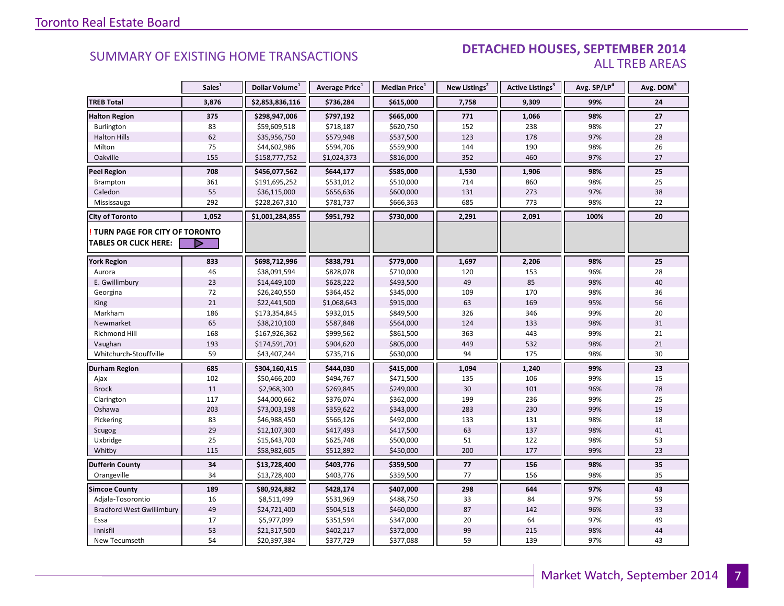#### **Industrial Leasing SUMMARY OF EXISTING HOME TRANSACTIONS DETACHED HOUSES, SEPTEMBER 2014** ALL TREB AREAS

|                                  | Sales <sup>1</sup> | Dollar Volume <sup>1</sup> | Average Price <sup>1</sup> | Median Price <sup>1</sup> | New Listings <sup>2</sup> | Active Listings <sup>3</sup> | Avg. SP/LP <sup>4</sup> | Avg. DOM <sup>5</sup> |
|----------------------------------|--------------------|----------------------------|----------------------------|---------------------------|---------------------------|------------------------------|-------------------------|-----------------------|
| <b>TREB Total</b>                | 3,876              | \$2,853,836,116            | \$736,284                  | \$615,000                 | 7,758                     | 9,309                        | 99%                     | 24                    |
| <b>Halton Region</b>             | 375                | \$298,947,006              | \$797,192                  | \$665,000                 | 771                       | 1,066                        | 98%                     | 27                    |
| Burlington                       | 83                 | \$59,609,518               | \$718,187                  | \$620,750                 | 152                       | 238                          | 98%                     | 27                    |
| <b>Halton Hills</b>              | 62                 | \$35,956,750               | \$579,948                  | \$537,500                 | 123                       | 178                          | 97%                     | 28                    |
| Milton                           | 75                 | \$44,602,986               | \$594,706                  | \$559,900                 | 144                       | 190                          | 98%                     | 26                    |
| Oakville                         | 155                | \$158,777,752              | \$1,024,373                | \$816,000                 | 352                       | 460                          | 97%                     | 27                    |
| <b>Peel Region</b>               | 708                | \$456,077,562              | \$644,177                  | \$585,000                 | 1,530                     | 1,906                        | 98%                     | 25                    |
| Brampton                         | 361                | \$191,695,252              | \$531,012                  | \$510,000                 | 714                       | 860                          | 98%                     | 25                    |
| Caledon                          | 55                 | \$36,115,000               | \$656,636                  | \$600,000                 | 131                       | 273                          | 97%                     | 38                    |
| Mississauga                      | 292                | \$228,267,310              | \$781,737                  | \$666,363                 | 685                       | 773                          | 98%                     | 22                    |
| <b>City of Toronto</b>           | 1,052              | \$1,001,284,855            | \$951,792                  | \$730,000                 | 2,291                     | 2,091                        | 100%                    | 20                    |
| TURN PAGE FOR CITY OF TORONTO    |                    |                            |                            |                           |                           |                              |                         |                       |
| <b>TABLES OR CLICK HERE:</b>     |                    |                            |                            |                           |                           |                              |                         |                       |
| <b>York Region</b>               | 833                | \$698,712,996              | \$838,791                  | \$779,000                 | 1,697                     | 2,206                        | 98%                     | 25                    |
| Aurora                           | 46                 | \$38,091,594               | \$828,078                  | \$710,000                 | 120                       | 153                          | 96%                     | 28                    |
| E. Gwillimbury                   | 23                 | \$14,449,100               | \$628,222                  | \$493,500                 | 49                        | 85                           | 98%                     | 40                    |
| Georgina                         | 72                 | \$26,240,550               | \$364,452                  | \$345,000                 | 109                       | 170                          | 98%                     | 36                    |
| <b>King</b>                      | 21                 | \$22,441,500               | \$1,068,643                | \$915,000                 | 63                        | 169                          | 95%                     | 56                    |
| Markham                          | 186                | \$173,354,845              | \$932,015                  | \$849,500                 | 326                       | 346                          | 99%                     | 20                    |
| Newmarket                        | 65                 | \$38,210,100               | \$587,848                  | \$564,000                 | 124                       | 133                          | 98%                     | 31                    |
| Richmond Hill                    | 168                | \$167,926,362              | \$999,562                  | \$861,500                 | 363                       | 443                          | 99%                     | 21                    |
| Vaughan                          | 193                | \$174,591,701              | \$904,620                  | \$805,000                 | 449                       | 532                          | 98%                     | 21                    |
| Whitchurch-Stouffville           | 59                 | \$43,407,244               | \$735,716                  | \$630,000                 | 94                        | 175                          | 98%                     | 30                    |
| Durham Region                    | 685                | \$304,160,415              | \$444,030                  | \$415,000                 | 1,094                     | 1,240                        | 99%                     | 23                    |
| Ajax                             | 102                | \$50,466,200               | \$494,767                  | \$471,500                 | 135                       | 106                          | 99%                     | 15                    |
| <b>Brock</b>                     | 11                 | \$2,968,300                | \$269,845                  | \$249,000                 | 30                        | 101                          | 96%                     | 78                    |
| Clarington                       | 117                | \$44,000,662               | \$376,074                  | \$362,000                 | 199                       | 236                          | 99%                     | 25                    |
| Oshawa                           | 203                | \$73,003,198               | \$359,622                  | \$343,000                 | 283                       | 230                          | 99%                     | 19                    |
| Pickering                        | 83                 | \$46,988,450               | \$566,126                  | \$492,000                 | 133                       | 131                          | 98%                     | 18                    |
| Scugog                           | 29                 | \$12,107,300               | \$417,493                  | \$417,500                 | 63                        | 137                          | 98%                     | 41                    |
| Uxbridge                         | 25                 | \$15,643,700               | \$625,748                  | \$500,000                 | 51                        | 122                          | 98%                     | 53                    |
| Whitby                           | 115                | \$58,982,605               | \$512,892                  | \$450,000                 | 200                       | 177                          | 99%                     | 23                    |
| <b>Dufferin County</b>           | 34                 | \$13,728,400               | \$403,776                  | \$359,500                 | 77                        | 156                          | 98%                     | 35                    |
| Orangeville                      | 34                 | \$13,728,400               | \$403,776                  | \$359,500                 | 77                        | 156                          | 98%                     | 35                    |
| <b>Simcoe County</b>             | 189                | \$80,924,882               | \$428,174                  | \$407,000                 | 298                       | 644                          | 97%                     | 43                    |
| Adjala-Tosorontio                | 16                 | \$8,511,499                | \$531,969                  | \$488,750                 | 33                        | 84                           | 97%                     | 59                    |
| <b>Bradford West Gwillimbury</b> | 49                 | \$24,721,400               | \$504,518                  | \$460,000                 | 87                        | 142                          | 96%                     | 33                    |
| Essa                             | 17                 | \$5,977,099                | \$351,594                  | \$347,000                 | 20                        | 64                           | 97%                     | 49                    |
| Innisfil                         | 53                 | \$21,317,500               | \$402,217                  | \$372,000                 | 99                        | 215                          | 98%                     | 44                    |
| New Tecumseth                    | 54                 | \$20,397,384               | \$377,729                  | \$377,088                 | 59                        | 139                          | 97%                     | 43                    |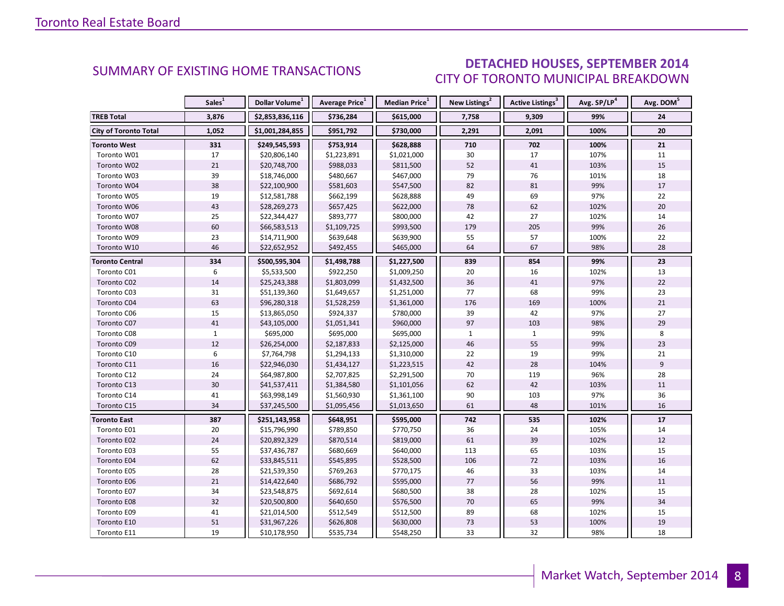### DETACHED HOUSES, SEPTEMBER 2014 CITY OF TORONTO MUNICIPAL BREAKDOWN

<span id="page-7-0"></span>

|                              | Sales <sup>1</sup> | Dollar Volume <sup>1</sup> | Average Price <sup>1</sup> | Median Price <sup>1</sup> | New Listings <sup>2</sup> | Active Listings <sup>3</sup> | Avg. SP/LP <sup>4</sup> | Avg. DOM <sup>5</sup> |
|------------------------------|--------------------|----------------------------|----------------------------|---------------------------|---------------------------|------------------------------|-------------------------|-----------------------|
| <b>TREB Total</b>            | 3,876              | \$2,853,836,116            | \$736,284                  | \$615,000                 | 7,758                     | 9,309                        | 99%                     | 24                    |
| <b>City of Toronto Total</b> | 1,052              | \$1,001,284,855            | \$951,792                  | \$730,000                 | 2,291                     | 2,091                        | 100%                    | 20                    |
| Toronto West                 | 331                | \$249,545,593              | \$753,914                  | \$628,888                 | 710                       | 702                          | 100%                    | 21                    |
| Toronto W01                  | 17                 | \$20,806,140               | \$1,223,891                | \$1,021,000               | 30                        | 17                           | 107%                    | 11                    |
| Toronto W02                  | $21\,$             | \$20,748,700               | \$988,033                  | \$811,500                 | 52                        | 41                           | 103%                    | 15                    |
| Toronto W03                  | 39                 | \$18,746,000               | \$480,667                  | \$467,000                 | 79                        | 76                           | 101%                    | 18                    |
| Toronto W04                  | 38                 | \$22,100,900               | \$581,603                  | \$547,500                 | 82                        | 81                           | 99%                     | 17                    |
| Toronto W05                  | 19                 | \$12,581,788               | \$662,199                  | \$628,888                 | 49                        | 69                           | 97%                     | 22                    |
| Toronto W06                  | 43                 | \$28,269,273               | \$657,425                  | \$622,000                 | 78                        | 62                           | 102%                    | 20                    |
| Toronto W07                  | 25                 | \$22,344,427               | \$893,777                  | \$800,000                 | 42                        | 27                           | 102%                    | 14                    |
| Toronto W08                  | 60                 | \$66,583,513               | \$1,109,725                | \$993,500                 | 179                       | 205                          | 99%                     | 26                    |
| Toronto W09                  | 23                 | \$14,711,900               | \$639,648                  | \$639,900                 | 55                        | 57                           | 100%                    | 22                    |
| Toronto W10                  | 46                 | \$22,652,952               | \$492,455                  | \$465,000                 | 64                        | 67                           | 98%                     | 28                    |
| Toronto Central              | 334                | \$500,595,304              | \$1,498,788                | \$1,227,500               | 839                       | 854                          | 99%                     | 23                    |
| Toronto C01                  | 6                  | \$5,533,500                | \$922,250                  | \$1,009,250               | 20                        | 16                           | 102%                    | 13                    |
| Toronto C02                  | 14                 | \$25,243,388               | \$1,803,099                | \$1,432,500               | 36                        | 41                           | 97%                     | 22                    |
| Toronto C03                  | 31                 | \$51,139,360               | \$1,649,657                | \$1,251,000               | 77                        | 68                           | 99%                     | 23                    |
| Toronto C04                  | 63                 | \$96,280,318               | \$1,528,259                | \$1,361,000               | 176                       | 169                          | 100%                    | 21                    |
| Toronto C06                  | 15                 | \$13,865,050               | \$924,337                  | \$780,000                 | 39                        | 42                           | 97%                     | 27                    |
| Toronto C07                  | 41                 | \$43,105,000               | \$1,051,341                | \$960,000                 | 97                        | 103                          | 98%                     | 29                    |
| Toronto C08                  | $\mathbf{1}$       | \$695,000                  | \$695,000                  | \$695,000                 | $\mathbf{1}$              | $\mathbf{1}$                 | 99%                     | 8                     |
| Toronto C09                  | 12                 | \$26,254,000               | \$2,187,833                | \$2,125,000               | 46                        | 55                           | 99%                     | 23                    |
| Toronto C10                  | 6                  | \$7,764,798                | \$1,294,133                | \$1,310,000               | 22                        | 19                           | 99%                     | 21                    |
| Toronto C11                  | 16                 | \$22,946,030               | \$1,434,127                | \$1,223,515               | 42                        | 28                           | 104%                    | 9                     |
| Toronto C12                  | 24                 | \$64,987,800               | \$2,707,825                | \$2,291,500               | 70                        | 119                          | 96%                     | 28                    |
| Toronto C13                  | 30                 | \$41,537,411               | \$1,384,580                | \$1,101,056               | 62                        | 42                           | 103%                    | 11                    |
| Toronto C14                  | 41                 | \$63,998,149               | \$1,560,930                | \$1,361,100               | 90                        | 103                          | 97%                     | 36                    |
| Toronto C15                  | 34                 | \$37,245,500               | \$1,095,456                | \$1,013,650               | 61                        | 48                           | 101%                    | 16                    |
| <b>Toronto East</b>          | 387                | \$251,143,958              | \$648,951                  | \$595,000                 | 742                       | 535                          | 102%                    | 17                    |
| Toronto E01                  | 20                 | \$15,796,990               | \$789,850                  | \$770,750                 | 36                        | 24                           | 105%                    | 14                    |
| Toronto E02                  | 24                 | \$20,892,329               | \$870,514                  | \$819,000                 | 61                        | 39                           | 102%                    | 12                    |
| Toronto E03                  | 55                 | \$37,436,787               | \$680,669                  | \$640,000                 | 113                       | 65                           | 103%                    | 15                    |
| Toronto E04                  | 62                 | \$33,845,511               | \$545,895                  | \$528,500                 | 106                       | 72                           | 103%                    | 16                    |
| Toronto E05                  | 28                 | \$21,539,350               | \$769,263                  | \$770,175                 | 46                        | 33                           | 103%                    | 14                    |
| Toronto E06                  | 21                 | \$14,422,640               | \$686,792                  | \$595,000                 | 77                        | 56                           | 99%                     | 11                    |
| Toronto E07                  | 34                 | \$23,548,875               | \$692,614                  | \$680,500                 | 38                        | 28                           | 102%                    | 15                    |
| Toronto E08                  | 32                 | \$20,500,800               | \$640,650                  | \$576,500                 | 70                        | 65                           | 99%                     | 34                    |
| Toronto E09                  | 41                 | \$21,014,500               | \$512,549                  | \$512,500                 | 89                        | 68                           | 102%                    | 15                    |
| Toronto E10                  | 51                 | \$31,967,226               | \$626,808                  | \$630,000                 | 73                        | 53                           | 100%                    | 19                    |
| Toronto E11                  | 19                 | \$10,178,950               | \$535,734                  | \$548,250                 | 33                        | 32                           | 98%                     | 18                    |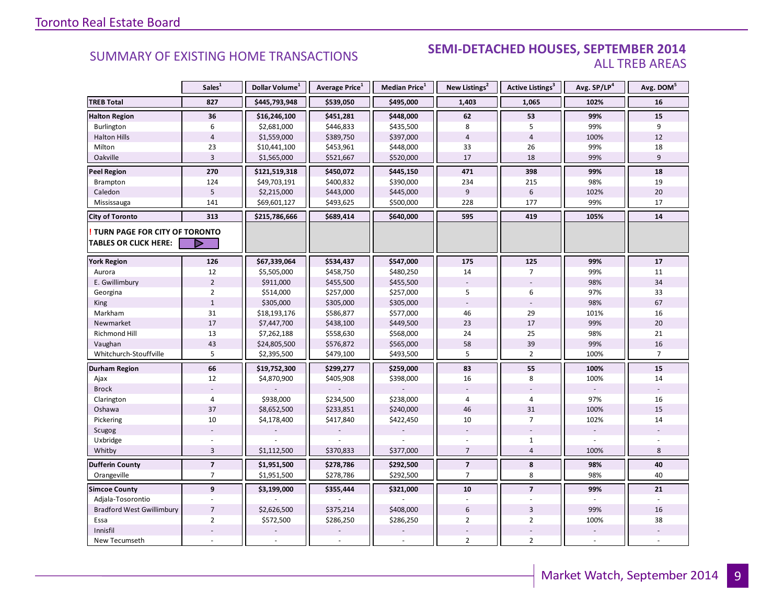### **Industrial Leasing SEMI-DETACHED HOUSES, SEPTEMBER 2014**<br>ALL TREB AREAS ALL TREB AREAS

|                                  | Sales <sup>1</sup>      | Dollar Volume <sup>1</sup> | Average Price <sup>1</sup> | <b>Median Price</b> <sup>1</sup> | New Listings <sup>2</sup> | Active Listings <sup>3</sup> | Avg. SP/LP <sup>4</sup> | Avg. DOM <sup>5</sup> |
|----------------------------------|-------------------------|----------------------------|----------------------------|----------------------------------|---------------------------|------------------------------|-------------------------|-----------------------|
| <b>TREB Total</b>                | 827                     | \$445,793,948              | \$539,050                  | \$495,000                        | 1,403                     | 1,065                        | 102%                    | 16                    |
| <b>Halton Region</b>             | 36                      | \$16,246,100               | \$451,281                  | \$448,000                        | 62                        | 53                           | 99%                     | 15                    |
| Burlington                       | 6                       | \$2,681,000                | \$446,833                  | \$435,500                        | 8                         | 5                            | 99%                     | 9                     |
| <b>Halton Hills</b>              | $\sqrt{4}$              | \$1,559,000                | \$389,750                  | \$397,000                        | $\overline{4}$            | $\overline{4}$               | 100%                    | 12                    |
| Milton                           | 23                      | \$10,441,100               | \$453,961                  | \$448,000                        | 33                        | 26                           | 99%                     | 18                    |
| Oakville                         | $\overline{3}$          | \$1,565,000                | \$521,667                  | \$520,000                        | 17                        | 18                           | 99%                     | 9                     |
| <b>Peel Region</b>               | 270                     | \$121,519,318              | \$450,072                  | \$445,150                        | 471                       | 398                          | 99%                     | 18                    |
| Brampton                         | 124                     | \$49,703,191               | \$400,832                  | \$390,000                        | 234                       | 215                          | 98%                     | 19                    |
| Caledon                          | 5                       | \$2,215,000                | \$443,000                  | \$445,000                        | 9                         | 6                            | 102%                    | 20                    |
| Mississauga                      | 141                     | \$69,601,127               | \$493,625                  | \$500,000                        | 228                       | 177                          | 99%                     | 17                    |
| <b>City of Toronto</b>           | 313                     | \$215,786,666              | \$689,414                  | \$640,000                        | 595                       | 419                          | 105%                    | 14                    |
| TURN PAGE FOR CITY OF TORONTO    |                         |                            |                            |                                  |                           |                              |                         |                       |
| <b>TABLES OR CLICK HERE:</b>     | D                       |                            |                            |                                  |                           |                              |                         |                       |
| <b>York Region</b>               | 126                     | \$67,339,064               | \$534,437                  | \$547,000                        | 175                       | 125                          | 99%                     | $17\,$                |
| Aurora                           | 12                      | \$5,505,000                | \$458,750                  | \$480,250                        | 14                        | $\overline{7}$               | 99%                     | 11                    |
| E. Gwillimbury                   | $\overline{2}$          | \$911,000                  | \$455,500                  | \$455,500                        |                           |                              | 98%                     | 34                    |
| Georgina                         | $\overline{2}$          | \$514,000                  | \$257,000                  | \$257,000                        | 5                         | 6                            | 97%                     | 33                    |
| King                             | $\mathbf{1}$            | \$305,000                  | \$305,000                  | \$305,000                        | $\overline{\phantom{a}}$  | $\overline{\phantom{a}}$     | 98%                     | 67                    |
| Markham                          | 31                      | \$18,193,176               | \$586,877                  | \$577,000                        | 46                        | 29                           | 101%                    | 16                    |
| Newmarket                        | 17                      | \$7,447,700                | \$438,100                  | \$449,500                        | 23                        | 17                           | 99%                     | 20                    |
| Richmond Hill                    | 13                      | \$7,262,188                | \$558,630                  | \$568,000                        | 24                        | 25                           | 98%                     | 21                    |
| Vaughan                          | 43                      | \$24,805,500               | \$576,872                  | \$565,000                        | 58                        | 39                           | 99%                     | 16                    |
| Whitchurch-Stouffville           | 5                       | \$2,395,500                | \$479,100                  | \$493,500                        | 5                         | $\overline{2}$               | 100%                    | $\overline{7}$        |
| Durham Region                    | 66                      | \$19,752,300               | \$299,277                  | \$259,000                        | 83                        | 55                           | 100%                    | 15                    |
| Ajax                             | 12                      | \$4,870,900                | \$405,908                  | \$398,000                        | 16                        | 8                            | 100%                    | 14                    |
| <b>Brock</b>                     |                         |                            |                            |                                  |                           |                              |                         |                       |
| Clarington                       | $\overline{4}$          | \$938,000                  | \$234,500                  | \$238,000                        | 4                         | $\overline{4}$               | 97%                     | 16                    |
| Oshawa                           | 37                      | \$8,652,500                | \$233,851                  | \$240,000                        | 46                        | 31                           | 100%                    | 15                    |
| Pickering                        | 10                      | \$4,178,400                | \$417,840                  | \$422,450                        | 10                        | $\overline{7}$               | 102%                    | 14                    |
| Scugog                           |                         |                            |                            |                                  |                           |                              |                         |                       |
| Uxbridge                         |                         |                            |                            |                                  |                           | $\mathbf{1}$                 |                         |                       |
| Whitby                           | $\overline{3}$          | \$1,112,500                | \$370,833                  | \$377,000                        | $7\overline{ }$           | $\overline{4}$               | 100%                    | 8                     |
| <b>Dufferin County</b>           | $\overline{\mathbf{z}}$ | \$1,951,500                | \$278,786                  | \$292,500                        | $\overline{\mathbf{z}}$   | 8                            | 98%                     | 40                    |
| Orangeville                      | $\overline{7}$          | \$1,951,500                | \$278,786                  | \$292,500                        | $\overline{7}$            | 8                            | 98%                     | 40                    |
| <b>Simcoe County</b>             | $\overline{9}$          | \$3,199,000                | \$355,444                  | \$321,000                        | 10                        | $\overline{7}$               | 99%                     | 21                    |
| Adjala-Tosorontio                |                         |                            |                            |                                  |                           |                              |                         |                       |
| <b>Bradford West Gwillimbury</b> | $\overline{7}$          | \$2,626,500                | \$375,214                  | \$408,000                        | $6\,$                     | $\overline{3}$               | 99%                     | 16                    |
| Essa                             | $\overline{2}$          | \$572,500                  | \$286,250                  | \$286,250                        | $\overline{2}$            | $\overline{2}$               | 100%                    | 38                    |
| Innisfil                         |                         |                            |                            |                                  |                           |                              |                         |                       |
| New Tecumseth                    |                         |                            |                            |                                  | $\overline{2}$            | $\overline{2}$               |                         |                       |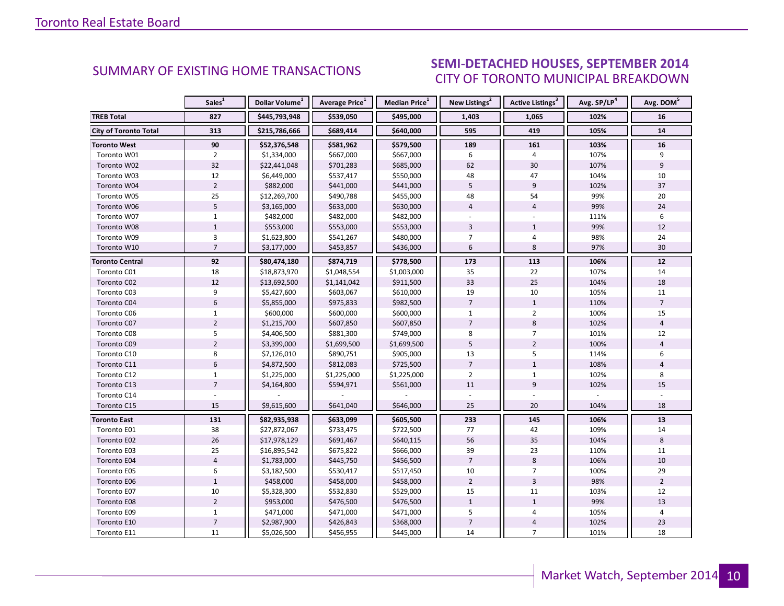#### DTEMRED 2014 CITY OF TORONTO MUNICIPAL BREAKDOWN **SUMMARY OF EXISTING HOME TRANSACTIONS**<br>CITY OF TOPONTO MUNICIPAL REFAXOOMN

<span id="page-9-0"></span>

|                              | Sales <sup>1</sup> | Dollar Volume <sup>1</sup> | Average Price <sup>1</sup> | Median Price <sup>1</sup> | New Listings <sup>2</sup> | <b>Active Listings<sup>3</sup></b> | Avg. SP/LP <sup>4</sup> | Avg. DOM <sup>5</sup> |
|------------------------------|--------------------|----------------------------|----------------------------|---------------------------|---------------------------|------------------------------------|-------------------------|-----------------------|
| <b>TREB Total</b>            | 827                | \$445,793,948              | \$539,050                  | \$495,000                 | 1,403                     | 1,065                              | 102%                    | 16                    |
| <b>City of Toronto Total</b> | 313                | \$215,786,666              | \$689,414                  | \$640,000                 | 595                       | 419                                | 105%                    | 14                    |
| <b>Toronto West</b>          | 90                 | \$52,376,548               | \$581,962                  | \$579,500                 | 189                       | 161                                | 103%                    | 16                    |
| Toronto W01                  | $\overline{2}$     | \$1,334,000                | \$667,000                  | \$667,000                 | 6                         | 4                                  | 107%                    | 9                     |
| Toronto W02                  | 32                 | \$22,441,048               | \$701,283                  | \$685,000                 | 62                        | 30                                 | 107%                    | 9                     |
| Toronto W03                  | 12                 | \$6,449,000                | \$537,417                  | \$550,000                 | 48                        | 47                                 | 104%                    | 10                    |
| Toronto W04                  | $\overline{2}$     | \$882,000                  | \$441,000                  | \$441,000                 | 5                         | 9                                  | 102%                    | 37                    |
| Toronto W05                  | 25                 | \$12,269,700               | \$490,788                  | \$455,000                 | 48                        | 54                                 | 99%                     | 20                    |
| Toronto W06                  | 5                  | \$3,165,000                | \$633,000                  | \$630,000                 | $\overline{4}$            | $\overline{4}$                     | 99%                     | 24                    |
| Toronto W07                  | $\mathbf{1}$       | \$482,000                  | \$482,000                  | \$482,000                 |                           |                                    | 111%                    | 6                     |
| Toronto W08                  | $\mathbf{1}$       | \$553,000                  | \$553,000                  | \$553,000                 | 3                         | $\mathbf{1}$                       | 99%                     | 12                    |
| Toronto W09                  | $\overline{3}$     | \$1,623,800                | \$541,267                  | \$480,000                 | 7                         | $\overline{4}$                     | 98%                     | 24                    |
| Toronto W10                  | $\overline{7}$     | \$3,177,000                | \$453,857                  | \$436,000                 | $6\phantom{1}$            | 8                                  | 97%                     | 30                    |
| <b>Toronto Central</b>       | 92                 | \$80,474,180               | \$874,719                  | \$778,500                 | 173                       | 113                                | 106%                    | $12$                  |
| Toronto C01                  | 18                 | \$18,873,970               | \$1,048,554                | \$1,003,000               | 35                        | 22                                 | 107%                    | 14                    |
| Toronto C02                  | $12\,$             | \$13,692,500               | \$1,141,042                | \$911,500                 | 33                        | 25                                 | 104%                    | 18                    |
| Toronto C03                  | 9                  | \$5,427,600                | \$603,067                  | \$610,000                 | 19                        | 10                                 | 105%                    | 11                    |
| Toronto C04                  | $6\phantom{a}$     | \$5,855,000                | \$975,833                  | \$982,500                 | $\overline{7}$            | $\mathbf{1}$                       | 110%                    | $\overline{7}$        |
| Toronto C06                  | $\mathbf{1}$       | \$600,000                  | \$600,000                  | \$600,000                 | $\mathbf{1}$              | $\overline{2}$                     | 100%                    | 15                    |
| Toronto C07                  | $\overline{2}$     | \$1,215,700                | \$607,850                  | \$607,850                 | $\overline{7}$            | 8                                  | 102%                    | $\overline{4}$        |
| Toronto C08                  | 5                  | \$4,406,500                | \$881,300                  | \$749,000                 | 8                         | $\overline{7}$                     | 101%                    | 12                    |
| Toronto C09                  | $\mathbf 2$        | \$3,399,000                | \$1,699,500                | \$1,699,500               | 5                         | $\overline{2}$                     | 100%                    | $\overline{4}$        |
| Toronto C10                  | 8                  | \$7,126,010                | \$890,751                  | \$905,000                 | 13                        | 5                                  | 114%                    | 6                     |
| Toronto C11                  | $6\overline{6}$    | \$4,872,500                | \$812,083                  | \$725,500                 | $\overline{7}$            | $\mathbf{1}$                       | 108%                    | $\overline{4}$        |
| Toronto C12                  | $\mathbf{1}$       | \$1,225,000                | \$1,225,000                | \$1,225,000               | $\overline{2}$            | $\mathbf{1}$                       | 102%                    | 8                     |
| Toronto C13                  | $\overline{7}$     | \$4,164,800                | \$594,971                  | \$561,000                 | 11                        | $9\,$                              | 102%                    | 15                    |
| Toronto C14                  |                    |                            |                            |                           |                           |                                    |                         |                       |
| Toronto C15                  | 15                 | \$9,615,600                | \$641,040                  | \$646,000                 | 25                        | 20                                 | 104%                    | 18                    |
| <b>Toronto East</b>          | 131                | \$82,935,938               | \$633,099                  | \$605,500                 | 233                       | 145                                | 106%                    | 13                    |
| Toronto E01                  | 38                 | \$27,872,067               | \$733,475                  | \$722,500                 | 77                        | 42                                 | 109%                    | 14                    |
| Toronto E02                  | 26                 | \$17,978,129               | \$691,467                  | \$640,115                 | 56                        | 35                                 | 104%                    | $8\phantom{1}$        |
| Toronto E03                  | 25                 | \$16,895,542               | \$675,822                  | \$666,000                 | 39                        | 23                                 | 110%                    | 11                    |
| Toronto E04                  | $\overline{4}$     | \$1,783,000                | \$445,750                  | \$456,500                 | $\overline{7}$            | 8                                  | 106%                    | 10                    |
| Toronto E05                  | 6                  | \$3,182,500                | \$530,417                  | \$517,450                 | 10                        | $\overline{7}$                     | 100%                    | 29                    |
| Toronto E06                  | $1\,$              | \$458,000                  | \$458,000                  | \$458,000                 | $\overline{2}$            | $\overline{3}$                     | 98%                     | $\overline{2}$        |
| Toronto E07                  | 10                 | \$5,328,300                | \$532,830                  | \$529,000                 | 15                        | 11                                 | 103%                    | 12                    |
| Toronto E08                  | $\overline{2}$     | \$953,000                  | \$476,500                  | \$476,500                 | $\mathbf{1}$              | $\mathbf{1}$                       | 99%                     | 13                    |
| Toronto E09                  | $\mathbf{1}$       | \$471,000                  | \$471,000                  | \$471,000                 | 5                         | 4                                  | 105%                    | 4                     |
| Toronto E10                  | $\overline{7}$     | \$2,987,900                | \$426,843                  | \$368,000                 | $\overline{7}$            | $\sqrt{4}$                         | 102%                    | 23                    |
| Toronto E11                  | 11                 | \$5,026,500                | \$456,955                  | \$445,000                 | 14                        | $\overline{7}$                     | 101%                    | 18                    |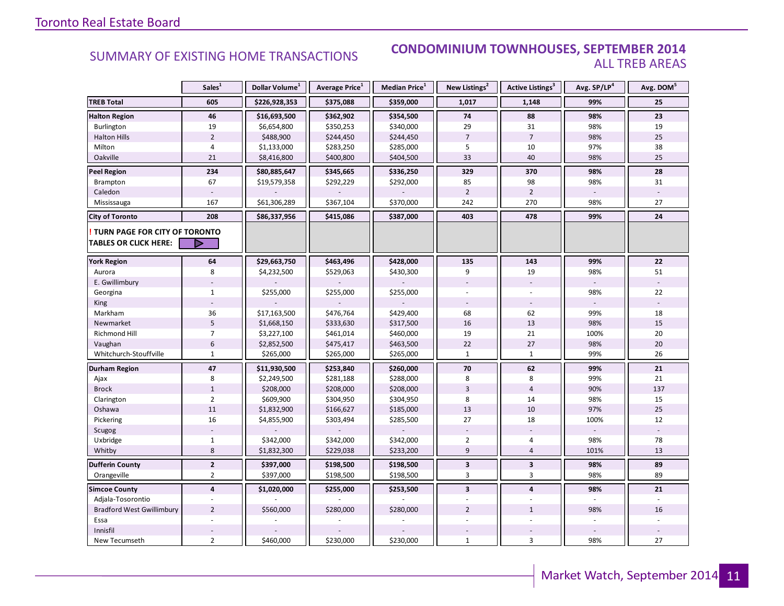#### SUMMARY OF EXISTING HOME TRANSACTIONS **CONDOMINIUM TOWNHOUSES, SEPTEMBER 2014** ALL TREB AREAS

|                                                                      | Sales <sup>1</sup> | Dollar Volume <sup>1</sup> | Average Price <sup>1</sup> | Median Price <sup>1</sup> | New Listings <sup>2</sup> | Active Listings <sup>3</sup> | Avg. SP/LP <sup>4</sup> | Avg. DOM <sup>5</sup> |
|----------------------------------------------------------------------|--------------------|----------------------------|----------------------------|---------------------------|---------------------------|------------------------------|-------------------------|-----------------------|
| <b>TREB Total</b>                                                    | 605                | \$226,928,353              | \$375,088                  | \$359,000                 | 1,017                     | 1,148                        | 99%                     | 25                    |
| <b>Halton Region</b>                                                 | 46                 | \$16,693,500               | \$362,902                  | \$354,500                 | 74                        | 88                           | 98%                     | 23                    |
| Burlington                                                           | 19                 | \$6,654,800                | \$350,253                  | \$340,000                 | 29                        | 31                           | 98%                     | 19                    |
| <b>Halton Hills</b>                                                  | $\overline{2}$     | \$488,900                  | \$244,450                  | \$244,450                 | $\overline{7}$            | $\overline{7}$               | 98%                     | 25                    |
| Milton                                                               | $\overline{4}$     | \$1,133,000                | \$283,250                  | \$285,000                 | 5                         | 10                           | 97%                     | 38                    |
| Oakville                                                             | 21                 | \$8,416,800                | \$400,800                  | \$404,500                 | 33                        | 40                           | 98%                     | 25                    |
| <b>Peel Region</b>                                                   | 234                | \$80,885,647               | \$345,665                  | \$336,250                 | 329                       | 370                          | 98%                     | 28                    |
| Brampton                                                             | 67                 | \$19,579,358               | \$292,229                  | \$292,000                 | 85                        | 98                           | 98%                     | 31                    |
| Caledon                                                              |                    |                            |                            |                           | $\overline{2}$            | $\overline{2}$               |                         |                       |
| Mississauga                                                          | 167                | \$61,306,289               | \$367,104                  | \$370,000                 | 242                       | 270                          | 98%                     | 27                    |
| <b>City of Toronto</b>                                               | 208                | \$86,337,956               | \$415,086                  | \$387,000                 | 403                       | 478                          | 99%                     | 24                    |
| <b>TURN PAGE FOR CITY OF TORONTO</b><br><b>TABLES OR CLICK HERE:</b> | D                  |                            |                            |                           |                           |                              |                         |                       |
|                                                                      |                    |                            |                            |                           |                           |                              |                         |                       |
| <b>York Region</b>                                                   | 64                 | \$29,663,750               | \$463,496                  | \$428,000                 | 135                       | 143                          | 99%                     | 22                    |
| Aurora                                                               | 8                  | \$4,232,500                | \$529,063                  | \$430,300                 | 9                         | 19                           | 98%                     | 51                    |
| E. Gwillimbury                                                       |                    |                            |                            |                           |                           |                              |                         |                       |
| Georgina                                                             | $\mathbf{1}$       | \$255,000                  | \$255,000                  | \$255,000                 |                           |                              | 98%                     | 22                    |
| King                                                                 |                    |                            |                            |                           |                           |                              |                         |                       |
| Markham                                                              | 36                 | \$17,163,500               | \$476,764                  | \$429,400                 | 68                        | 62                           | 99%                     | 18                    |
| Newmarket                                                            | 5                  | \$1,668,150                | \$333,630                  | \$317,500                 | 16                        | 13                           | 98%                     | 15                    |
| Richmond Hill                                                        | $\overline{7}$     | \$3,227,100                | \$461,014                  | \$460,000                 | 19                        | 21                           | 100%                    | 20                    |
| Vaughan                                                              | 6                  | \$2,852,500                | \$475,417                  | \$463,500                 | 22                        | 27                           | 98%                     | 20                    |
| Whitchurch-Stouffville                                               | $\mathbf{1}$       | \$265,000                  | \$265,000                  | \$265,000                 | $\mathbf{1}$              | $\mathbf{1}$                 | 99%                     | 26                    |
| <b>Durham Region</b>                                                 | 47                 | \$11,930,500               | \$253,840                  | \$260,000                 | 70                        | 62                           | 99%                     | 21                    |
| Ajax                                                                 | 8                  | \$2,249,500                | \$281,188                  | \$288,000                 | 8                         | 8                            | 99%                     | 21                    |
| <b>Brock</b>                                                         | $1\,$              | \$208,000                  | \$208,000                  | \$208,000                 | $\overline{3}$            | $\overline{4}$               | 90%                     | 137                   |
| Clarington                                                           | $\overline{2}$     | \$609,900                  | \$304,950                  | \$304,950                 | 8                         | 14                           | 98%                     | 15                    |
| Oshawa                                                               | 11                 | \$1,832,900                | \$166,627                  | \$185,000                 | 13                        | 10                           | 97%                     | 25                    |
| Pickering                                                            | 16                 | \$4,855,900                | \$303,494                  | \$285,500                 | 27                        | 18                           | 100%                    | 12                    |
| Scugog                                                               |                    |                            |                            |                           |                           |                              |                         |                       |
| Uxbridge                                                             | $\mathbf{1}$       | \$342,000                  | \$342,000                  | \$342,000                 | $\overline{2}$            | $\overline{4}$               | 98%                     | 78                    |
| Whitby                                                               | 8                  | \$1,832,300                | \$229,038                  | \$233,200                 | $\overline{9}$            | $\overline{4}$               | 101%                    | 13                    |
| <b>Dufferin County</b>                                               | $\overline{2}$     | \$397,000                  | \$198,500                  | \$198,500                 | 3                         | $\overline{\mathbf{3}}$      | 98%                     | 89                    |
| Orangeville                                                          | $\overline{2}$     | \$397,000                  | \$198,500                  | \$198,500                 | 3                         | $\overline{3}$               | 98%                     | 89                    |
| <b>Simcoe County</b>                                                 | $\overline{4}$     | \$1,020,000                | \$255,000                  | \$253,500                 | $\overline{\mathbf{3}}$   | $\overline{4}$               | 98%                     | 21                    |
| Adjala-Tosorontio                                                    | $\sim$             |                            |                            |                           |                           |                              |                         | u,                    |
| <b>Bradford West Gwillimbury</b>                                     | $\overline{2}$     | \$560,000                  | \$280,000                  | \$280,000                 | $\overline{2}$            | $\mathbf{1}$                 | 98%                     | 16                    |
| Essa                                                                 |                    |                            |                            |                           |                           |                              |                         |                       |
| Innisfil                                                             |                    |                            |                            |                           |                           |                              |                         |                       |
| New Tecumseth                                                        | $\overline{2}$     | \$460,000                  | \$230,000                  | \$230,000                 | $\mathbf{1}$              | $\overline{3}$               | 98%                     | 27                    |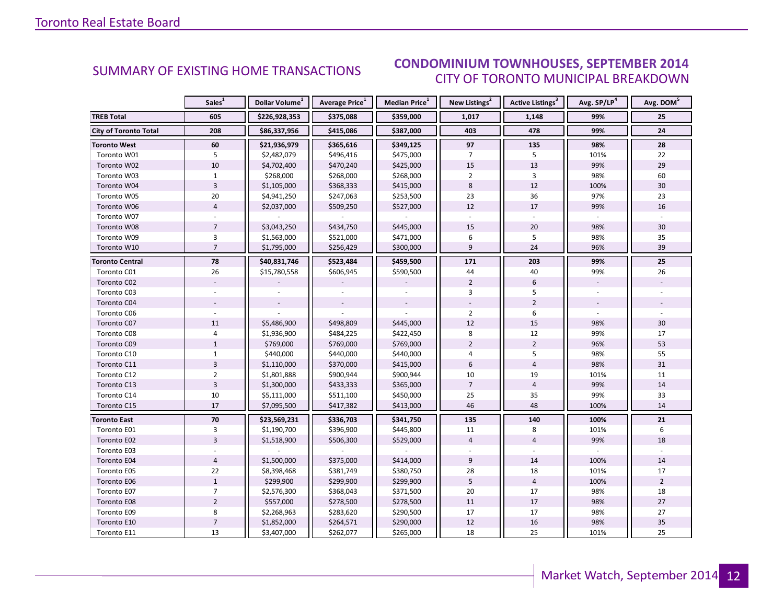#### DTEMRED 2014 CITY OF TORONTO MUNICIPAL BREAKDOWN SUMMARY OF EXISTING HOME TRANSACTIONS **CONDOMINIUM TOWNHOUSES, SEPTEMBER 2014**

<span id="page-11-0"></span>

|                              | Sales <sup>1</sup> | Dollar Volume <sup>1</sup> | <b>Average Price</b> <sup>1</sup> | Median Price <sup>1</sup> | New Listings <sup>2</sup> | Active Listings <sup>3</sup> | Avg. SP/LP <sup>4</sup> | Avg. DOM <sup>5</sup> |
|------------------------------|--------------------|----------------------------|-----------------------------------|---------------------------|---------------------------|------------------------------|-------------------------|-----------------------|
| <b>TREB Total</b>            | 605                | \$226,928,353              | \$375,088                         | \$359,000                 | 1,017                     | 1,148                        | 99%                     | 25                    |
| <b>City of Toronto Total</b> | 208                | \$86,337,956               | \$415,086                         | \$387,000                 | 403                       | 478                          | 99%                     | 24                    |
| <b>Toronto West</b>          | 60                 | \$21,936,979               | \$365,616                         | \$349,125                 | 97                        | 135                          | 98%                     | 28                    |
| Toronto W01                  | 5                  | \$2,482,079                | \$496,416                         | \$475,000                 | $\overline{7}$            | 5                            | 101%                    | 22                    |
| Toronto W02                  | 10                 | \$4,702,400                | \$470,240                         | \$425,000                 | 15                        | 13                           | 99%                     | 29                    |
| Toronto W03                  | $\mathbf{1}$       | \$268,000                  | \$268,000                         | \$268,000                 | $\overline{2}$            | 3                            | 98%                     | 60                    |
| Toronto W04                  | $\overline{3}$     | \$1,105,000                | \$368,333                         | \$415,000                 | 8                         | 12                           | 100%                    | 30                    |
| Toronto W05                  | $20\,$             | \$4,941,250                | \$247,063                         | \$253,500                 | 23                        | 36                           | 97%                     | 23                    |
| Toronto W06                  | $\overline{4}$     | \$2,037,000                | \$509,250                         | \$527,000                 | 12                        | 17                           | 99%                     | 16                    |
| Toronto W07                  |                    |                            |                                   |                           | $\mathbf{r}$              |                              |                         |                       |
| Toronto W08                  | $\overline{7}$     | \$3,043,250                | \$434,750                         | \$445,000                 | 15                        | 20                           | 98%                     | 30                    |
| Toronto W09                  | 3                  | \$1,563,000                | \$521,000                         | \$471,000                 | 6                         | 5                            | 98%                     | 35                    |
| Toronto W10                  | $\overline{7}$     | \$1,795,000                | \$256,429                         | \$300,000                 | $\overline{9}$            | 24                           | 96%                     | 39                    |
| <b>Toronto Central</b>       | 78                 | \$40,831,746               | \$523,484                         | \$459,500                 | 171                       | 203                          | 99%                     | 25                    |
| Toronto C01                  | 26                 | \$15,780,558               | \$606,945                         | \$590,500                 | 44                        | 40                           | 99%                     | 26                    |
| Toronto C02                  |                    |                            |                                   |                           | $\overline{2}$            | $6\phantom{1}6$              |                         |                       |
| Toronto C03                  |                    |                            |                                   |                           | 3                         | 5                            |                         |                       |
| Toronto C04                  |                    |                            |                                   |                           |                           | $\overline{2}$               |                         |                       |
| Toronto C06                  |                    |                            |                                   |                           | $\overline{2}$            | 6                            |                         |                       |
| Toronto C07                  | 11                 | \$5,486,900                | \$498,809                         | \$445,000                 | 12                        | 15                           | 98%                     | 30                    |
| Toronto C08                  | $\overline{4}$     | \$1,936,900                | \$484,225                         | \$422,450                 | 8                         | 12                           | 99%                     | 17                    |
| Toronto C09                  | $1\,$              | \$769,000                  | \$769,000                         | \$769,000                 | $\overline{2}$            | $\overline{2}$               | 96%                     | 53                    |
| Toronto C10                  | $\mathbf{1}$       | \$440,000                  | \$440,000                         | \$440,000                 | 4                         | 5                            | 98%                     | 55                    |
| Toronto C11                  | $\overline{3}$     | \$1,110,000                | \$370,000                         | \$415,000                 | 6                         | $\overline{4}$               | 98%                     | 31                    |
| Toronto C12                  | $\overline{2}$     | \$1,801,888                | \$900,944                         | \$900,944                 | 10                        | 19                           | 101%                    | 11                    |
| Toronto C13                  | $\mathsf 3$        | \$1,300,000                | \$433,333                         | \$365,000                 | $\overline{7}$            | $\sqrt{4}$                   | 99%                     | 14                    |
| Toronto C14                  | 10                 | \$5,111,000                | \$511,100                         | \$450,000                 | 25                        | 35                           | 99%                     | 33                    |
| Toronto C15                  | 17                 | \$7,095,500                | \$417,382                         | \$413,000                 | 46                        | 48                           | 100%                    | 14                    |
| <b>Toronto East</b>          | 70                 | \$23,569,231               | \$336,703                         | \$341,750                 | 135                       | 140                          | 100%                    | 21                    |
| Toronto E01                  | $\overline{3}$     | \$1,190,700                | \$396,900                         | \$445,800                 | 11                        | 8                            | 101%                    | 6                     |
| Toronto E02                  | $\overline{3}$     | \$1,518,900                | \$506,300                         | \$529,000                 | $\overline{4}$            | $\overline{4}$               | 99%                     | 18                    |
| Toronto E03                  |                    |                            |                                   |                           |                           |                              |                         |                       |
| Toronto E04                  | $\overline{4}$     | \$1,500,000                | \$375,000                         | \$414,000                 | $\overline{9}$            | 14                           | 100%                    | 14                    |
| Toronto E05                  | 22                 | \$8,398,468                | \$381,749                         | \$380,750                 | 28                        | 18                           | 101%                    | 17                    |
| Toronto E06                  | $1\,$              | \$299,900                  | \$299,900                         | \$299,900                 | 5                         | $\overline{4}$               | 100%                    | $\overline{2}$        |
| Toronto E07                  | $\overline{7}$     | \$2,576,300                | \$368,043                         | \$371,500                 | 20                        | 17                           | 98%                     | 18                    |
| <b>Toronto E08</b>           | $\overline{2}$     | \$557,000                  | \$278,500                         | \$278,500                 | 11                        | 17                           | 98%                     | 27                    |
| Toronto E09                  | 8                  | \$2,268,963                | \$283,620                         | \$290,500                 | 17                        | 17                           | 98%                     | 27                    |
| Toronto E10                  | $\overline{7}$     | \$1,852,000                | \$264,571                         | \$290,000                 | 12                        | 16                           | 98%                     | 35                    |
| Toronto E11                  | 13                 | \$3,407,000                | \$262,077                         | \$265,000                 | 18                        | 25                           | 101%                    | 25                    |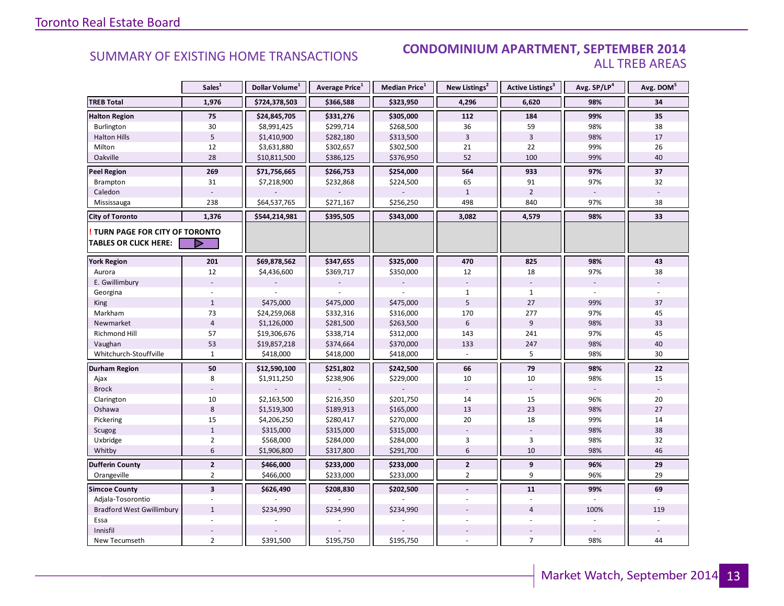#### **Industrial Leasing SUMMARY OF EXISTING HOME TRANSACTIONS CONDOMINIUM APARTMENT, SEPTEMBER 2014** ALL TREB AREAS

|                                  | Sales <sup>1</sup>      | Dollar Volume <sup>1</sup> | <b>Average Price</b> <sup>1</sup> | Median Price <sup>1</sup> | New Listings <sup>2</sup> | Active Listings <sup>3</sup> | Avg. SP/LP <sup>4</sup> | Avg. DOM <sup>5</sup> |
|----------------------------------|-------------------------|----------------------------|-----------------------------------|---------------------------|---------------------------|------------------------------|-------------------------|-----------------------|
| <b>TREB Total</b>                | 1,976                   | \$724,378,503              | \$366,588                         | \$323,950                 | 4,296                     | 6,620                        | 98%                     | 34                    |
| <b>Halton Region</b>             | 75                      | \$24,845,705               | \$331,276                         | \$305,000                 | 112                       | 184                          | 99%                     | 35                    |
| Burlington                       | 30                      | \$8,991,425                | \$299,714                         | \$268,500                 | 36                        | 59                           | 98%                     | 38                    |
| <b>Halton Hills</b>              | 5                       | \$1,410,900                | \$282,180                         | \$313,500                 | $\overline{\mathbf{3}}$   | $\overline{3}$               | 98%                     | 17                    |
| Milton                           | 12                      | \$3,631,880                | \$302,657                         | \$302,500                 | 21                        | 22                           | 99%                     | 26                    |
| Oakville                         | 28                      | \$10,811,500               | \$386,125                         | \$376,950                 | 52                        | 100                          | 99%                     | 40                    |
| Peel Region                      | 269                     | \$71,756,665               | \$266,753                         | \$254,000                 | 564                       | 933                          | 97%                     | 37                    |
| Brampton                         | 31                      | \$7,218,900                | \$232,868                         | \$224,500                 | 65                        | 91                           | 97%                     | 32                    |
| Caledon                          |                         |                            |                                   |                           | $\mathbf{1}$              | $\overline{2}$               |                         |                       |
| Mississauga                      | 238                     | \$64,537,765               | \$271,167                         | \$256,250                 | 498                       | 840                          | 97%                     | 38                    |
| <b>City of Toronto</b>           | 1,376                   | \$544,214,981              | \$395,505                         | \$343,000                 | 3,082                     | 4,579                        | 98%                     | 33                    |
| TURN PAGE FOR CITY OF TORONTO    |                         |                            |                                   |                           |                           |                              |                         |                       |
| <b>TABLES OR CLICK HERE:</b>     | ▷                       |                            |                                   |                           |                           |                              |                         |                       |
| <b>York Region</b>               | 201                     | \$69,878,562               | \$347,655                         | \$325,000                 | 470                       | 825                          | 98%                     | 43                    |
| Aurora                           | 12                      | \$4,436,600                | \$369,717                         | \$350,000                 | 12                        | 18                           | 97%                     | 38                    |
| E. Gwillimbury                   |                         |                            |                                   |                           |                           |                              | $\sim$                  |                       |
| Georgina                         |                         |                            |                                   |                           | $\mathbf{1}$              | $\mathbf{1}$                 |                         |                       |
| <b>King</b>                      | $\mathbf{1}$            | \$475,000                  | \$475,000                         | \$475,000                 | 5                         | 27                           | 99%                     | 37                    |
| Markham                          | 73                      | \$24,259,068               | \$332,316                         | \$316,000                 | 170                       | 277                          | 97%                     | 45                    |
| Newmarket                        | $\overline{4}$          | \$1,126,000                | \$281,500                         | \$263,500                 | 6                         | 9                            | 98%                     | 33                    |
| Richmond Hill                    | 57                      | \$19,306,676               | \$338,714                         | \$312,000                 | 143                       | 241                          | 97%                     | 45                    |
| Vaughan                          | 53                      | \$19,857,218               | \$374,664                         | \$370,000                 | 133                       | 247                          | 98%                     | 40                    |
| Whitchurch-Stouffville           | $\mathbf{1}$            | \$418,000                  | \$418,000                         | \$418,000                 |                           | 5                            | 98%                     | 30                    |
| Durham Region                    | 50                      | \$12,590,100               | \$251,802                         | \$242,500                 | 66                        | 79                           | 98%                     | 22                    |
| Ajax                             | 8                       | \$1,911,250                | \$238,906                         | \$229,000                 | 10                        | 10                           | 98%                     | 15                    |
| <b>Brock</b>                     |                         |                            |                                   |                           |                           |                              |                         |                       |
| Clarington                       | 10                      | \$2,163,500                | \$216,350                         | \$201,750                 | 14                        | 15                           | 96%                     | 20                    |
| Oshawa                           | 8                       | \$1,519,300                | \$189,913                         | \$165,000                 | 13                        | 23                           | 98%                     | 27                    |
| Pickering                        | 15                      | \$4,206,250                | \$280,417                         | \$270,000                 | 20                        | 18                           | 99%                     | 14                    |
| Scugog                           | $\mathbf 1$             | \$315,000                  | \$315,000                         | \$315,000                 |                           |                              | 98%                     | 38                    |
| Uxbridge                         | $\overline{2}$          | \$568,000                  | \$284,000                         | \$284,000                 | 3                         | 3                            | 98%                     | 32                    |
| Whitby                           | $6\,$                   | \$1,906,800                | \$317,800                         | \$291,700                 | 6                         | 10                           | 98%                     | 46                    |
| <b>Dufferin County</b>           | $\overline{2}$          | \$466,000                  | \$233,000                         | \$233,000                 | $\mathbf{2}$              | 9                            | 96%                     | 29                    |
| Orangeville                      | $\overline{2}$          | \$466,000                  | \$233,000                         | \$233,000                 | $\overline{2}$            | 9                            | 96%                     | 29                    |
| <b>Simcoe County</b>             | $\overline{\mathbf{3}}$ | \$626,490                  | \$208,830                         | \$202,500                 | $\blacksquare$            | 11                           | 99%                     | 69                    |
| Adjala-Tosorontio                |                         |                            |                                   |                           |                           |                              |                         |                       |
| <b>Bradford West Gwillimbury</b> | $\mathbf{1}$            | \$234,990                  | \$234,990                         | \$234,990                 |                           | $\overline{4}$               | 100%                    | 119                   |
| Essa                             |                         |                            |                                   |                           |                           |                              |                         |                       |
| Innisfil                         |                         |                            |                                   |                           |                           |                              |                         |                       |
| New Tecumseth                    | $\overline{2}$          | \$391,500                  | \$195,750                         | \$195,750                 |                           | $\overline{7}$               | 98%                     | 44                    |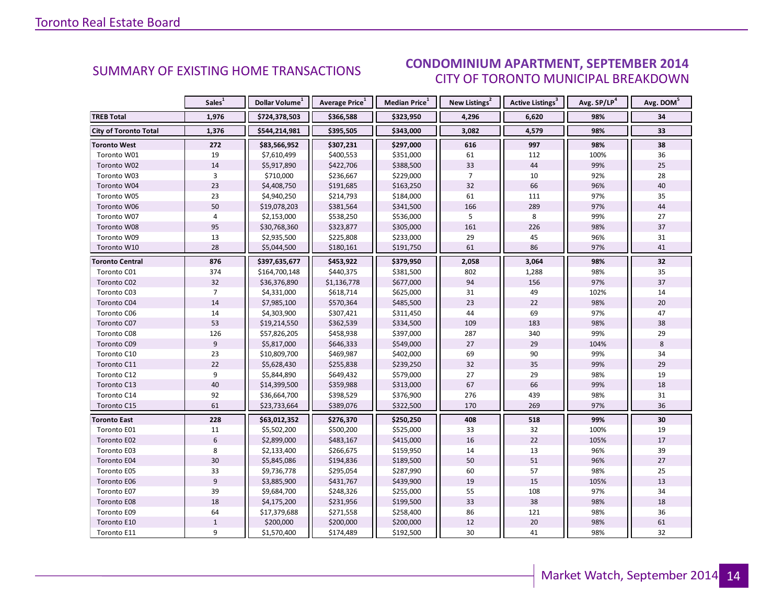#### DTEMRED 2014 CITY OF TORONTO MUNICIPAL BREAKDOWN SUMMARY OF EXISTING HOME TRANSACTIONS **CONDOMINIUM APARTMENT, SEPTEMBER 2014**

<span id="page-13-0"></span>

|                              | Sales <sup>1</sup> | Dollar Volume <sup>1</sup> | Average Price <sup>1</sup> | Median Price <sup>1</sup> | New Listings <sup>2</sup> | <b>Active Listings<sup>3</sup></b> | Avg. SP/LP <sup>4</sup> | Avg. DOM <sup>5</sup> |
|------------------------------|--------------------|----------------------------|----------------------------|---------------------------|---------------------------|------------------------------------|-------------------------|-----------------------|
| <b>TREB Total</b>            | 1,976              | \$724,378,503              | \$366,588                  | \$323,950                 | 4,296                     | 6,620                              | 98%                     | 34                    |
| <b>City of Toronto Total</b> | 1,376              | \$544,214,981              | \$395,505                  | \$343,000                 | 3,082                     | 4,579                              | 98%                     | $\overline{33}$       |
| <b>Toronto West</b>          | 272                | \$83,566,952               | \$307,231                  | \$297,000                 | 616                       | 997                                | 98%                     | 38                    |
| Toronto W01                  | 19                 | \$7,610,499                | \$400,553                  | \$351,000                 | 61                        | 112                                | 100%                    | 36                    |
| Toronto W02                  | 14                 | \$5,917,890                | \$422,706                  | \$388,500                 | 33                        | 44                                 | 99%                     | 25                    |
| Toronto W03                  | 3                  | \$710,000                  | \$236,667                  | \$229,000                 | $\overline{7}$            | 10                                 | 92%                     | 28                    |
| Toronto W04                  | 23                 | \$4,408,750                | \$191,685                  | \$163,250                 | 32                        | 66                                 | 96%                     | 40                    |
| Toronto W05                  | 23                 | \$4,940,250                | \$214,793                  | \$184,000                 | 61                        | 111                                | 97%                     | 35                    |
| Toronto W06                  | 50                 | \$19,078,203               | \$381,564                  | \$341,500                 | 166                       | 289                                | 97%                     | 44                    |
| Toronto W07                  | $\overline{4}$     | \$2,153,000                | \$538,250                  | \$536,000                 | 5                         | 8                                  | 99%                     | 27                    |
| Toronto W08                  | 95                 | \$30,768,360               | \$323,877                  | \$305,000                 | 161                       | 226                                | 98%                     | 37                    |
| Toronto W09                  | 13                 | \$2,935,500                | \$225,808                  | \$233,000                 | 29                        | 45                                 | 96%                     | 31                    |
| Toronto W10                  | 28                 | \$5,044,500                | \$180,161                  | \$191,750                 | 61                        | 86                                 | 97%                     | 41                    |
| <b>Toronto Central</b>       | 876                | \$397,635,677              | \$453,922                  | \$379,950                 | 2,058                     | 3,064                              | 98%                     | 32                    |
| Toronto C01                  | 374                | \$164,700,148              | \$440,375                  | \$381,500                 | 802                       | 1,288                              | 98%                     | 35                    |
| Toronto C02                  | 32                 | \$36,376,890               | \$1,136,778                | \$677,000                 | 94                        | 156                                | 97%                     | 37                    |
| Toronto C03                  | $\overline{7}$     | \$4,331,000                | \$618,714                  | \$625,000                 | 31                        | 49                                 | 102%                    | 14                    |
| Toronto C04                  | 14                 | \$7,985,100                | \$570,364                  | \$485,500                 | 23                        | 22                                 | 98%                     | 20                    |
| Toronto C06                  | 14                 | \$4,303,900                | \$307,421                  | \$311,450                 | 44                        | 69                                 | 97%                     | 47                    |
| Toronto C07                  | 53                 | \$19,214,550               | \$362,539                  | \$334,500                 | 109                       | 183                                | 98%                     | 38                    |
| Toronto C08                  | 126                | \$57,826,205               | \$458,938                  | \$397,000                 | 287                       | 340                                | 99%                     | 29                    |
| Toronto C09                  | $9\,$              | \$5,817,000                | \$646,333                  | \$549,000                 | 27                        | 29                                 | 104%                    | 8                     |
| Toronto C10                  | 23                 | \$10,809,700               | \$469,987                  | \$402,000                 | 69                        | 90                                 | 99%                     | 34                    |
| Toronto C11                  | 22                 | \$5,628,430                | \$255,838                  | \$239,250                 | 32                        | 35                                 | 99%                     | 29                    |
| Toronto C12                  | 9                  | \$5,844,890                | \$649,432                  | \$579,000                 | 27                        | 29                                 | 98%                     | 19                    |
| Toronto C13                  | 40                 | \$14,399,500               | \$359,988                  | \$313,000                 | 67                        | 66                                 | 99%                     | 18                    |
| Toronto C14                  | 92                 | \$36,664,700               | \$398,529                  | \$376,900                 | 276                       | 439                                | 98%                     | 31                    |
| Toronto C15                  | 61                 | \$23,733,664               | \$389,076                  | \$322,500                 | 170                       | 269                                | 97%                     | 36                    |
| <b>Toronto East</b>          | 228                | \$63,012,352               | \$276,370                  | \$250,250                 | 408                       | 518                                | 99%                     | 30                    |
| Toronto E01                  | 11                 | \$5,502,200                | \$500,200                  | \$525,000                 | 33                        | 32                                 | 100%                    | 19                    |
| Toronto E02                  | $6\phantom{a}$     | \$2,899,000                | \$483,167                  | \$415,000                 | 16                        | 22                                 | 105%                    | 17                    |
| Toronto E03                  | 8                  | \$2,133,400                | \$266,675                  | \$159,950                 | 14                        | 13                                 | 96%                     | 39                    |
| Toronto E04                  | 30                 | \$5,845,086                | \$194,836                  | \$189,500                 | 50                        | 51                                 | 96%                     | 27                    |
| Toronto E05                  | 33                 | \$9,736,778                | \$295,054                  | \$287,990                 | 60                        | 57                                 | 98%                     | 25                    |
| Toronto E06                  | $\overline{9}$     | \$3,885,900                | \$431,767                  | \$439,900                 | 19                        | 15                                 | 105%                    | 13                    |
| Toronto E07                  | 39                 | \$9,684,700                | \$248,326                  | \$255,000                 | 55                        | 108                                | 97%                     | 34                    |
| Toronto E08                  | 18                 | \$4,175,200                | \$231,956                  | \$199,500                 | 33                        | 38                                 | 98%                     | 18                    |
| Toronto E09                  | 64                 | \$17,379,688               | \$271,558                  | \$258,400                 | 86                        | 121                                | 98%                     | 36                    |
| Toronto E10                  | $\mathbf{1}$       | \$200,000                  | \$200,000                  | \$200,000                 | 12                        | 20                                 | 98%                     | 61                    |
| Toronto E11                  | 9                  | \$1,570,400                | \$174,489                  | \$192,500                 | 30                        | 41                                 | 98%                     | 32                    |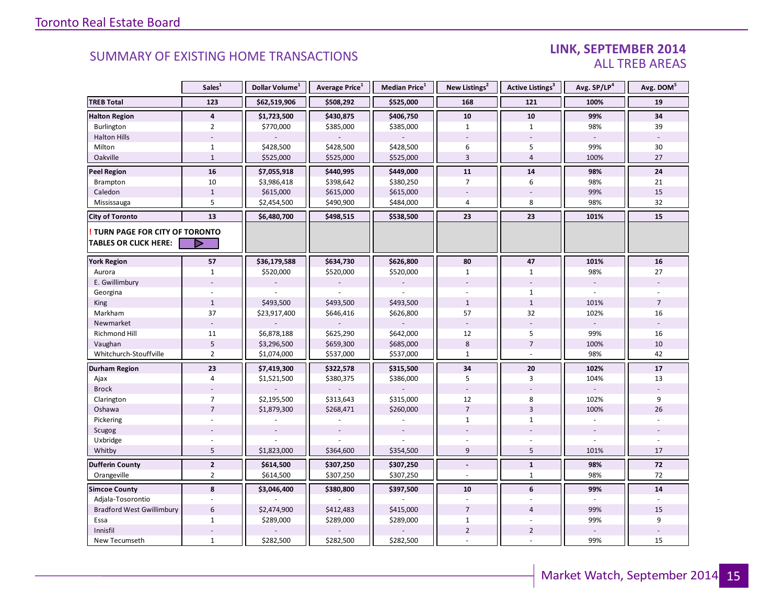### LINK, SEPTEMBER 2014 ALL TREB AREAS

|                                                               | Sales <sup>1</sup>      | Dollar Volume <sup>1</sup> | Average Price <sup>1</sup> | Median Price <sup>1</sup> | New Listings <sup>2</sup> | Active Listings <sup>3</sup> | Avg. SP/LP <sup>4</sup>  | Avg. DOM <sup>5</sup> |
|---------------------------------------------------------------|-------------------------|----------------------------|----------------------------|---------------------------|---------------------------|------------------------------|--------------------------|-----------------------|
| <b>TREB Total</b>                                             | 123                     | \$62,519,906               | \$508,292                  | \$525,000                 | 168                       | 121                          | 100%                     | 19                    |
| <b>Halton Region</b>                                          | $\overline{\mathbf{4}}$ | \$1,723,500                | \$430,875                  | \$406,750                 | 10                        | 10                           | 99%                      | 34                    |
| Burlington                                                    | $\overline{2}$          | \$770,000                  | \$385,000                  | \$385,000                 | $\mathbf{1}$              | $\mathbf{1}$                 | 98%                      | 39                    |
| <b>Halton Hills</b>                                           |                         |                            |                            |                           |                           |                              |                          |                       |
| Milton                                                        | $\mathbf{1}$            | \$428,500                  | \$428,500                  | \$428,500                 | 6                         | 5                            | 99%                      | 30                    |
| Oakville                                                      | $\mathbf{1}$            | \$525,000                  | \$525,000                  | \$525,000                 | 3                         | $\overline{4}$               | 100%                     | 27                    |
| <b>Peel Region</b>                                            | 16                      | \$7,055,918                | \$440,995                  | \$449,000                 | 11                        | 14                           | 98%                      | 24                    |
| <b>Brampton</b>                                               | 10                      | \$3,986,418                | \$398,642                  | \$380,250                 | $\overline{7}$            | 6                            | 98%                      | 21                    |
| Caledon                                                       | $\mathbf{1}$            | \$615,000                  | \$615,000                  | \$615,000                 |                           |                              | 99%                      | 15                    |
| Mississauga                                                   | 5                       | \$2,454,500                | \$490,900                  | \$484,000                 | $\overline{4}$            | 8                            | 98%                      | 32                    |
| <b>City of Toronto</b>                                        | 13                      | \$6,480,700                | \$498,515                  | \$538,500                 | 23                        | 23                           | 101%                     | 15                    |
| TURN PAGE FOR CITY OF TORONTO<br><b>TABLES OR CLICK HERE:</b> | D                       |                            |                            |                           |                           |                              |                          |                       |
| <b>York Region</b>                                            | 57                      | \$36,179,588               | \$634,730                  | \$626,800                 | 80                        | 47                           | 101%                     | 16                    |
| Aurora                                                        | $\mathbf{1}$            | \$520,000                  | \$520,000                  | \$520,000                 | $\mathbf{1}$              | $\mathbf{1}$                 | 98%                      | 27                    |
| E. Gwillimbury                                                |                         |                            |                            |                           |                           |                              | $\overline{\phantom{a}}$ |                       |
| Georgina                                                      |                         |                            |                            |                           |                           | $\mathbf{1}$                 |                          |                       |
| King                                                          | $\mathbf{1}$            | \$493,500                  | \$493,500                  | \$493,500                 | $\mathbf{1}$              | $1\,$                        | 101%                     | $\overline{7}$        |
| Markham                                                       | 37                      | \$23,917,400               | \$646,416                  | \$626,800                 | 57                        | 32                           | 102%                     | 16                    |
| Newmarket                                                     |                         |                            |                            |                           |                           |                              |                          |                       |
| <b>Richmond Hill</b>                                          | 11                      | \$6,878,188                | \$625,290                  | \$642,000                 | 12                        | 5                            | 99%                      | 16                    |
| Vaughan                                                       | 5                       | \$3,296,500                | \$659,300                  | \$685,000                 | 8                         | $\overline{7}$               | 100%                     | 10                    |
| Whitchurch-Stouffville                                        | $\overline{2}$          | \$1,074,000                | \$537,000                  | \$537,000                 | $\mathbf{1}$              |                              | 98%                      | 42                    |
| <b>Durham Region</b>                                          | 23                      | \$7,419,300                | \$322,578                  | \$315,500                 | 34                        | ${\bf 20}$                   | 102%                     | ${\bf 17}$            |
| Ajax                                                          | $\overline{4}$          | \$1,521,500                | \$380,375                  | \$386,000                 | 5                         | 3                            | 104%                     | 13                    |
| <b>Brock</b>                                                  |                         |                            |                            |                           |                           |                              |                          |                       |
| Clarington                                                    | $\overline{7}$          | \$2,195,500                | \$313,643                  | \$315,000                 | 12                        | 8                            | 102%                     | 9                     |
| Oshawa                                                        | $\overline{7}$          | \$1,879,300                | \$268,471                  | \$260,000                 | $\overline{7}$            | $\overline{3}$               | 100%                     | 26                    |
| Pickering                                                     | ÷.                      |                            |                            |                           | $\mathbf{1}$              | $\mathbf{1}$                 |                          |                       |
| Scugog                                                        |                         |                            |                            |                           |                           |                              |                          |                       |
| Uxbridge                                                      |                         |                            |                            |                           |                           |                              |                          |                       |
| Whitby                                                        | 5                       | \$1,823,000                | \$364,600                  | \$354,500                 | 9                         | 5                            | 101%                     | 17                    |
| <b>Dufferin County</b>                                        | $\mathbf{2}$            | \$614,500                  | \$307,250                  | \$307,250                 | $\blacksquare$            | $\mathbf{1}$                 | 98%                      | 72                    |
| Orangeville                                                   | $\overline{2}$          | \$614,500                  | \$307,250                  | \$307,250                 |                           | $\mathbf{1}$                 | 98%                      | 72                    |
| <b>Simcoe County</b>                                          | 8                       | \$3,046,400                | \$380,800                  | \$397,500                 | 10                        | 6                            | 99%                      | 14                    |
| Adjala-Tosorontio                                             |                         |                            |                            |                           |                           |                              |                          |                       |
| <b>Bradford West Gwillimbury</b>                              | $6\phantom{1}$          | \$2,474,900                | \$412,483                  | \$415,000                 | $\overline{7}$            | $\overline{4}$               | 99%                      | 15                    |
| Essa                                                          | $\mathbf{1}$            | \$289,000                  | \$289,000                  | \$289,000                 | $\mathbf{1}$              |                              | 99%                      | 9                     |
| Innisfil                                                      |                         |                            |                            |                           | $\overline{2}$            | $\overline{2}$               |                          |                       |
| New Tecumseth                                                 | $\mathbf{1}$            | \$282,500                  | \$282,500                  | \$282,500                 |                           |                              | 99%                      | 15                    |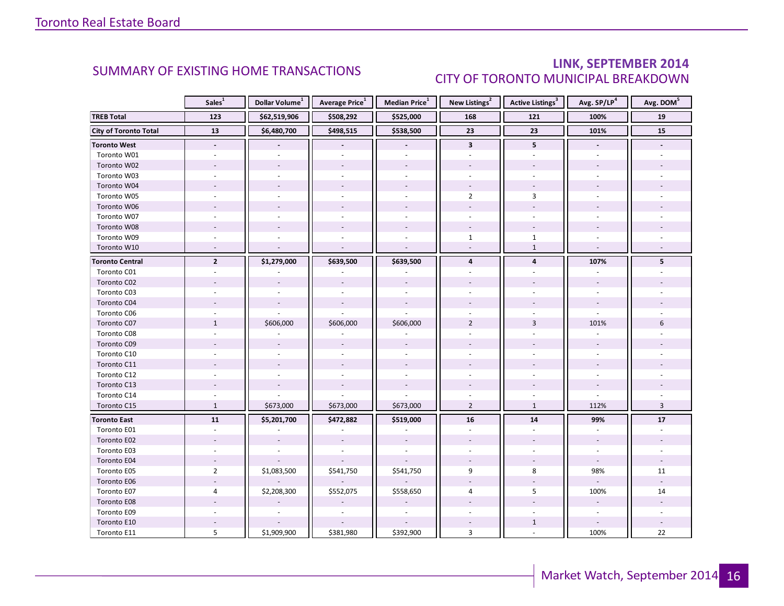### LINK, SEPTEMBER 2014 CITY OF TORONTO MUNICIPAL BREAKDOWN

<span id="page-15-0"></span>

|                              | Sales <sup>1</sup>       | Dollar Volume <sup>1</sup> | Average Price <sup>1</sup> | Median Price <sup>1</sup> | New Listings <sup>2</sup> | Active Listings <sup>3</sup> | Avg. SP/LP <sup>4</sup>  | Avg. DOM <sup>5</sup> |
|------------------------------|--------------------------|----------------------------|----------------------------|---------------------------|---------------------------|------------------------------|--------------------------|-----------------------|
| <b>TREB Total</b>            | 123                      | \$62,519,906               | \$508,292                  | \$525,000                 | 168                       | 121                          | 100%                     | 19                    |
| <b>City of Toronto Total</b> | 13                       | \$6,480,700                | \$498,515                  | \$538,500                 | 23                        | 23                           | 101%                     | 15                    |
| <b>Toronto West</b>          | $\overline{\phantom{a}}$ |                            | $\overline{\phantom{a}}$   | $\overline{\phantom{a}}$  | $\mathbf{3}$              | 5                            |                          |                       |
| Toronto W01                  |                          |                            |                            |                           |                           |                              |                          |                       |
| Toronto W02                  |                          |                            |                            |                           |                           |                              |                          |                       |
| Toronto W03                  |                          |                            |                            |                           |                           |                              |                          |                       |
| Toronto W04                  |                          |                            |                            |                           |                           |                              |                          |                       |
| Toronto W05                  |                          |                            |                            | ÷.                        | $\overline{2}$            | 3                            |                          |                       |
| Toronto W06                  |                          |                            |                            |                           |                           |                              |                          |                       |
| Toronto W07                  |                          |                            |                            |                           |                           |                              |                          |                       |
| Toronto W08                  |                          |                            |                            |                           |                           |                              |                          |                       |
| Toronto W09                  |                          |                            |                            |                           | $\mathbf{1}$              | $\mathbf{1}$                 |                          |                       |
| Toronto W10                  |                          |                            |                            |                           |                           | $\mathbf{1}$                 |                          |                       |
| <b>Toronto Central</b>       | $\overline{2}$           | \$1,279,000                | \$639,500                  | \$639,500                 | $\overline{4}$            | $\overline{\mathbf{4}}$      | 107%                     | 5                     |
| Toronto C01                  |                          |                            |                            |                           |                           |                              |                          |                       |
| Toronto C02                  |                          |                            |                            |                           |                           |                              |                          |                       |
| Toronto C03                  |                          |                            |                            |                           |                           |                              |                          |                       |
| Toronto C04                  |                          |                            |                            |                           |                           |                              |                          |                       |
| Toronto C06                  |                          |                            |                            |                           |                           |                              |                          |                       |
| Toronto C07                  | $\mathbf{1}$             | \$606,000                  | \$606,000                  | \$606,000                 | $\overline{2}$            | $\overline{3}$               | 101%                     | 6                     |
| Toronto C08                  |                          |                            |                            |                           |                           |                              |                          |                       |
| Toronto C09                  |                          |                            |                            |                           |                           |                              |                          |                       |
| Toronto C10                  |                          |                            |                            |                           |                           |                              |                          |                       |
| Toronto C11                  |                          |                            |                            |                           |                           |                              |                          |                       |
| Toronto C12                  |                          |                            |                            |                           |                           |                              |                          |                       |
| Toronto C13                  |                          |                            |                            |                           |                           |                              |                          |                       |
| Toronto C14                  |                          |                            |                            |                           |                           |                              |                          |                       |
| Toronto C15                  | $\mathbf{1}$             | \$673,000                  | \$673,000                  | \$673,000                 | $\overline{2}$            | $\mathbf{1}$                 | 112%                     | $\overline{3}$        |
| <b>Toronto East</b>          | 11                       | \$5,201,700                | \$472,882                  | \$519,000                 | 16                        | 14                           | 99%                      | 17                    |
| Toronto E01                  | $\sim$                   |                            |                            |                           | ÷.                        | ÷,                           |                          |                       |
| Toronto E02                  |                          |                            |                            |                           |                           |                              |                          |                       |
| Toronto E03                  |                          |                            |                            |                           |                           |                              |                          |                       |
| Toronto E04                  | $\overline{a}$           |                            |                            |                           |                           |                              | $\bar{z}$                |                       |
| Toronto E05                  | $\overline{2}$           | \$1,083,500                | \$541,750                  | \$541,750                 | 9                         | 8                            | 98%                      | 11                    |
| Toronto E06                  |                          |                            |                            |                           |                           |                              |                          |                       |
| Toronto E07                  | 4                        | \$2,208,300                | \$552,075                  | \$558,650                 | 4                         | 5                            | 100%                     | 14                    |
| Toronto E08                  |                          |                            |                            |                           |                           |                              |                          |                       |
| Toronto E09                  |                          |                            |                            |                           |                           |                              | $\overline{\phantom{a}}$ |                       |
| Toronto E10                  |                          |                            |                            |                           |                           | $\mathbf{1}$                 |                          |                       |
| Toronto E11                  | 5                        | \$1,909,900                | \$381,980                  | \$392,900                 | 3                         |                              | 100%                     | 22                    |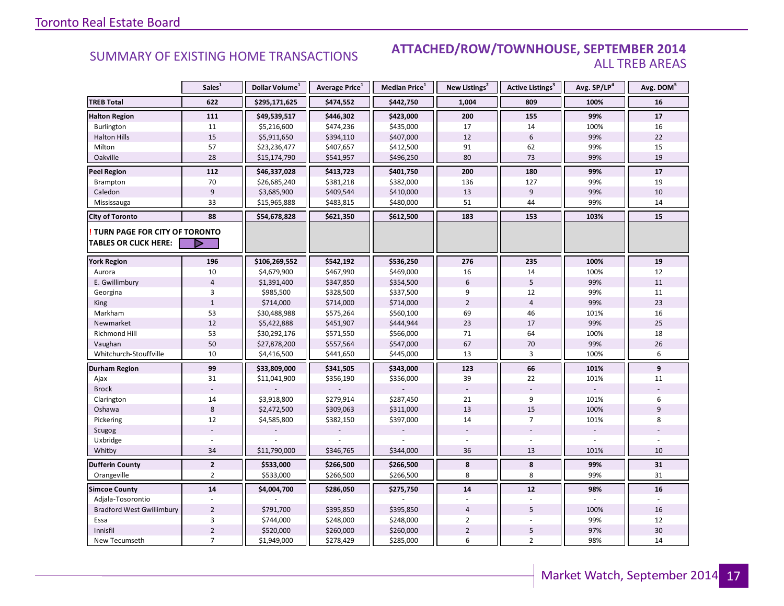### **Industrial Leasing SUMMARY OF EXISTING HOME TRANSACTIONS ATTACHED/ROW/TOWNHOUSE, SEPTEMBER 2014** ALL TREB AREAS

|                                                               | Sales <sup>1</sup> | Dollar Volume <sup>1</sup> | Average Price <sup>1</sup> | <b>Median Price</b> <sup>1</sup> | New Listings <sup>2</sup> | <b>Active Listings</b> <sup>3</sup> | Avg. SP/LP4 | Avg. DOM <sup>5</sup> |
|---------------------------------------------------------------|--------------------|----------------------------|----------------------------|----------------------------------|---------------------------|-------------------------------------|-------------|-----------------------|
| <b>TREB Total</b>                                             | 622                | \$295,171,625              | \$474,552                  | \$442,750                        | 1,004                     | 809                                 | 100%        | 16                    |
| <b>Halton Region</b>                                          | 111                | \$49,539,517               | \$446,302                  | \$423,000                        | 200                       | 155                                 | 99%         | 17                    |
| Burlington                                                    | 11                 | \$5,216,600                | \$474,236                  | \$435,000                        | 17                        | 14                                  | 100%        | 16                    |
| <b>Halton Hills</b>                                           | 15                 | \$5,911,650                | \$394,110                  | \$407,000                        | 12                        | $6\phantom{1}$                      | 99%         | 22                    |
| Milton                                                        | 57                 | \$23,236,477               | \$407,657                  | \$412,500                        | 91                        | 62                                  | 99%         | 15                    |
| Oakville                                                      | 28                 | \$15,174,790               | \$541,957                  | \$496,250                        | 80                        | 73                                  | 99%         | 19                    |
| <b>Peel Region</b>                                            | 112                | \$46,337,028               | \$413,723                  | \$401,750                        | 200                       | 180                                 | 99%         | 17                    |
| Brampton                                                      | 70                 | \$26,685,240               | \$381,218                  | \$382,000                        | 136                       | 127                                 | 99%         | 19                    |
| Caledon                                                       | $\overline{9}$     | \$3,685,900                | \$409,544                  | \$410,000                        | 13                        | 9                                   | 99%         | 10                    |
| Mississauga                                                   | 33                 | \$15,965,888               | \$483,815                  | \$480,000                        | 51                        | 44                                  | 99%         | 14                    |
| <b>City of Toronto</b>                                        | 88                 | \$54,678,828               | \$621,350                  | \$612,500                        | 183                       | 153                                 | 103%        | 15                    |
| TURN PAGE FOR CITY OF TORONTO<br><b>TABLES OR CLICK HERE:</b> | Þ                  |                            |                            |                                  |                           |                                     |             |                       |
| <b>York Region</b>                                            | 196                | \$106,269,552              | \$542,192                  | \$536,250                        | 276                       | 235                                 | 100%        | 19                    |
| Aurora                                                        | 10                 | \$4,679,900                | \$467,990                  | \$469,000                        | 16                        | 14                                  | 100%        | 12                    |
| E. Gwillimbury                                                | $\overline{4}$     | \$1,391,400                | \$347,850                  | \$354,500                        | 6                         | 5                                   | 99%         | 11                    |
| Georgina                                                      | 3                  | \$985,500                  | \$328,500                  | \$337,500                        | 9                         | 12                                  | 99%         | 11                    |
| King                                                          | $1\,$              | \$714,000                  | \$714,000                  | \$714,000                        | $\overline{2}$            | $\overline{4}$                      | 99%         | 23                    |
| Markham                                                       | 53                 | \$30,488,988               | \$575,264                  | \$560,100                        | 69                        | 46                                  | 101%        | 16                    |
| Newmarket                                                     | $12\,$             | \$5,422,888                | \$451,907                  | \$444,944                        | 23                        | 17                                  | 99%         | 25                    |
| Richmond Hill                                                 | 53                 | \$30,292,176               | \$571,550                  | \$566,000                        | 71                        | 64                                  | 100%        | 18                    |
| Vaughan                                                       | 50                 | \$27,878,200               | \$557,564                  | \$547,000                        | 67                        | 70                                  | 99%         | 26                    |
| Whitchurch-Stouffville                                        | 10                 | \$4,416,500                | \$441,650                  | \$445,000                        | 13                        | 3                                   | 100%        | 6                     |
| Durham Region                                                 | 99                 | \$33,809,000               | \$341,505                  | \$343,000                        | 123                       | 66                                  | 101%        | 9                     |
| Ajax                                                          | 31                 | \$11,041,900               | \$356,190                  | \$356,000                        | 39                        | 22                                  | 101%        | 11                    |
| <b>Brock</b>                                                  |                    |                            |                            |                                  |                           |                                     |             |                       |
| Clarington                                                    | 14                 | \$3,918,800                | \$279,914                  | \$287,450                        | 21                        | 9                                   | 101%        | 6                     |
| Oshawa                                                        | 8                  | \$2,472,500                | \$309,063                  | \$311,000                        | 13                        | 15                                  | 100%        | 9                     |
| Pickering                                                     | 12                 | \$4,585,800                | \$382,150                  | \$397,000                        | 14                        | $\overline{7}$                      | 101%        | 8                     |
| Scugog                                                        |                    |                            |                            |                                  |                           |                                     |             |                       |
| Uxbridge                                                      |                    |                            |                            |                                  |                           |                                     |             |                       |
| Whitby                                                        | 34                 | \$11,790,000               | \$346,765                  | \$344,000                        | 36                        | 13                                  | 101%        | 10                    |
| <b>Dufferin County</b>                                        | $\overline{2}$     | \$533,000                  | \$266,500                  | \$266,500                        | 8                         | 8                                   | 99%         | 31                    |
| Orangeville                                                   | $\overline{2}$     | \$533,000                  | \$266,500                  | \$266,500                        | 8                         | 8                                   | 99%         | 31                    |
| <b>Simcoe County</b>                                          | $\overline{14}$    | \$4,004,700                | \$286,050                  | \$275,750                        | 14                        | $12$                                | 98%         | 16                    |
| Adjala-Tosorontio                                             |                    |                            |                            |                                  |                           |                                     |             |                       |
| <b>Bradford West Gwillimbury</b>                              | $\overline{2}$     | \$791,700                  | \$395,850                  | \$395,850                        | $\overline{4}$            | 5                                   | 100%        | 16                    |
| Essa                                                          | 3                  | \$744,000                  | \$248,000                  | \$248,000                        | $\overline{2}$            |                                     | 99%         | 12                    |
| Innisfil                                                      | $\mathbf 2$        | \$520,000                  | \$260,000                  | \$260,000                        | $\overline{2}$            | 5                                   | 97%         | 30                    |
| New Tecumseth                                                 | $\overline{7}$     | \$1,949,000                | \$278,429                  | \$285,000                        | 6                         | $\overline{2}$                      | 98%         | 14                    |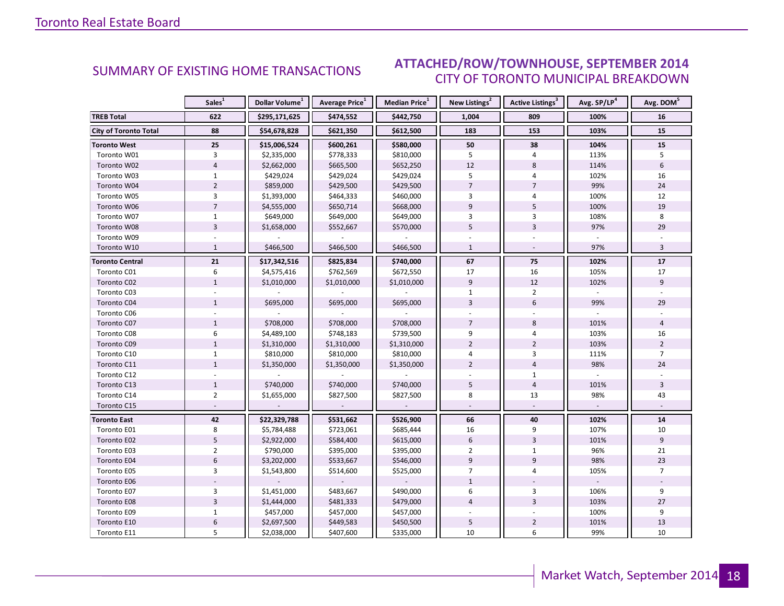#### DTEMRED 2014 CITY OF TORONTO MUNICIPAL BREAKDOWN SUMMARY OF EXISTING HOME TRANSACTIONS **ATTACHED/ROW/TOWNHOUSE, SEPTEMBER 2014**

<span id="page-17-0"></span>

|                              | Sales <sup>1</sup> | Dollar Volume <sup>1</sup> | Average Price <sup>1</sup> | Median Price <sup>1</sup> | New Listings <sup>2</sup> | Active Listings <sup>3</sup> | Avg. SP/LP <sup>4</sup> | Avg. DOM <sup>5</sup> |
|------------------------------|--------------------|----------------------------|----------------------------|---------------------------|---------------------------|------------------------------|-------------------------|-----------------------|
| <b>TREB Total</b>            | 622                | \$295,171,625              | \$474,552                  | \$442,750                 | 1,004                     | 809                          | 100%                    | 16                    |
| <b>City of Toronto Total</b> | 88                 | \$54,678,828               | \$621,350                  | \$612,500                 | 183                       | 153                          | 103%                    | 15                    |
| <b>Toronto West</b>          | 25                 | \$15,006,524               | \$600,261                  | \$580,000                 | 50                        | 38                           | 104%                    | 15                    |
| Toronto W01                  | 3                  | \$2,335,000                | \$778,333                  | \$810,000                 | 5                         | $\overline{4}$               | 113%                    | 5                     |
| Toronto W02                  | $\overline{4}$     | \$2,662,000                | \$665,500                  | \$652,250                 | 12                        | 8                            | 114%                    | 6                     |
| Toronto W03                  | $\mathbf{1}$       | \$429,024                  | \$429,024                  | \$429,024                 | 5                         | 4                            | 102%                    | 16                    |
| Toronto W04                  | $\overline{2}$     | \$859,000                  | \$429,500                  | \$429,500                 | $\overline{7}$            | $\overline{7}$               | 99%                     | 24                    |
| Toronto W05                  | $\overline{3}$     | \$1,393,000                | \$464,333                  | \$460,000                 | 3                         | 4                            | 100%                    | 12                    |
| Toronto W06                  | $\overline{7}$     | \$4,555,000                | \$650,714                  | \$668,000                 | 9                         | 5                            | 100%                    | 19                    |
| Toronto W07                  | $\mathbf{1}$       | \$649,000                  | \$649,000                  | \$649,000                 | 3                         | $\overline{3}$               | 108%                    | 8                     |
| Toronto W08                  | $\overline{3}$     | \$1,658,000                | \$552,667                  | \$570,000                 | 5                         | $\overline{3}$               | 97%                     | 29                    |
| Toronto W09                  |                    |                            |                            |                           |                           |                              |                         |                       |
| Toronto W10                  | $\mathbf{1}$       | \$466,500                  | \$466,500                  | \$466,500                 | $\mathbf{1}$              |                              | 97%                     | $\overline{3}$        |
| <b>Toronto Central</b>       | 21                 | \$17,342,516               | \$825,834                  | \$740,000                 | 67                        | 75                           | 102%                    | 17                    |
| Toronto C01                  | 6                  | \$4,575,416                | \$762,569                  | \$672,550                 | 17                        | 16                           | 105%                    | 17                    |
| Toronto C02                  | $\mathbf{1}$       | \$1,010,000                | \$1,010,000                | \$1,010,000               | $\boldsymbol{9}$          | 12                           | 102%                    | 9                     |
| Toronto C03                  |                    |                            |                            |                           | $\mathbf{1}$              | $\overline{2}$               |                         |                       |
| Toronto C04                  | $\mathbf{1}$       | \$695,000                  | \$695,000                  | \$695,000                 | $\overline{3}$            | $6\phantom{1}$               | 99%                     | 29                    |
| Toronto C06                  |                    |                            |                            |                           |                           |                              |                         |                       |
| Toronto C07                  | $\mathbf{1}$       | \$708,000                  | \$708,000                  | \$708,000                 | $\overline{7}$            | 8                            | 101%                    | $\overline{4}$        |
| Toronto C08                  | 6                  | \$4,489,100                | \$748,183                  | \$739,500                 | 9                         | $\overline{4}$               | 103%                    | 16                    |
| Toronto C09                  | $\mathbf{1}$       | \$1,310,000                | \$1,310,000                | \$1,310,000               | $\overline{2}$            | $\overline{2}$               | 103%                    | $\overline{2}$        |
| Toronto C10                  | $\mathbf{1}$       | \$810,000                  | \$810,000                  | \$810,000                 | 4                         | 3                            | 111%                    | $\overline{7}$        |
| Toronto C11                  | $\mathbf{1}$       | \$1,350,000                | \$1,350,000                | \$1,350,000               | $\overline{2}$            | $\overline{4}$               | 98%                     | 24                    |
| Toronto C12                  |                    |                            |                            |                           |                           | $\mathbf{1}$                 |                         |                       |
| Toronto C13                  | $\mathbf{1}$       | \$740,000                  | \$740,000                  | \$740,000                 | 5                         | $\overline{4}$               | 101%                    | 3                     |
| Toronto C14                  | $\overline{2}$     | \$1,655,000                | \$827,500                  | \$827,500                 | 8                         | 13                           | 98%                     | 43                    |
| Toronto C15                  |                    |                            |                            |                           |                           |                              |                         |                       |
| <b>Toronto East</b>          | 42                 | \$22,329,788               | \$531,662                  | \$526,900                 | 66                        | 40                           | 102%                    | 14                    |
| Toronto E01                  | 8                  | \$5,784,488                | \$723,061                  | \$685,444                 | 16                        | 9                            | 107%                    | 10                    |
| Toronto E02                  | 5                  | \$2,922,000                | \$584,400                  | \$615,000                 | 6                         | $\overline{3}$               | 101%                    | 9                     |
| Toronto E03                  | $\overline{2}$     | \$790,000                  | \$395,000                  | \$395,000                 | $\overline{2}$            | $\mathbf{1}$                 | 96%                     | 21                    |
| Toronto E04                  | $6\phantom{1}6$    | \$3,202,000                | \$533,667                  | \$546,000                 | $\overline{9}$            | $\overline{9}$               | 98%                     | 23                    |
| Toronto E05                  | 3                  | \$1,543,800                | \$514,600                  | \$525,000                 | $\overline{7}$            | 4                            | 105%                    | $\overline{7}$        |
| Toronto E06                  |                    |                            |                            |                           | $\mathbf{1}$              |                              |                         |                       |
| Toronto E07                  | $\overline{3}$     | \$1,451,000                | \$483,667                  | \$490,000                 | 6                         | 3                            | 106%                    | 9                     |
| <b>Toronto E08</b>           | $\overline{3}$     | \$1,444,000                | \$481,333                  | \$479,000                 | $\overline{4}$            | $\overline{3}$               | 103%                    | 27                    |
| Toronto E09                  | $\mathbf{1}$       | \$457,000                  | \$457,000                  | \$457,000                 |                           |                              | 100%                    | 9                     |
| Toronto E10                  | $\boldsymbol{6}$   | \$2,697,500                | \$449,583                  | \$450,500                 | 5                         | $\overline{2}$               | 101%                    | 13                    |
| Toronto E11                  | 5                  | \$2,038,000                | \$407,600                  | \$335,000                 | 10                        | 6                            | 99%                     | 10                    |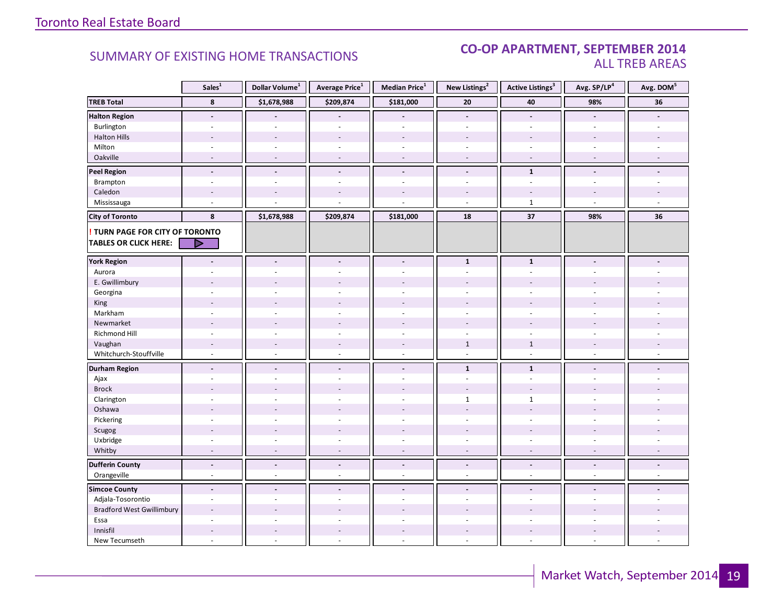### CO-OP APARTMENT, SEPTEMBER 2014 ALL TREB AREAS

|                                  | Sales <sup>1</sup>       | Dollar Volume <sup>1</sup> | Average Price <sup>1</sup> | Median Price $^1$        | New Listings <sup>2</sup> | <b>Active Listings<sup>3</sup></b> | Avg. SP/LP <sup>4</sup>  | Avg. DOM <sup>5</sup>    |
|----------------------------------|--------------------------|----------------------------|----------------------------|--------------------------|---------------------------|------------------------------------|--------------------------|--------------------------|
| <b>TREB Total</b>                | 8                        | \$1,678,988                | \$209,874                  | \$181,000                | 20                        | 40                                 | 98%                      | 36                       |
| <b>Halton Region</b>             | $\overline{\phantom{a}}$ |                            | $\overline{a}$             |                          | $\blacksquare$            | $\sim$                             | $\blacksquare$           |                          |
| Burlington                       |                          |                            |                            |                          |                           |                                    |                          |                          |
| <b>Halton Hills</b>              |                          | $\overline{a}$             | ÷.                         |                          |                           |                                    |                          |                          |
| Milton                           | $\omega$                 | $\overline{\phantom{a}}$   | $\omega$                   | $\omega$                 | $\sim$                    | $\sim$                             | $\overline{a}$           |                          |
| Oakville                         | $\overline{a}$           | $\overline{\phantom{a}}$   | $\overline{\phantom{a}}$   | $\overline{\phantom{a}}$ | $\overline{\phantom{a}}$  | $\overline{\phantom{a}}$           | $\overline{\phantom{a}}$ |                          |
| <b>Peel Region</b>               | $\blacksquare$           | $\tilde{\phantom{a}}$      | $\overline{a}$             | $\blacksquare$           | $\blacksquare$            | $\mathbf{1}$                       | $\blacksquare$           |                          |
| Brampton                         | $\overline{a}$           | $\overline{a}$             | $\overline{a}$             |                          | $\overline{a}$            | $\sim$                             |                          |                          |
| Caledon                          |                          |                            |                            |                          |                           |                                    |                          |                          |
| Mississauga                      |                          |                            |                            |                          |                           | $\mathbf{1}$                       |                          |                          |
| <b>City of Toronto</b>           | 8                        | \$1,678,988                | \$209,874                  | \$181,000                | 18                        | 37                                 | 98%                      | 36                       |
| TURN PAGE FOR CITY OF TORONTO    |                          |                            |                            |                          |                           |                                    |                          |                          |
| <b>TABLES OR CLICK HERE:</b>     | D                        |                            |                            |                          |                           |                                    |                          |                          |
|                                  |                          |                            |                            |                          |                           |                                    |                          |                          |
| <b>York Region</b>               | $\overline{\phantom{a}}$ | $\overline{\phantom{a}}$   | $\overline{\phantom{a}}$   | $\overline{\phantom{a}}$ | $\mathbf{1}$              | $\mathbf{1}$                       | $\blacksquare$           |                          |
| Aurora                           |                          |                            | $\overline{\phantom{a}}$   | ÷.                       | $\sim$                    | $\sim$                             |                          |                          |
| E. Gwillimbury                   |                          |                            |                            |                          |                           |                                    |                          |                          |
| Georgina                         |                          |                            | ÷.                         |                          |                           |                                    |                          |                          |
| King                             |                          |                            |                            |                          |                           |                                    |                          |                          |
| Markham                          | $\sim$                   | ÷,                         | ÷,                         | $\overline{a}$           | $\sim$                    | $\sim$                             | $\overline{a}$           |                          |
| Newmarket                        |                          |                            |                            |                          |                           |                                    |                          |                          |
| Richmond Hill                    | ÷.                       |                            | $\overline{\phantom{a}}$   |                          | ä,                        | ÷.                                 |                          |                          |
| Vaughan                          | $\overline{\phantom{a}}$ | $\sim$                     | $\overline{\phantom{a}}$   | $\overline{\phantom{a}}$ | $\mathbf{1}$              | $\mathbf{1}$                       | $\overline{\phantom{a}}$ |                          |
| Whitchurch-Stouffville           | $\sim$                   | $\omega$                   | $\overline{\phantom{a}}$   | $\omega$                 | $\sim$                    | $\sim$                             | $\overline{\phantom{a}}$ |                          |
| <b>Durham Region</b>             | $\blacksquare$           | $\tilde{\phantom{a}}$      | $\tilde{\phantom{a}}$      | $\blacksquare$           | $\mathbf{1}$              | $\mathbf{1}$                       | $\blacksquare$           |                          |
| Ajax                             | $\overline{a}$           | ÷.                         | $\overline{a}$             | $\sim$                   | $\sim$                    | $\sim$                             |                          |                          |
| <b>Brock</b>                     |                          |                            |                            |                          |                           |                                    |                          |                          |
| Clarington                       | $\sim$                   | $\sim$                     | ÷.                         | ÷.                       | $\mathbf{1}$              | $\mathbf{1}$                       | ÷                        |                          |
| Oshawa                           |                          |                            |                            |                          |                           |                                    |                          |                          |
| Pickering                        |                          |                            | $\overline{a}$             |                          |                           |                                    |                          |                          |
| Scugog                           |                          | $\overline{a}$             | ÷.                         |                          | $\overline{a}$            | $\overline{a}$                     |                          |                          |
| Uxbridge                         | $\omega$                 | $\bar{\phantom{a}}$        | $\overline{\phantom{a}}$   | $\overline{\phantom{a}}$ | $\overline{\phantom{a}}$  | $\overline{\phantom{a}}$           | $\bar{\phantom{a}}$      | ä,                       |
| Whitby                           | $\overline{\phantom{a}}$ | $\overline{\phantom{a}}$   | $\sim$                     | $\overline{\phantom{a}}$ | $\sim$                    | $\sim$                             | $\overline{\phantom{a}}$ | $\overline{\phantom{a}}$ |
| <b>Dufferin County</b>           | $\overline{\phantom{a}}$ | $\overline{\phantom{a}}$   | $\blacksquare$             | $\overline{\phantom{a}}$ | $\overline{\phantom{a}}$  | $\overline{\phantom{a}}$           | $\overline{\phantom{a}}$ | $\blacksquare$           |
| Orangeville                      | $\omega$                 | $\omega$                   | $\omega$                   | $\omega$                 | $\omega$                  | $\sim$                             | $\omega$                 | $\omega$                 |
|                                  |                          |                            |                            |                          |                           |                                    |                          |                          |
| <b>Simcoe County</b>             | $\blacksquare$           | $\overline{a}$             | $\overline{\phantom{a}}$   | $\blacksquare$           | $\blacksquare$            | $\overline{a}$                     | $\blacksquare$           |                          |
| Adjala-Tosorontio                | $\overline{\phantom{a}}$ | ÷,                         | ÷,                         | $\overline{\phantom{a}}$ | $\overline{\phantom{a}}$  | ÷.                                 | ÷.                       |                          |
| <b>Bradford West Gwillimbury</b> |                          |                            |                            |                          |                           |                                    |                          |                          |
| Essa                             |                          |                            |                            |                          |                           |                                    |                          |                          |
| Innisfil                         | $\overline{\phantom{a}}$ | $\overline{\phantom{a}}$   | $\overline{\phantom{a}}$   | $\overline{\phantom{a}}$ | $\overline{\phantom{a}}$  | $\overline{\phantom{a}}$           |                          |                          |
| New Tecumseth                    | $\sim$                   | ÷,                         | ÷,                         | ä,                       | $\mathcal{L}$             | $\sim$                             | $\overline{a}$           |                          |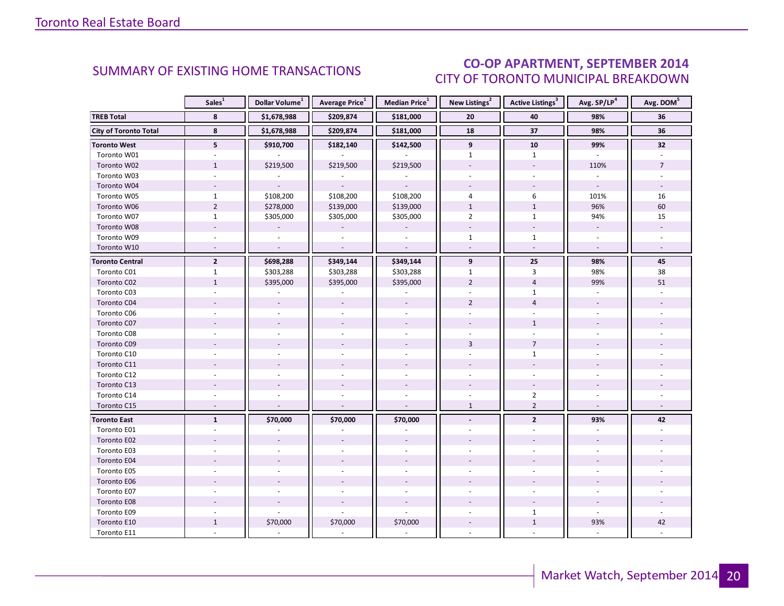### CO-OP APARTMENT, SEPTEMBER 2014 CITY OF TORONTO MUNICIPAL BREAKDOWN

<span id="page-19-0"></span>

|                              | Sales <sup>1</sup>       | Dollar Volume <sup>1</sup> | Average Price <sup>1</sup> | Median Price <sup>1</sup> | New Listings <sup>2</sup> | <b>Active Listings<sup>3</sup></b> | Avg. SP/LP <sup>4</sup> | Avg. DOM <sup>5</sup> |
|------------------------------|--------------------------|----------------------------|----------------------------|---------------------------|---------------------------|------------------------------------|-------------------------|-----------------------|
| <b>TREB Total</b>            | 8                        | \$1,678,988                | \$209,874                  | \$181,000                 | 20                        | 40                                 | 98%                     | 36                    |
| <b>City of Toronto Total</b> | 8                        | \$1,678,988                | \$209,874                  | \$181,000                 | 18                        | $\overline{37}$                    | 98%                     | 36                    |
| <b>Toronto West</b>          | 5                        | \$910,700                  | \$182,140                  | \$142,500                 | 9                         | 10                                 | 99%                     | 32                    |
| Toronto W01                  |                          |                            |                            |                           | $\mathbf{1}$              | $\mathbf{1}$                       |                         |                       |
| Toronto W02                  | $\mathbf{1}$             | \$219,500                  | \$219,500                  | \$219,500                 |                           |                                    | 110%                    | $\overline{7}$        |
| Toronto W03                  |                          |                            |                            |                           |                           |                                    |                         |                       |
| Toronto W04                  |                          |                            |                            |                           |                           |                                    |                         |                       |
| Toronto W05                  | $\mathbf{1}$             | \$108,200                  | \$108,200                  | \$108,200                 | 4                         | 6                                  | 101%                    | 16                    |
| Toronto W06                  | $\overline{2}$           | \$278,000                  | \$139,000                  | \$139,000                 | $\mathbf{1}$              | $\mathbf{1}$                       | 96%                     | 60                    |
| Toronto W07                  | $1\,$                    | \$305,000                  | \$305,000                  | \$305,000                 | $\overline{2}$            | $\mathbf{1}$                       | 94%                     | 15                    |
| Toronto W08                  |                          |                            |                            |                           |                           |                                    | $\overline{a}$          |                       |
| Toronto W09                  |                          |                            |                            |                           | $\mathbf{1}$              | $\mathbf{1}$                       |                         |                       |
| Toronto W10                  |                          |                            | $\sim$                     | $\overline{a}$            |                           | $\overline{a}$                     | $\overline{a}$          |                       |
| <b>Toronto Central</b>       | $\overline{2}$           | \$698,288                  | \$349,144                  | \$349,144                 | 9                         | 25                                 | 98%                     | 45                    |
| Toronto C01                  | $\mathbf{1}$             | \$303,288                  | \$303,288                  | \$303,288                 | $\mathbf{1}$              | 3                                  | 98%                     | 38                    |
| Toronto C02                  | $\mathbf{1}$             | \$395,000                  | \$395,000                  | \$395,000                 | $\overline{2}$            | $\overline{4}$                     | 99%                     | 51                    |
| Toronto C03                  | ÷.                       | $\bar{a}$                  |                            |                           | $\mathbf{r}$              | $\mathbf{1}$                       | ÷.                      |                       |
| Toronto C04                  |                          |                            |                            |                           | $\overline{2}$            | $\overline{4}$                     |                         |                       |
| Toronto C06                  |                          |                            |                            |                           |                           |                                    |                         |                       |
| Toronto C07                  |                          |                            |                            |                           |                           | $\mathbf{1}$                       |                         |                       |
| Toronto C08                  |                          |                            | ÷.                         | ÷.                        |                           |                                    |                         |                       |
| Toronto C09                  |                          |                            |                            |                           | 3                         | $\overline{7}$                     |                         |                       |
| Toronto C10                  |                          |                            |                            |                           |                           | $\mathbf{1}$                       |                         |                       |
| Toronto C11                  |                          |                            |                            |                           |                           |                                    |                         |                       |
| Toronto C12                  |                          |                            |                            |                           |                           |                                    |                         |                       |
| Toronto C13                  |                          |                            |                            |                           |                           |                                    |                         |                       |
| Toronto C14                  |                          |                            |                            |                           |                           | $\overline{2}$                     |                         |                       |
| Toronto C15                  | $\overline{\phantom{a}}$ |                            | ÷,                         | $\sim$                    | $\mathbf{1}$              | $\overline{2}$                     | $\sim$                  |                       |
| <b>Toronto East</b>          | $\mathbf{1}$             | \$70,000                   | \$70,000                   | \$70,000                  |                           | $\overline{2}$                     | 93%                     | 42                    |
| Toronto E01                  |                          |                            |                            |                           |                           |                                    |                         |                       |
| Toronto E02                  |                          |                            |                            |                           |                           |                                    |                         |                       |
| Toronto E03                  |                          |                            |                            |                           |                           |                                    |                         |                       |
| Toronto E04                  |                          |                            |                            |                           |                           |                                    |                         |                       |
| Toronto E05                  |                          |                            |                            |                           |                           |                                    |                         |                       |
| Toronto E06                  |                          |                            |                            |                           |                           |                                    |                         |                       |
| Toronto E07                  |                          |                            |                            |                           |                           |                                    |                         |                       |
| Toronto E08                  |                          |                            |                            |                           |                           |                                    |                         |                       |
| Toronto E09                  |                          |                            |                            |                           |                           | $\mathbf{1}$                       |                         |                       |
| Toronto E10                  | $\mathbf{1}$             | \$70,000                   | \$70,000                   | \$70,000                  |                           | $1\,$                              | 93%                     | 42                    |
| Toronto E11                  |                          |                            | ä,                         |                           |                           |                                    |                         |                       |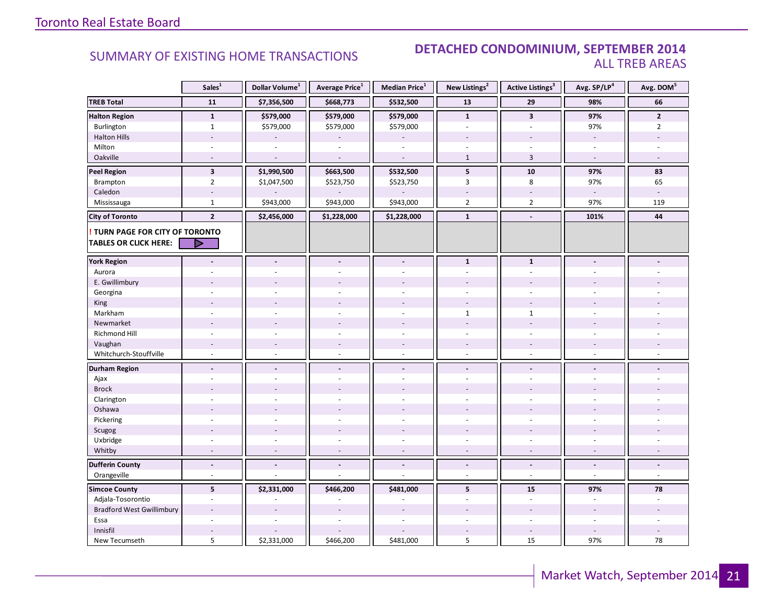### **Industrial Leasing SUMMARY OF EXISTING HOME TRANSACTIONS DETACHED CONDOMINIUM, SEPTEMBER 2014** ALL TREB AREAS

|                                  | Sales <sup>1</sup>       | Dollar Volume <sup>1</sup> | Average Price <sup>1</sup> | Median Price <sup>1</sup> | New Listings <sup>2</sup> | <b>Active Listings<sup>3</sup></b> | Avg. SP/LP <sup>4</sup> | Avg. DOM <sup>5</sup> |
|----------------------------------|--------------------------|----------------------------|----------------------------|---------------------------|---------------------------|------------------------------------|-------------------------|-----------------------|
| <b>TREB Total</b>                | 11                       | \$7,356,500                | \$668,773                  | \$532,500                 | 13                        | 29                                 | 98%                     | 66                    |
| <b>Halton Region</b>             | $\mathbf{1}$             | \$579,000                  | \$579,000                  | \$579,000                 | $\mathbf{1}$              | $\overline{\mathbf{3}}$            | 97%                     | $\overline{2}$        |
| Burlington                       | $\mathbf{1}$             | \$579,000                  | \$579,000                  | \$579,000                 | ä,                        | L.                                 | 97%                     | $\overline{2}$        |
| <b>Halton Hills</b>              |                          |                            |                            |                           |                           |                                    |                         |                       |
| Milton                           |                          |                            |                            |                           |                           |                                    |                         |                       |
| Oakville                         | $\overline{\phantom{a}}$ |                            |                            |                           | $\mathbf{1}$              | $\overline{3}$                     | $\sim$                  |                       |
| <b>Peel Region</b>               | $\overline{\mathbf{3}}$  | \$1,990,500                | \$663,500                  | \$532,500                 | 5                         | 10                                 | 97%                     | 83                    |
| <b>Brampton</b>                  | $\overline{2}$           | \$1,047,500                | \$523,750                  | \$523,750                 | 3                         | 8                                  | 97%                     | 65                    |
| Caledon                          | $\sim$                   |                            |                            |                           |                           | $\overline{a}$                     | $\sim$                  |                       |
| Mississauga                      | $\mathbf{1}$             | \$943,000                  | \$943,000                  | \$943,000                 | $\overline{2}$            | $\overline{2}$                     | 97%                     | 119                   |
| <b>City of Toronto</b>           | $\overline{\mathbf{2}}$  | \$2,456,000                | \$1,228,000                | \$1,228,000               | $\mathbf 1$               | $\blacksquare$                     | 101%                    | 44                    |
| TURN PAGE FOR CITY OF TORONTO    |                          |                            |                            |                           |                           |                                    |                         |                       |
| <b>TABLES OR CLICK HERE:</b>     | D                        |                            |                            |                           |                           |                                    |                         |                       |
| <b>York Region</b>               |                          |                            | $\blacksquare$             |                           | $\mathbf{1}$              | $\mathbf{1}$                       |                         |                       |
| Aurora                           |                          |                            |                            |                           |                           |                                    |                         |                       |
| E. Gwillimbury                   |                          |                            |                            |                           |                           |                                    |                         |                       |
| Georgina                         |                          |                            |                            |                           |                           |                                    |                         |                       |
| King                             |                          |                            |                            |                           |                           |                                    |                         |                       |
| Markham                          | $\sim$                   |                            | ä,                         | $\sim$                    | $\mathbf{1}$              | $\mathbf{1}$                       |                         |                       |
| Newmarket                        |                          |                            |                            |                           |                           |                                    |                         |                       |
| <b>Richmond Hill</b>             |                          |                            |                            |                           |                           |                                    |                         |                       |
| Vaughan                          | $\sim$                   |                            | $\overline{a}$             | $\overline{\phantom{a}}$  |                           |                                    |                         |                       |
| Whitchurch-Stouffville           | $\sim$                   | $\sim$                     | ÷,                         | $\omega$                  | $\sim$                    | $\sim$                             | $\sim$                  |                       |
| <b>Durham Region</b>             | $\overline{a}$           | $\blacksquare$             | $\blacksquare$             | $\blacksquare$            | $\blacksquare$            | $\blacksquare$                     | $\sim$                  |                       |
| Ajax                             |                          |                            |                            | $\sim$                    | $\sim$                    |                                    |                         |                       |
| <b>Brock</b>                     |                          |                            |                            |                           |                           |                                    |                         |                       |
| Clarington                       |                          |                            |                            |                           |                           |                                    |                         |                       |
| Oshawa                           |                          |                            |                            |                           |                           |                                    |                         |                       |
| Pickering                        | $\overline{a}$           |                            | L,                         | $\overline{a}$            | $\overline{a}$            | ÷.                                 |                         |                       |
| Scugog                           |                          |                            |                            |                           |                           |                                    |                         |                       |
| Uxbridge                         | ÷.                       |                            | ä,                         | ÷.                        | ÷                         | ÷.                                 |                         |                       |
| Whitby                           | $\overline{\phantom{a}}$ |                            |                            |                           | $\overline{\phantom{a}}$  | $\blacksquare$                     |                         |                       |
| <b>Dufferin County</b>           | $\overline{a}$           | $\overline{\phantom{a}}$   | $\overline{a}$             | $\blacksquare$            | $\blacksquare$            | $\blacksquare$                     | $\blacksquare$          | $\blacksquare$        |
| Orangeville                      | $\omega$                 |                            | L,                         | $\overline{a}$            | ÷                         | $\sim$                             | $\sim$                  | $\omega$              |
| <b>Simcoe County</b>             | 5                        | \$2,331,000                | \$466,200                  | \$481,000                 | 5                         | 15                                 | 97%                     | 78                    |
| Adjala-Tosorontio                | $\sim$                   |                            |                            |                           | ÷                         | $\overline{a}$                     | $\sim$                  |                       |
| <b>Bradford West Gwillimbury</b> |                          |                            |                            |                           |                           |                                    |                         |                       |
| Essa                             | ÷.                       |                            |                            |                           |                           | ÷.                                 |                         |                       |
| Innisfil                         |                          |                            |                            |                           |                           | $\sim$                             |                         |                       |
| New Tecumseth                    | 5                        | \$2,331,000                | \$466,200                  | \$481,000                 | 5                         | 15                                 | 97%                     | 78                    |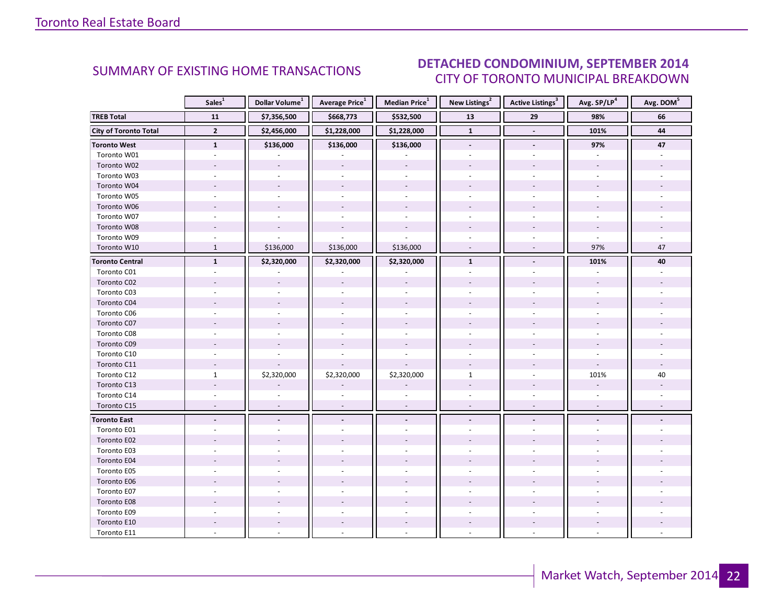#### DTEMRED 2014 CITY OF TORONTO MUNICIPAL BREAKDOWN SUMMARY OF EXISTING HOME TRANSACTIONS **DETACHED CONDOMINIUM, SEPTEMBER 2014**

<span id="page-21-0"></span>

|                              | Sales <sup>1</sup> | Dollar Volume <sup>1</sup> | Average Price <sup>1</sup> | Median Price <sup>1</sup> | New Listings <sup>2</sup> | Active Listings <sup>3</sup> | Avg. SP/LP <sup>4</sup> | Avg. DOM <sup>5</sup> |
|------------------------------|--------------------|----------------------------|----------------------------|---------------------------|---------------------------|------------------------------|-------------------------|-----------------------|
| <b>TREB Total</b>            | 11                 | \$7,356,500                | \$668,773                  | \$532,500                 | 13                        | 29                           | 98%                     | 66                    |
| <b>City of Toronto Total</b> | $\overline{2}$     | \$2,456,000                | \$1,228,000                | \$1,228,000               | $\mathbf{1}$              | $\Box$                       | 101%                    | 44                    |
| <b>Toronto West</b>          | $\mathbf{1}$       | \$136,000                  | \$136,000                  | \$136,000                 | $\overline{\phantom{a}}$  | $\overline{\phantom{a}}$     | 97%                     | 47                    |
| Toronto W01                  |                    |                            |                            |                           |                           |                              |                         |                       |
| Toronto W02                  |                    |                            |                            |                           |                           |                              |                         |                       |
| Toronto W03                  | $\overline{a}$     |                            |                            |                           |                           |                              |                         |                       |
| Toronto W04                  |                    |                            |                            |                           |                           |                              |                         |                       |
| Toronto W05                  |                    |                            |                            |                           |                           |                              |                         |                       |
| Toronto W06                  |                    |                            |                            |                           |                           |                              |                         |                       |
| Toronto W07                  |                    |                            |                            |                           |                           |                              |                         |                       |
| Toronto W08                  |                    |                            |                            |                           |                           |                              |                         |                       |
| Toronto W09                  |                    |                            |                            |                           |                           |                              |                         |                       |
| Toronto W10                  | $\mathbf{1}$       | \$136,000                  | \$136,000                  | \$136,000                 |                           |                              | 97%                     | 47                    |
| <b>Toronto Central</b>       | $\mathbf{1}$       | \$2,320,000                | \$2,320,000                | \$2,320,000               | $\mathbf{1}$              | $\blacksquare$               | 101%                    | 40                    |
| Toronto C01                  |                    |                            |                            |                           |                           |                              |                         |                       |
| Toronto C02                  |                    |                            |                            |                           |                           |                              |                         |                       |
| Toronto C03                  |                    |                            |                            |                           |                           |                              | ÷.                      |                       |
| Toronto C04                  |                    |                            |                            |                           |                           |                              |                         |                       |
| Toronto C06                  |                    |                            |                            |                           |                           |                              |                         |                       |
| Toronto C07                  |                    |                            |                            |                           |                           |                              |                         |                       |
| Toronto C08                  |                    |                            |                            |                           |                           |                              |                         |                       |
| Toronto C09                  |                    |                            |                            |                           |                           |                              |                         |                       |
| Toronto C10                  |                    |                            |                            |                           |                           |                              |                         |                       |
| Toronto C11                  |                    |                            |                            |                           |                           |                              |                         |                       |
| Toronto C12                  | $\mathbf{1}$       | \$2,320,000                | \$2,320,000                | \$2,320,000               | $\mathbf{1}$              |                              | 101%                    | 40                    |
| Toronto C13                  |                    |                            |                            |                           |                           |                              |                         |                       |
| Toronto C14                  |                    |                            |                            |                           |                           |                              |                         |                       |
| Toronto C15                  | $\sim$             | $\overline{a}$             |                            | $\overline{a}$            | $\sim$                    | $\overline{\phantom{a}}$     | $\sim$                  |                       |
| <b>Toronto East</b>          |                    | $\blacksquare$             |                            |                           |                           |                              |                         |                       |
| Toronto E01                  |                    |                            |                            |                           |                           |                              |                         |                       |
| Toronto E02                  |                    |                            |                            |                           |                           |                              |                         |                       |
| Toronto E03                  |                    |                            |                            |                           |                           |                              |                         |                       |
| Toronto E04                  |                    |                            |                            |                           |                           |                              |                         |                       |
| Toronto E05                  |                    |                            |                            |                           |                           |                              |                         |                       |
| Toronto E06                  |                    |                            |                            |                           |                           |                              |                         |                       |
| Toronto E07                  |                    |                            |                            |                           |                           |                              |                         |                       |
| Toronto E08                  |                    |                            |                            |                           |                           |                              |                         |                       |
| Toronto E09                  |                    |                            |                            |                           |                           |                              |                         |                       |
| Toronto E10                  |                    |                            |                            |                           |                           |                              |                         |                       |
| Toronto E11                  |                    |                            |                            |                           |                           |                              |                         |                       |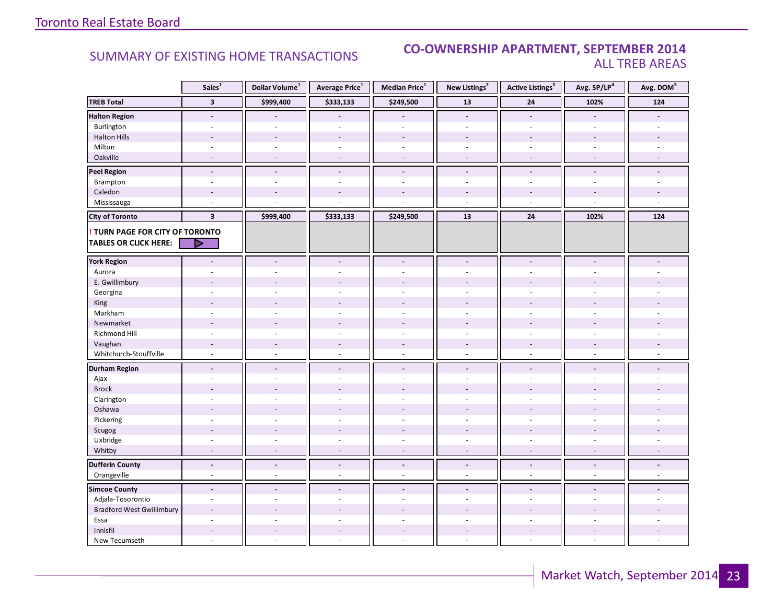### **Industrial Leasing CO-OWNERSHIP APARTMENT, SEPTEMBER 2014**<br>ALL TREB AREAS ALL TREB AREAS

|                                  | Sales <sup>1</sup>       | Dollar Volume <sup>1</sup> | Average Price <sup>1</sup> | Median Price <sup>1</sup> | New Listings <sup>2</sup> | <b>Active Listings<sup>3</sup></b> | Avg. SP/LP <sup>4</sup> | Avg. DOM <sup>5</sup> |
|----------------------------------|--------------------------|----------------------------|----------------------------|---------------------------|---------------------------|------------------------------------|-------------------------|-----------------------|
| <b>TREB Total</b>                | $\overline{\mathbf{3}}$  | \$999,400                  | \$333,133                  | \$249,500                 | 13                        | ${\bf 24}$                         | 102%                    | 124                   |
| <b>Halton Region</b>             | $\overline{\phantom{a}}$ |                            |                            |                           | $\blacksquare$            | $\overline{\phantom{a}}$           |                         |                       |
| Burlington                       | $\omega$                 | ÷,                         | $\omega$                   | $\omega$                  | $\mathcal{L}$             | ÷.                                 | ÷.                      | L.                    |
| <b>Halton Hills</b>              |                          | $\overline{a}$             |                            |                           |                           |                                    |                         |                       |
| Milton                           | $\sim$                   | $\overline{\phantom{a}}$   | $\overline{\phantom{a}}$   | ÷                         | $\sim$                    | $\sim$                             | $\sim$                  |                       |
| Oakville                         | $\sim$                   | $\overline{\phantom{a}}$   | $\overline{\phantom{a}}$   | $\overline{\phantom{a}}$  | $\sim$                    | $\sim$                             | $\sim$                  |                       |
| <b>Peel Region</b>               | $\blacksquare$           | $\overline{a}$             | $\overline{a}$             | $\blacksquare$            | $\blacksquare$            | $\blacksquare$                     | $\overline{a}$          | L.                    |
| Brampton                         | $\sim$                   | $\sim$                     | $\overline{\phantom{a}}$   | ÷                         | ÷.                        | $\sim$                             | ÷                       | ÷                     |
| Caledon                          | $\overline{a}$           | $\overline{a}$             | $\overline{a}$             |                           |                           | $\overline{a}$                     | $\overline{a}$          |                       |
| Mississauga                      | L.                       |                            | L                          |                           | ÷,                        | ÷.                                 |                         | $\omega$              |
| <b>City of Toronto</b>           | $\overline{\mathbf{3}}$  | \$999,400                  | \$333,133                  | \$249,500                 | 13                        | 24                                 | 102%                    | 124                   |
| TURN PAGE FOR CITY OF TORONTO    |                          |                            |                            |                           |                           |                                    |                         |                       |
| <b>TABLES OR CLICK HERE:</b>     |                          |                            |                            |                           |                           |                                    |                         |                       |
| <b>York Region</b>               |                          | $\blacksquare$             | $\overline{\phantom{a}}$   |                           | $\blacksquare$            |                                    |                         |                       |
| Aurora                           |                          |                            |                            |                           |                           |                                    |                         |                       |
| E. Gwillimbury                   |                          |                            |                            |                           |                           |                                    |                         |                       |
| Georgina                         |                          |                            | ÷.                         |                           |                           |                                    |                         |                       |
| King                             |                          |                            |                            |                           |                           |                                    |                         |                       |
| Markham                          | $\sim$                   | $\sim$                     | ÷,                         | ÷                         | $\sim$                    | $\sim$                             | $\sim$                  |                       |
| Newmarket                        |                          |                            |                            |                           |                           |                                    |                         |                       |
| Richmond Hill                    |                          |                            |                            |                           |                           |                                    |                         |                       |
| Vaughan                          | $\overline{\phantom{a}}$ | $\overline{\phantom{a}}$   | $\overline{a}$             | $\overline{\phantom{a}}$  | $\overline{\phantom{a}}$  | $\sim$                             | $\sim$                  |                       |
| Whitchurch-Stouffville           | $\omega$                 | $\omega$                   | ÷,                         | $\omega$                  | $\omega$                  | $\omega$                           | $\sim$                  |                       |
| <b>Durham Region</b>             | $\sim$                   | $\blacksquare$             | $\tilde{\phantom{a}}$      | $\blacksquare$            | $\blacksquare$            | $\blacksquare$                     | $\overline{a}$          |                       |
| Ajax                             |                          |                            | ÷.                         | ÷                         | ä,                        |                                    |                         |                       |
| <b>Brock</b>                     |                          |                            |                            |                           |                           |                                    |                         |                       |
| Clarington                       |                          |                            | ÷.                         |                           |                           |                                    |                         |                       |
| Oshawa                           |                          |                            |                            |                           |                           |                                    |                         |                       |
| Pickering                        | ÷,                       | $\overline{a}$             | ÷,                         | $\sim$                    | $\sim$                    | $\sim$                             | $\overline{a}$          |                       |
| Scugog                           |                          |                            |                            |                           |                           |                                    |                         |                       |
| Uxbridge                         | ÷.                       | ÷.                         | ÷,                         | ÷.                        | ÷.                        | ÷.                                 | $\sim$                  |                       |
| Whitby                           | $\overline{a}$           | $\overline{\phantom{a}}$   | $\overline{\phantom{a}}$   |                           | $\overline{\phantom{a}}$  | ÷,                                 | $\sim$                  |                       |
| <b>Dufferin County</b>           | $\blacksquare$           | $\Box$                     | $\Box$                     | $\blacksquare$            | $\blacksquare$            | $\blacksquare$                     | $\Box$                  | $\blacksquare$        |
| Orangeville                      | $\sim$                   | $\omega$                   | $\omega$                   | $\sim$                    | $\omega$                  | $\sim$                             | $\sim$                  | $\sim$                |
| <b>Simcoe County</b>             | $\blacksquare$           | $\blacksquare$             | $\overline{\phantom{a}}$   | $\overline{a}$            | $\blacksquare$            | $\overline{a}$                     | $\overline{a}$          |                       |
| Adjala-Tosorontio                | $\sim$                   | ÷.                         | $\overline{a}$             | $\sim$                    | $\overline{a}$            |                                    |                         |                       |
| <b>Bradford West Gwillimbury</b> |                          |                            |                            |                           |                           |                                    |                         |                       |
| Essa                             |                          |                            | ÷.                         |                           | $\equiv$                  |                                    |                         |                       |
| Innisfil                         |                          | $\overline{\phantom{a}}$   | $\overline{\phantom{a}}$   | $\sim$                    | $\overline{\phantom{a}}$  | $\overline{a}$                     |                         |                       |
| New Tecumseth                    | ÷,                       |                            | ÷,                         | $\overline{a}$            | $\bar{a}$                 | ÷,                                 |                         |                       |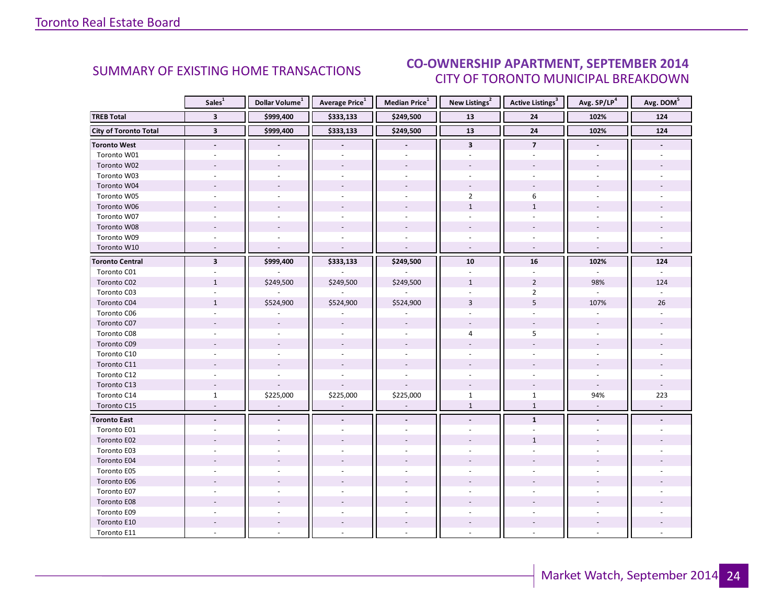#### DTEMRED 2014 CITY OF TORONTO MUNICIPAL BREAKDOWN SUMMARY OF EXISTING HOME TRANSACTIONS **CO-OWNERSHIP APARTMENT, SEPTEMBER 2014**

<span id="page-23-0"></span>

|                              | Sales <sup>1</sup>       | Dollar Volume <sup>1</sup> | Average Price <sup>1</sup> | Median Price <sup>1</sup> | New Listings <sup>2</sup> | Active Listings <sup>3</sup> | Avg. SP/LP <sup>4</sup>  | Avg. DOM <sup>5</sup> |
|------------------------------|--------------------------|----------------------------|----------------------------|---------------------------|---------------------------|------------------------------|--------------------------|-----------------------|
| <b>TREB Total</b>            | $\overline{\mathbf{3}}$  | \$999,400                  | \$333,133                  | \$249,500                 | 13                        | 24                           | 102%                     | 124                   |
| <b>City of Toronto Total</b> | $\overline{\mathbf{3}}$  | \$999,400                  | \$333,133                  | \$249,500                 | 13                        | $\overline{24}$              | 102%                     | 124                   |
| <b>Toronto West</b>          | $\overline{\phantom{a}}$ |                            |                            | $\overline{\phantom{a}}$  | $\mathbf{3}$              | $\overline{7}$               | $\overline{\phantom{a}}$ |                       |
| Toronto W01                  |                          |                            |                            |                           |                           |                              |                          |                       |
| Toronto W02                  |                          |                            |                            |                           |                           |                              |                          |                       |
| Toronto W03                  | ä,                       |                            |                            | $\overline{a}$            |                           |                              |                          |                       |
| Toronto W04                  |                          |                            |                            |                           |                           |                              |                          |                       |
| Toronto W05                  |                          |                            |                            |                           | $\overline{2}$            | $\sqrt{6}$                   |                          |                       |
| Toronto W06                  |                          |                            |                            |                           | $\mathbf{1}$              | $\mathbf{1}$                 |                          |                       |
| Toronto W07                  |                          |                            |                            |                           |                           |                              |                          |                       |
| Toronto W08                  |                          |                            |                            |                           |                           |                              |                          |                       |
| Toronto W09                  |                          |                            |                            |                           |                           |                              |                          |                       |
| Toronto W10                  | $\overline{a}$           |                            |                            |                           | $\sim$                    | $\sim$                       |                          |                       |
| <b>Toronto Central</b>       | $\overline{\mathbf{3}}$  | \$999,400                  | \$333,133                  | \$249,500                 | 10                        | ${\bf 16}$                   | 102%                     | 124                   |
| Toronto C01                  |                          |                            |                            |                           |                           |                              |                          |                       |
| Toronto C02                  | $\mathbf{1}$             | \$249,500                  | \$249,500                  | \$249,500                 | $\mathbf{1}$              | $\overline{2}$               | 98%                      | 124                   |
| Toronto C03                  | $\sim$                   |                            |                            |                           |                           | $\overline{2}$               |                          |                       |
| Toronto C04                  | $\mathbf{1}$             | \$524,900                  | \$524,900                  | \$524,900                 | $\overline{3}$            | 5                            | 107%                     | 26                    |
| Toronto C06                  |                          |                            |                            |                           |                           |                              |                          |                       |
| Toronto C07                  |                          |                            |                            |                           |                           |                              |                          |                       |
| Toronto C08                  |                          |                            |                            |                           | 4                         | 5                            |                          |                       |
| Toronto C09                  |                          |                            |                            |                           |                           |                              |                          |                       |
| Toronto C10                  |                          |                            |                            |                           |                           |                              |                          |                       |
| Toronto C11                  |                          |                            |                            |                           |                           |                              |                          |                       |
| Toronto C12                  |                          |                            |                            |                           |                           |                              |                          |                       |
| Toronto C13                  |                          |                            |                            |                           |                           |                              |                          |                       |
| Toronto C14                  | $\mathbf{1}$             | \$225,000                  | \$225,000                  | \$225,000                 | $\mathbf{1}$              | $\mathbf{1}$                 | 94%                      | 223                   |
| Toronto C15                  | $\sim$                   | $\overline{\phantom{a}}$   | $\overline{\phantom{a}}$   | $\sim$                    | $\mathbf 1$               | $1\,$                        | $\omega$                 | $\omega$              |
| <b>Toronto East</b>          | $\blacksquare$           |                            |                            | $\blacksquare$            | $\blacksquare$            | $\mathbf{1}$                 | $\blacksquare$           |                       |
| Toronto E01                  |                          |                            |                            |                           |                           |                              |                          |                       |
| Toronto E02                  |                          |                            |                            |                           |                           | $\mathbf{1}$                 |                          |                       |
| Toronto E03                  |                          |                            |                            |                           |                           |                              |                          |                       |
| Toronto E04                  |                          |                            |                            |                           |                           |                              |                          |                       |
| Toronto E05                  |                          |                            |                            |                           |                           |                              |                          |                       |
| Toronto E06                  |                          |                            |                            |                           |                           |                              |                          |                       |
| Toronto E07                  |                          |                            |                            |                           |                           |                              |                          |                       |
| Toronto E08                  |                          |                            |                            |                           |                           |                              |                          |                       |
| Toronto E09                  |                          |                            |                            |                           |                           |                              |                          |                       |
| Toronto E10                  |                          |                            |                            |                           |                           |                              |                          |                       |
| Toronto E11                  |                          |                            |                            |                           |                           |                              |                          |                       |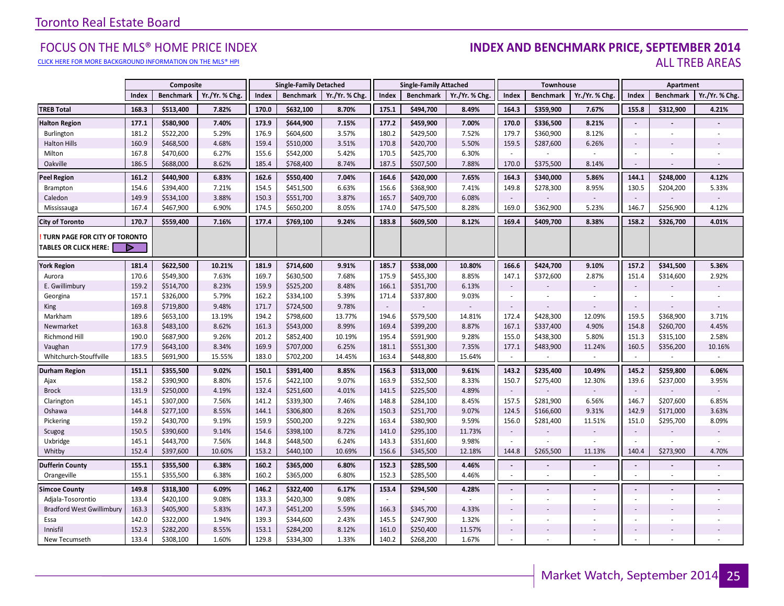#### [CLICK HERE FOR MORE BACKGROUND INFORMATION ON THE MLS® HPI](http://www.torontorealestateboard.com/market_news/home_price_index/index.htm)

#### FOCUS ON THE MLS® HOME PRICE INDEX (INDEX AN**D BENCHMARK PRICE, SEPTEMBER 2014**<br>Elick here for more background information on the mls® hpi ALL TREB AREAS

|                                  |       | Composite        |                |       | <b>Single-Family Detached</b> |                |        | <b>Single-Family Attached</b> |                |                          | Townhouse        |                              |                          | Apartment                |                |
|----------------------------------|-------|------------------|----------------|-------|-------------------------------|----------------|--------|-------------------------------|----------------|--------------------------|------------------|------------------------------|--------------------------|--------------------------|----------------|
|                                  | Index | <b>Benchmark</b> | Yr./Yr. % Chg. | Index | <b>Benchmark</b>              | Yr./Yr. % Chg. | Index  | <b>Benchmark</b>              | Yr./Yr. % Chg. | Index                    | <b>Benchmark</b> | Yr./Yr. % Chg.               | Index                    | <b>Benchmark</b>         | Yr./Yr. % Chg. |
| <b>TREB Total</b>                | 168.3 | \$513,400        | 7.82%          | 170.0 | \$632,100                     | 8.70%          | 175.1  | \$494,700                     | 8.49%          | 164.3                    | \$359,900        | 7.67%                        | 155.8                    | \$312,900                | 4.21%          |
| <b>Halton Region</b>             | 177.1 | \$580,900        | 7.40%          | 173.9 | \$644,900                     | 7.15%          | 177.2  | \$459,900                     | 7.00%          | 170.0                    | \$336,500        | 8.21%                        | $\blacksquare$           |                          |                |
| Burlington                       | 181.2 | \$522,200        | 5.29%          | 176.9 | \$604,600                     | 3.57%          | 180.2  | \$429,500                     | 7.52%          | 179.7                    | \$360,900        | 8.12%                        | ÷                        | ×.                       |                |
| <b>Halton Hills</b>              | 160.9 | \$468,500        | 4.68%          | 159.4 | \$510,000                     | 3.51%          | 170.8  | \$420,700                     | 5.50%          | 159.5                    | \$287,600        | 6.26%                        | $\sim$                   |                          |                |
| Milton                           | 167.8 | \$470,600        | 6.27%          | 155.6 | \$542,000                     | 5.42%          | 170.5  | \$425,700                     | 6.30%          | $\sim$                   |                  |                              | ÷                        |                          |                |
| Oakville                         | 186.5 | \$688,000        | 8.62%          | 185.4 | \$768,400                     | 8.74%          | 187.5  | \$507,500                     | 7.88%          | 170.0                    | \$375,500        | 8.14%                        | $\sim$                   |                          |                |
| <b>Peel Region</b>               | 161.2 | \$440,900        | 6.83%          | 162.6 | \$550,400                     | 7.04%          | 164.6  | \$420,000                     | 7.65%          | 164.3                    | \$340,000        | 5.86%                        | 144.1                    | \$248,000                | 4.12%          |
| Brampton                         | 154.6 | \$394,400        | 7.21%          | 154.5 | \$451,500                     | 6.63%          | 156.6  | \$368,900                     | 7.41%          | 149.8                    | \$278,300        | 8.95%                        | 130.5                    | \$204,200                | 5.33%          |
| Caledon                          | 149.9 | \$534,100        | 3.88%          | 150.3 | \$551,700                     | 3.87%          | 165.7  | \$409,700                     | 6.08%          |                          |                  |                              | $\sim$                   |                          |                |
| Mississauga                      | 167.4 | \$467,900        | 6.90%          | 174.5 | \$650,200                     | 8.05%          | 174.0  | \$475,500                     | 8.28%          | 169.0                    | \$362,900        | 5.23%                        | 146.7                    | \$256,900                | 4.12%          |
| <b>City of Toronto</b>           | 170.7 | \$559,400        | 7.16%          | 177.4 | \$769,100                     | 9.24%          | 183.8  | \$609,500                     | 8.12%          | 169.4                    | \$409,700        | 8.38%                        | 158.2                    | \$326,700                | 4.01%          |
| TURN PAGE FOR CITY OF TORONTO    |       |                  |                |       |                               |                |        |                               |                |                          |                  |                              |                          |                          |                |
| <b>TABLES OR CLICK HERE:</b>     | ▶     |                  |                |       |                               |                |        |                               |                |                          |                  |                              |                          |                          |                |
| <b>York Region</b>               | 181.4 | \$622,500        | 10.21%         | 181.9 | \$714,600                     | 9.91%          | 185.7  | \$538,000                     | 10.80%         | 166.6                    | \$424,700        | 9.10%                        | 157.2                    | \$341,500                | 5.36%          |
| Aurora                           | 170.6 | \$549,300        | 7.63%          | 169.7 | \$630,500                     | 7.68%          | 175.9  | \$455,300                     | 8.85%          | 147.1                    | \$372,600        | 2.87%                        | 151.4                    | \$314,600                | 2.92%          |
| E. Gwillimbury                   | 159.2 | \$514,700        | 8.23%          | 159.9 | \$525,200                     | 8.48%          | 166.1  | \$351,700                     | 6.13%          | $\overline{\phantom{a}}$ |                  |                              | $\sim$                   |                          |                |
| Georgina                         | 157.1 | \$326,000        | 5.79%          | 162.2 | \$334,100                     | 5.39%          | 171.4  | \$337,800                     | 9.03%          | $\sim$                   |                  |                              | $\sim$                   |                          |                |
| King                             | 169.8 | \$719,800        | 9.48%          | 171.7 | \$724,500                     | 9.78%          | $\sim$ |                               |                | $\overline{\phantom{a}}$ |                  |                              | $\sim$                   |                          |                |
| Markham                          | 189.6 | \$653,100        | 13.19%         | 194.2 | \$798,600                     | 13.77%         | 194.6  | \$579,500                     | 14.81%         | 172.4                    | \$428,300        | 12.09%                       | 159.5                    | \$368,900                | 3.71%          |
| Newmarket                        | 163.8 | \$483,100        | 8.62%          | 161.3 | \$543,000                     | 8.99%          | 169.4  | \$399,200                     | 8.87%          | 167.1                    | \$337,400        | 4.90%                        | 154.8                    | \$260,700                | 4.45%          |
| Richmond Hill                    | 190.0 | \$687,900        | 9.26%          | 201.2 | \$852,400                     | 10.19%         | 195.4  | \$591,900                     | 9.28%          | 155.0                    | \$438,300        | 5.80%                        | 151.3                    | \$315,100                | 2.58%          |
| Vaughan                          | 177.9 | \$643,100        | 8.34%          | 169.9 | \$707,000                     | 6.25%          | 181.1  | \$551,300                     | 7.35%          | 177.1                    | \$483,900        | 11.24%                       | 160.5                    | \$356,200                | 10.16%         |
| Whitchurch-Stouffville           | 183.5 | \$691,900        | 15.55%         | 183.0 | \$702,200                     | 14.45%         | 163.4  | \$448,800                     | 15.64%         | $\overline{\phantom{a}}$ |                  | $\omega$                     | $\sim$                   | $\sim$                   | $\sim$         |
| <b>Durham Region</b>             | 151.1 | \$355,500        | 9.02%          | 150.1 | \$391,400                     | 8.85%          | 156.3  | \$313,000                     | 9.61%          | 143.2                    | \$235,400        | 10.49%                       | 145.2                    | \$259,800                | 6.06%          |
| Ajax                             | 158.2 | \$390,900        | 8.80%          | 157.6 | \$422,100                     | 9.07%          | 163.9  | \$352,500                     | 8.33%          | 150.7                    | \$275,400        | 12.30%                       | 139.6                    | \$237,000                | 3.95%          |
| <b>Brock</b>                     | 131.9 | \$250,000        | 4.19%          | 132.4 | \$251,600                     | 4.01%          | 141.5  | \$225,500                     | 4.89%          | $\overline{\phantom{a}}$ |                  |                              | $\overline{\phantom{a}}$ |                          |                |
| Clarington                       | 145.1 | \$307,000        | 7.56%          | 141.2 | \$339,300                     | 7.46%          | 148.8  | \$284,100                     | 8.45%          | 157.5                    | \$281,900        | 6.56%                        | 146.7                    | \$207,600                | 6.85%          |
| Oshawa                           | 144.8 | \$277,100        | 8.55%          | 144.1 | \$306,800                     | 8.26%          | 150.3  | \$251,700                     | 9.07%          | 124.5                    | \$166,600        | 9.31%                        | 142.9                    | \$171,000                | 3.63%          |
| Pickering                        | 159.2 | \$430,700        | 9.19%          | 159.9 | \$500,200                     | 9.22%          | 163.4  | \$380,900                     | 9.59%          | 156.0                    | \$281,400        | 11.51%                       | 151.0                    | \$295,700                | 8.09%          |
| Scugog                           | 150.5 | \$390,600        | 9.14%          | 154.6 | \$398,100                     | 8.72%          | 141.0  | \$295,100                     | 11.73%         | $\overline{\phantom{a}}$ |                  |                              | $\sim$                   |                          |                |
| Uxbridge                         | 145.1 | \$443,700        | 7.56%          | 144.8 | \$448,500                     | 6.24%          | 143.3  | \$351,600                     | 9.98%          |                          |                  |                              |                          |                          |                |
| Whitby                           | 152.4 | \$397,600        | 10.60%         | 153.2 | \$440,100                     | 10.69%         | 156.6  | \$345,500                     | 12.18%         | 144.8                    | \$265,500        | 11.13%                       | 140.4                    | \$273,900                | 4.70%          |
| <b>Dufferin County</b>           | 155.1 | \$355,500        | 6.38%          | 160.2 | \$365,000                     | 6.80%          | 152.3  | \$285,500                     | 4.46%          | $\blacksquare$           |                  | $\qquad \qquad \blacksquare$ | $\sim$                   | $\overline{\phantom{a}}$ |                |
| Orangeville                      | 155.1 | \$355,500        | 6.38%          | 160.2 | \$365,000                     | 6.80%          | 152.3  | \$285,500                     | 4.46%          | $\overline{\phantom{a}}$ | ÷                | ä,                           |                          | ä,                       | $\sim$         |
| <b>Simcoe County</b>             | 149.8 | \$318,300        | 6.09%          | 146.2 | \$322,400                     | 6.17%          | 153.4  | \$294,500                     | 4.28%          | $\blacksquare$           |                  |                              | ÷.                       |                          |                |
| Adjala-Tosorontio                | 133.4 | \$420,100        | 9.08%          | 133.3 | \$420,300                     | 9.08%          | $\sim$ |                               |                | $\overline{\phantom{a}}$ |                  | ÷,                           |                          | ÷,                       |                |
| <b>Bradford West Gwillimbury</b> | 163.3 | \$405,900        | 5.83%          | 147.3 | \$451,200                     | 5.59%          | 166.3  | \$345,700                     | 4.33%          | $\overline{\phantom{a}}$ |                  |                              | $\sim$                   |                          |                |
| Essa                             | 142.0 | \$322,000        | 1.94%          | 139.3 | \$344,600                     | 2.43%          | 145.5  | \$247,900                     | 1.32%          | $\overline{\phantom{a}}$ |                  | ÷,                           | $\sim$                   | ÷,                       |                |
| Innisfil                         | 152.3 | \$282,200        | 8.55%          | 153.1 | \$284,200                     | 8.12%          | 161.0  | \$250,400                     | 11.57%         | $\overline{\phantom{a}}$ |                  |                              | $\sim$                   |                          |                |
| New Tecumseth                    | 133.4 | \$308,100        | 1.60%          | 129.8 | \$334,300                     | 1.33%          | 140.2  | \$268,200                     | 1.67%          |                          |                  |                              |                          |                          |                |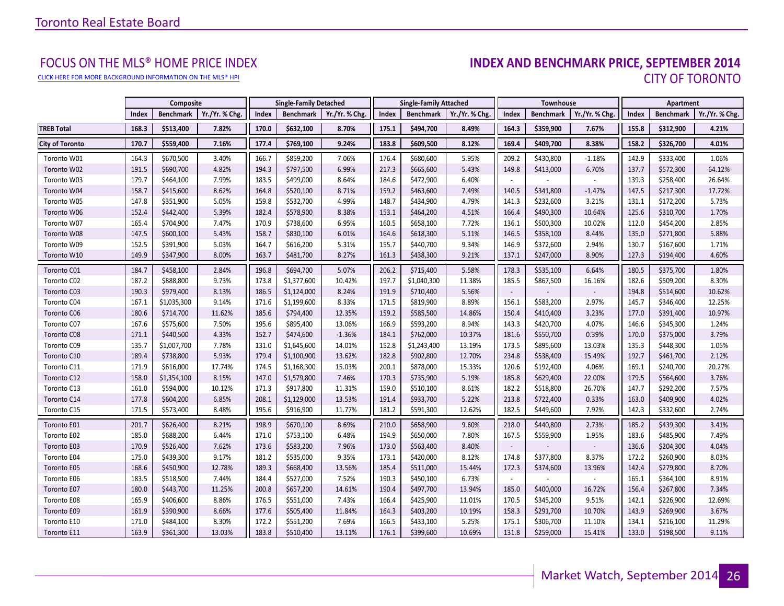[CLICK HERE FOR MORE BACKGROUND INFORMATION ON THE MLS® HPI](http://www.torontorealestateboard.com/market_news/home_price_index/index.htm)

# FOCUS ON THE MLS® HOME PRICE INDEX<br>**INDEX AND BENCHMARK PRICE, SEPTEMBER 2014** CITY OF TORONTO

|                        |       | Composite        |                |       | <b>Single-Family Detached</b> |                | <b>Single-Family Attached</b> |                  | <b>Townhouse</b> |                          |                  | Apartment      |       |                  |                |
|------------------------|-------|------------------|----------------|-------|-------------------------------|----------------|-------------------------------|------------------|------------------|--------------------------|------------------|----------------|-------|------------------|----------------|
|                        | Index | <b>Benchmark</b> | Yr./Yr. % Chg. | Index | <b>Benchmark</b>              | Yr./Yr. % Chg. | Index                         | <b>Benchmark</b> | Yr./Yr. % Chg.   | Index                    | <b>Benchmark</b> | Yr./Yr. % Chg. | Index | <b>Benchmark</b> | Yr./Yr. % Chg. |
| <b>TREB Total</b>      | 168.3 | \$513,400        | 7.82%          | 170.0 | \$632,100                     | 8.70%          | 175.1                         | \$494,700        | 8.49%            | 164.3                    | \$359,900        | 7.67%          | 155.8 | \$312,900        | 4.21%          |
| <b>City of Toronto</b> | 170.7 | \$559,400        | 7.16%          | 177.4 | \$769,100                     | 9.24%          | 183.8                         | \$609,500        | 8.12%            | 169.4                    | \$409,700        | 8.38%          | 158.2 | \$326,700        | 4.01%          |
| Toronto W01            | 164.3 | \$670,500        | 3.40%          | 166.7 | \$859,200                     | 7.06%          | 176.4                         | \$680,600        | 5.95%            | 209.2                    | \$430,800        | $-1.18%$       | 142.9 | \$333,400        | 1.06%          |
| Toronto W02            | 191.5 | \$690,700        | 4.82%          | 194.3 | \$797,500                     | 6.99%          | 217.3                         | \$665,600        | 5.43%            | 149.8                    | \$413,000        | 6.70%          | 137.7 | \$572,300        | 64.12%         |
| Toronto W03            | 179.7 | \$464,100        | 7.99%          | 183.5 | \$499,000                     | 8.64%          | 184.6                         | \$472,900        | 6.40%            |                          |                  |                | 139.3 | \$258,400        | 26.64%         |
| Toronto W04            | 158.7 | \$415,600        | 8.62%          | 164.8 | \$520,100                     | 8.71%          | 159.2                         | \$463,600        | 7.49%            | 140.5                    | \$341,800        | $-1.47%$       | 147.5 | \$217,300        | 17.72%         |
| Toronto W05            | 147.8 | \$351,900        | 5.05%          | 159.8 | \$532,700                     | 4.99%          | 148.7                         | \$434,900        | 4.79%            | 141.3                    | \$232,600        | 3.21%          | 131.1 | \$172,200        | 5.73%          |
| Toronto W06            | 152.4 | \$442,400        | 5.39%          | 182.4 | \$578,900                     | 8.38%          | 153.1                         | \$464,200        | 4.51%            | 166.4                    | \$490,300        | 10.64%         | 125.6 | \$310,700        | 1.70%          |
| Toronto W07            | 165.4 | \$704,900        | 7.47%          | 170.9 | \$738,600                     | 6.95%          | 160.5                         | \$658,100        | 7.72%            | 136.1                    | \$500,300        | 10.02%         | 112.0 | \$454,200        | 2.85%          |
| Toronto W08            | 147.5 | \$600,100        | 5.43%          | 158.7 | \$830,100                     | 6.01%          | 164.6                         | \$618,300        | 5.11%            | 146.5                    | \$358,100        | 8.44%          | 135.0 | \$271,800        | 5.88%          |
| Toronto W09            | 152.5 | \$391,900        | 5.03%          | 164.7 | \$616,200                     | 5.31%          | 155.7                         | \$440,700        | 9.34%            | 146.9                    | \$372,600        | 2.94%          | 130.7 | \$167,600        | 1.71%          |
| Toronto W10            | 149.9 | \$347,900        | 8.00%          | 163.7 | \$481,700                     | 8.27%          | 161.3                         | \$438,300        | 9.21%            | 137.1                    | \$247,000        | 8.90%          | 127.3 | \$194,400        | 4.60%          |
| Toronto C01            | 184.7 | \$458,100        | 2.84%          | 196.8 | \$694,700                     | 5.07%          | 206.2                         | \$715,400        | 5.58%            | 178.3                    | \$535,100        | 6.64%          | 180.5 | \$375,700        | 1.80%          |
| Toronto C02            | 187.2 | \$888,800        | 9.73%          | 173.8 | \$1,377,600                   | 10.42%         | 197.7                         | \$1,040,300      | 11.38%           | 185.5                    | \$867,500        | 16.16%         | 182.6 | \$509,200        | 8.30%          |
| Toronto C03            | 190.3 | \$979,400        | 8.13%          | 186.5 | \$1,124,000                   | 8.24%          | 191.9                         | \$710,400        | 5.56%            | $\overline{\phantom{a}}$ |                  |                | 194.8 | \$514,600        | 10.62%         |
| Toronto C04            | 167.1 | \$1,035,300      | 9.14%          | 171.6 | \$1,199,600                   | 8.33%          | 171.5                         | \$819,900        | 8.89%            | 156.1                    | \$583,200        | 2.97%          | 145.7 | \$346,400        | 12.25%         |
| Toronto C06            | 180.6 | \$714,700        | 11.62%         | 185.6 | \$794,400                     | 12.35%         | 159.2                         | \$585,500        | 14.86%           | 150.4                    | \$410,400        | 3.23%          | 177.0 | \$391,400        | 10.97%         |
| Toronto C07            | 167.6 | \$575,600        | 7.50%          | 195.6 | \$895,400                     | 13.06%         | 166.9                         | \$593,200        | 8.94%            | 143.3                    | \$420,700        | 4.07%          | 146.6 | \$345,300        | 1.24%          |
| Toronto C08            | 171.1 | \$440,500        | 4.33%          | 152.7 | \$474,600                     | $-1.36%$       | 184.1                         | \$762,000        | 10.37%           | 181.6                    | \$550,700        | 0.39%          | 170.0 | \$375,000        | 3.79%          |
| Toronto C09            | 135.7 | \$1,007,700      | 7.78%          | 131.0 | \$1,645,600                   | 14.01%         | 152.8                         | \$1,243,400      | 13.19%           | 173.5                    | \$895,600        | 13.03%         | 135.3 | \$448,300        | 1.05%          |
| Toronto C10            | 189.4 | \$738,800        | 5.93%          | 179.4 | \$1,100,900                   | 13.62%         | 182.8                         | \$902,800        | 12.70%           | 234.8                    | \$538,400        | 15.49%         | 192.7 | \$461,700        | 2.12%          |
| Toronto C11            | 171.9 | \$616,000        | 17.74%         | 174.5 | \$1,168,300                   | 15.03%         | 200.1                         | \$878,000        | 15.33%           | 120.6                    | \$192,400        | 4.06%          | 169.1 | \$240,700        | 20.27%         |
| Toronto C12            | 158.0 | \$1,354,100      | 8.15%          | 147.0 | \$1,579,800                   | 7.46%          | 170.3                         | \$735,900        | 5.19%            | 185.8                    | \$629,400        | 22.00%         | 179.5 | \$564,600        | 3.76%          |
| Toronto C13            | 161.0 | \$594,000        | 10.12%         | 171.3 | \$917,800                     | 11.31%         | 159.0                         | \$510,100        | 8.61%            | 182.2                    | \$518,800        | 26.70%         | 147.7 | \$292,200        | 7.57%          |
| Toronto C14            | 177.8 | \$604,200        | 6.85%          | 208.1 | \$1,129,000                   | 13.53%         | 191.4                         | \$933,700        | 5.22%            | 213.8                    | \$722,400        | 0.33%          | 163.0 | \$409,900        | 4.02%          |
| Toronto C15            | 171.5 | \$573,400        | 8.48%          | 195.6 | \$916,900                     | 11.77%         | 181.2                         | \$591,300        | 12.62%           | 182.5                    | \$449,600        | 7.92%          | 142.3 | \$332,600        | 2.74%          |
| Toronto E01            | 201.7 | \$626,400        | 8.21%          | 198.9 | \$670,100                     | 8.69%          | 210.0                         | \$658,900        | 9.60%            | 218.0                    | \$440,800        | 2.73%          | 185.2 | \$439,300        | 3.41%          |
| Toronto E02            | 185.0 | \$688,200        | 6.44%          | 171.0 | \$753,100                     | 6.48%          | 194.9                         | \$650,000        | 7.80%            | 167.5                    | \$559,900        | 1.95%          | 183.6 | \$485,900        | 7.49%          |
| Toronto E03            | 170.9 | \$526,400        | 7.62%          | 173.6 | \$583,200                     | 7.96%          | 173.0                         | \$563,400        | 8.40%            |                          |                  |                | 136.6 | \$204,300        | 4.04%          |
| Toronto E04            | 175.0 | \$439,300        | 9.17%          | 181.2 | \$535,000                     | 9.35%          | 173.1                         | \$420,000        | 8.12%            | 174.8                    | \$377,800        | 8.37%          | 172.2 | \$260,900        | 8.03%          |
| Toronto E05            | 168.6 | \$450,900        | 12.78%         | 189.3 | \$668,400                     | 13.56%         | 185.4                         | \$511,000        | 15.44%           | 172.3                    | \$374,600        | 13.96%         | 142.4 | \$279,800        | 8.70%          |
| Toronto E06            | 183.5 | \$518,500        | 7.44%          | 184.4 | \$527,000                     | 7.52%          | 190.3                         | \$450,100        | 6.73%            | $\overline{\phantom{a}}$ |                  |                | 165.1 | \$364,100        | 8.91%          |
| Toronto E07            | 180.0 | \$443,700        | 11.25%         | 200.8 | \$657,200                     | 14.61%         | 190.4                         | \$497,700        | 13.94%           | 185.0                    | \$400,000        | 16.72%         | 156.4 | \$267,800        | 7.34%          |
| Toronto E08            | 165.9 | \$406,600        | 8.86%          | 176.5 | \$551,000                     | 7.43%          | 166.4                         | \$425,900        | 11.01%           | 170.5                    | \$345,200        | 9.51%          | 142.1 | \$226,900        | 12.69%         |
| Toronto E09            | 161.9 | \$390,900        | 8.66%          | 177.6 | \$505,400                     | 11.84%         | 164.3                         | \$403,200        | 10.19%           | 158.3                    | \$291,700        | 10.70%         | 143.9 | \$269,900        | 3.67%          |
| Toronto E10            | 171.0 | \$484,100        | 8.30%          | 172.2 | \$551,200                     | 7.69%          | 166.5                         | \$433,100        | 5.25%            | 175.1                    | \$306,700        | 11.10%         | 134.1 | \$216,100        | 11.29%         |
| Toronto E11            | 163.9 | \$361,300        | 13.03%         | 183.8 | \$510,400                     | 13.11%         | 176.1                         | \$399,600        | 10.69%           | 131.8                    | \$259,000        | 15.41%         | 133.0 | \$198,500        | 9.11%          |